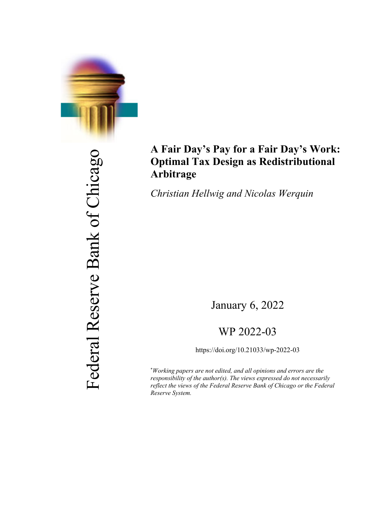

## **A Fair Day's Pay for a Fair Day's Work: Optimal Tax Design as Redistributional Arbitrage**

*Christian Hellwig and Nicolas Werquin*

January 6, 2022

## WP 2022-03

https://doi.org/10.21033/wp-2022-03

\* *Working papers are not edited, and all opinions and errors are the responsibility of the author(s). The views expressed do not necessarily reflect the views of the Federal Reserve Bank of Chicago or the Federal Reserve System.*

Federal Reserve Bank of Chicago Federal Reserve Bank of Chicago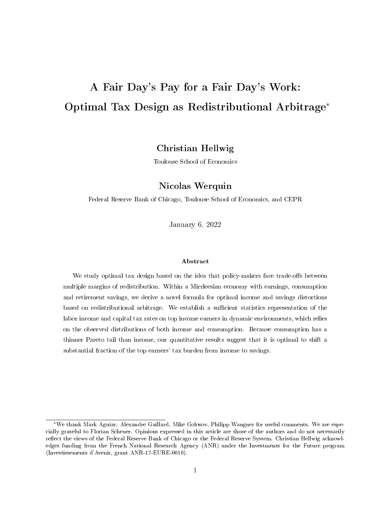# <span id="page-1-0"></span>A Fair Day's Pay for a Fair Day's Work: Optimal Tax Design as Redistributional Arbitrage\*

## Christian Hellwig

Toulouse School of Economics

## Nicolas Werquin

Federal Reserve Bank of Chicago, Toulouse School of Economics, and CEPR

January 6, 2022

#### Abstract

We study optimal tax design based on the idea that policy-makers face trade-offs between multiple margins of redistribution. Within a Mirrleesian economy with earnings, consumption and retirement savings, we derive a novel formula for optimal income and savings distortions based on redistributional arbitrage. We establish a sufficient statistics representation of the labor income and capital tax rates on top income earners in dynamic environments, which relies on the observed distributions of both income and consumption. Because consumption has a thinner Pareto tail than income, our quantitative results suggest that it is optimal to shift a substantial fraction of the top earners' tax burden from income to savings.

<sup>\*</sup>We thank Mark Aguiar, Alexandre Gaillard, Mike Golosov, Philipp Wangner for useful comments. We are especially grateful to Florian Scheuer. Opinions expressed in this article are those of the authors and do not necessarily reflect the views of the Federal Reserve Bank of Chicago or the Federal Reserve System. Christian Hellwig acknowledges funding from the French National Research Agency (ANR) under the Investments for the Future program (Investissements d'Avenir, grant ANR-17-EURE-0010).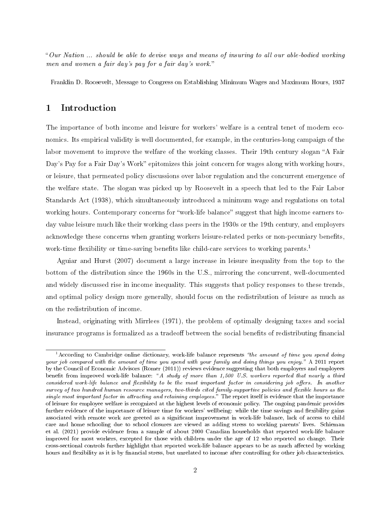Our Nation ... should be able to devise ways and means of insuring to all our able-bodied working men and women a fair day's pay for a fair day's work.

Franklin D. Roosevelt, Message to Congress on Establishing Minimum Wages and Maximum Hours, 1937

## 1 Introduction

The importance of both income and leisure for workers' welfare is a central tenet of modern economics. Its empirical validity is well documented, for example, in the centuries-long campaign of the labor movement to improve the welfare of the working classes. Their 19th century slogan "A Fair Day's Pay for a Fair Day's Work" epitomizes this joint concern for wages along with working hours, or leisure, that permeated policy discussions over labor regulation and the concurrent emergence of the welfare state. The slogan was picked up by Roosevelt in a speech that led to the Fair Labor Standards Act (1938), which simultaneously introduced a minimum wage and regulations on total working hours. Contemporary concerns for "work-life balance" suggest that high income earners today value leisure much like their working class peers in the 1930s or the 19th century, and employers acknowledge these concerns when granting workers leisure-related perks or non-pecuniary benefits, work-time flexibility or time-saving benefits like child-care services to working parents.<sup>[1](#page-1-0)</sup>

Aguiar and Hurst [\(2007\)](#page-44-0) document a large increase in leisure inequality from the top to the bottom of the distribution since the 1960s in the U.S., mirroring the concurrent, well-documented and widely discussed rise in income inequality. This suggests that policy responses to these trends, and optimal policy design more generally, should focus on the redistribution of leisure as much as on the redistribution of income.

Instead, originating with Mirrlees [\(1971\)](#page-46-0), the problem of optimally designing taxes and social insurance programs is formalized as a tradeoff between the social benefits of redistributing financial

 $1$ According to Cambridge online dictionary, work-life balance represents "the amount of time you spend doing your job compared with the amount of time you spend with your family and doing things you enjoy. A 2011 report by the Council of Economic Advisors (Romer [\(2011\)](#page-46-1)) reviews evidence suggesting that both employers and employees benefit from improved work-life balance: "A study of more than 1,500 U.S. workers reported that nearly a third considered work-life balance and flexibility to be the most important factor in considering job offers. In another survey of two hundred human resource managers, two-thirds cited family-supportive policies and flexible hours as the single most important factor in attracting and retaining employees." The report itself is evidence that the importance of leisure for employee welfare is recognized at the highest levels of economic policy. The ongoing pandemic provides further evidence of the importance of leisure time for workers' wellbeing: while the time savings and flexibility gains associated with remote work are greeted as a significant improvement in work-life balance, lack of access to child care and home schooling due to school closures are viewed as adding stress to working parents' lives. Schieman et al. [\(2021\)](#page-47-0) provide evidence from a sample of about 2000 Canadian households that reported work-life balance improved for most workers, excepted for those with children under the age of 12 who reported no change. Their cross-sectional controls further highlight that reported work-life balance appears to be as much affected by working hours and flexibility as it is by financial stress, but unrelated to income after controlling for other job characteristics.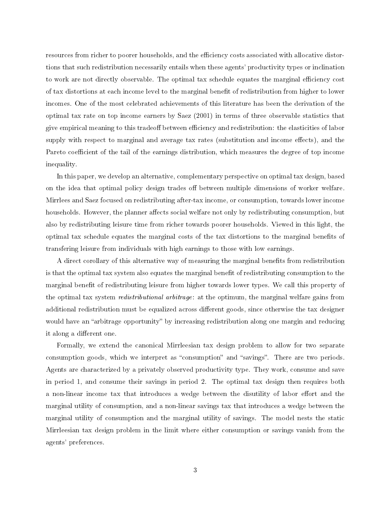resources from richer to poorer households, and the efficiency costs associated with allocative distortions that such redistribution necessarily entails when these agents' productivity types or inclination to work are not directly observable. The optimal tax schedule equates the marginal efficiency cost of tax distortions at each income level to the marginal benefit of redistribution from higher to lower incomes. One of the most celebrated achievements of this literature has been the derivation of the optimal tax rate on top income earners by Saez [\(2001\)](#page-46-2) in terms of three observable statistics that give empirical meaning to this tradeoff between efficiency and redistribution: the elasticities of labor supply with respect to marginal and average tax rates (substitution and income effects), and the Pareto coefficient of the tail of the earnings distribution, which measures the degree of top income inequality.

In this paper, we develop an alternative, complementary perspective on optimal tax design, based on the idea that optimal policy design trades off between multiple dimensions of worker welfare. Mirrlees and Saez focused on redistributing after-tax income, or consumption, towards lower income households. However, the planner affects social welfare not only by redistributing consumption, but also by redistributing leisure time from richer towards poorer households. Viewed in this light, the optimal tax schedule equates the marginal costs of the tax distortions to the marginal benets of transfering leisure from individuals with high earnings to those with low earnings.

A direct corollary of this alternative way of measuring the marginal benets from redistribution is that the optimal tax system also equates the marginal benefit of redistributing consumption to the marginal benefit of redistributing leisure from higher towards lower types. We call this property of the optimal tax system redistributional arbitrage: at the optimum, the marginal welfare gains from additional redistribution must be equalized across different goods, since otherwise the tax designer would have an "arbitrage opportunity" by increasing redistribution along one margin and reducing it along a different one.

Formally, we extend the canonical Mirrleesian tax design problem to allow for two separate consumption goods, which we interpret as "consumption" and "savings". There are two periods. Agents are characterized by a privately observed productivity type. They work, consume and save in period 1, and consume their savings in period 2. The optimal tax design then requires both a non-linear income tax that introduces a wedge between the disutility of labor effort and the marginal utility of consumption, and a non-linear savings tax that introduces a wedge between the marginal utility of consumption and the marginal utility of savings. The model nests the static Mirrleesian tax design problem in the limit where either consumption or savings vanish from the agents' preferences.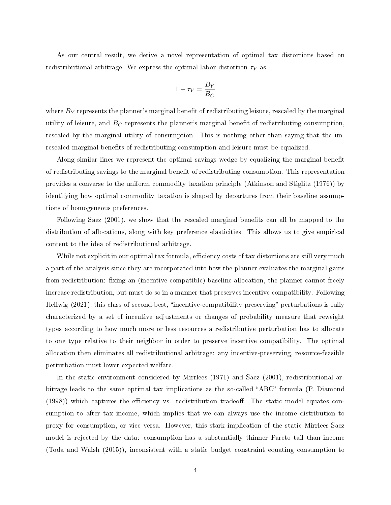As our central result, we derive a novel representation of optimal tax distortions based on redistributional arbitrage. We express the optimal labor distortion  $\tau_Y$  as

$$
1-\tau_Y=\frac{B_Y}{B_C}
$$

where  $B_Y$  represents the planner's marginal benefit of redistributing leisure, rescaled by the marginal utility of leisure, and  $B_C$  represents the planner's marginal benefit of redistributing consumption, rescaled by the marginal utility of consumption. This is nothing other than saying that the unrescaled marginal benefits of redistributing consumption and leisure must be equalized.

Along similar lines we represent the optimal savings wedge by equalizing the marginal benefit of redistributing savings to the marginal benefit of redistributing consumption. This representation provides a converse to the uniform commodity taxation principle (Atkinson and Stiglitz [\(1976\)](#page-44-1)) by identifying how optimal commodity taxation is shaped by departures from their baseline assumptions of homogeneous preferences.

Following Saez [\(2001\)](#page-46-2), we show that the rescaled marginal benefits can all be mapped to the distribution of allocations, along with key preference elasticities. This allows us to give empirical content to the idea of redistributional arbitrage.

While not explicit in our optimal tax formula, efficiency costs of tax distortions are still very much a part of the analysis since they are incorporated into how the planner evaluates the marginal gains from redistribution: fixing an (incentive-compatible) baseline allocation, the planner cannot freely increase redistribution, but must do so in a manner that preserves incentive compatibility. Following Hellwig [\(2021\)](#page-45-0), this class of second-best, "incentive-compatibility preserving" perturbations is fully characterized by a set of incentive adjustments or changes of probability measure that reweight types according to how much more or less resources a redistributive perturbation has to allocate to one type relative to their neighbor in order to preserve incentive compatibility. The optimal allocation then eliminates all redistributional arbitrage: any incentive-preserving, resource-feasible perturbation must lower expected welfare.

In the static environment considered by Mirrlees [\(1971\)](#page-46-0) and Saez [\(2001\)](#page-46-2), redistributional arbitrage leads to the same optimal tax implications as the so-called "ABC" formula (P. Diamond  $(1998)$ ) which captures the efficiency vs. redistribution tradeor. The static model equates consumption to after tax income, which implies that we can always use the income distribution to proxy for consumption, or vice versa. However, this stark implication of the static Mirrlees-Saez model is rejected by the data: consumption has a substantially thinner Pareto tail than income (Toda and Walsh [\(2015\)](#page-47-1)), inconsistent with a static budget constraint equating consumption to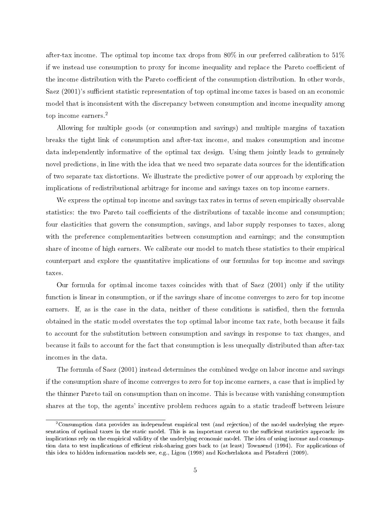after-tax income. The optimal top income tax drops from 80% in our preferred calibration to 51% if we instead use consumption to proxy for income inequality and replace the Pareto coefficient of the income distribution with the Pareto coefficient of the consumption distribution. In other words, Saez  $(2001)$ 's sufficient statistic representation of top optimal income taxes is based on an economic model that is inconsistent with the discrepancy between consumption and income inequality among top income earners.[2](#page-1-0)

Allowing for multiple goods (or consumption and savings) and multiple margins of taxation breaks the tight link of consumption and after-tax income, and makes consumption and income data independently informative of the optimal tax design. Using them jointly leads to genuinely novel predictions, in line with the idea that we need two separate data sources for the identification of two separate tax distortions. We illustrate the predictive power of our approach by exploring the implications of redistributional arbitrage for income and savings taxes on top income earners.

We express the optimal top income and savings tax rates in terms of seven empirically observable statistics: the two Pareto tail coefficients of the distributions of taxable income and consumption; four elasticities that govern the consumption, savings, and labor supply responses to taxes, along with the preference complementarities between consumption and earnings; and the consumption share of income of high earners. We calibrate our model to match these statistics to their empirical counterpart and explore the quantitative implications of our formulas for top income and savings taxes.

Our formula for optimal income taxes coincides with that of Saez [\(2001\)](#page-46-2) only if the utility function is linear in consumption, or if the savings share of income converges to zero for top income earners. If, as is the case in the data, neither of these conditions is satisfied, then the formula obtained in the static model overstates the top optimal labor income tax rate, both because it fails to account for the substitution between consumption and savings in response to tax changes, and because it fails to account for the fact that consumption is less unequally distributed than after-tax incomes in the data.

The formula of Saez [\(2001\)](#page-46-2) instead determines the combined wedge on labor income and savings if the consumption share of income converges to zero for top income earners, a case that is implied by the thinner Pareto tail on consumption than on income. This is because with vanishing consumption shares at the top, the agents' incentive problem reduces again to a static tradeoff between leisure

<sup>&</sup>lt;sup>2</sup>Consumption data provides an independent empirical test (and rejection) of the model underlying the representation of optimal taxes in the static model. This is an important caveat to the sufficient statistics approach: its implications rely on the empirical validity of the underlying economic model. The idea of using income and consump-tion data to test implications of efficient risk-sharing goes back to (at least) Townsend [\(1994\)](#page-47-2). For applications of this idea to hidden information models see, e.g., Ligon [\(1998\)](#page-46-3) and Kocherlakota and Pistaferri [\(2009\)](#page-46-4).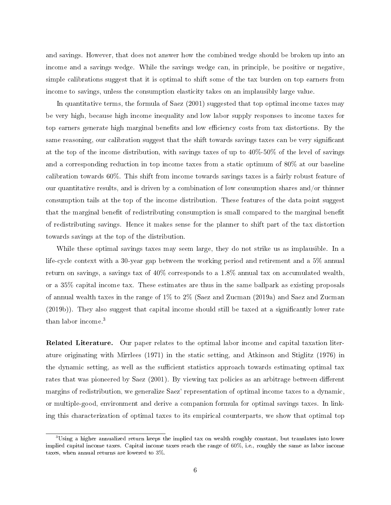and savings. However, that does not answer how the combined wedge should be broken up into an income and a savings wedge. While the savings wedge can, in principle, be positive or negative, simple calibrations suggest that it is optimal to shift some of the tax burden on top earners from income to savings, unless the consumption elasticity takes on an implausibly large value.

In quantitative terms, the formula of Saez [\(2001\)](#page-46-2) suggested that top optimal income taxes may be very high, because high income inequality and low labor supply responses to income taxes for top earners generate high marginal benefits and low efficiency costs from tax distortions. By the same reasoning, our calibration suggest that the shift towards savings taxes can be very signicant at the top of the income distribution, with savings taxes of up to 40%-50% of the level of savings and a corresponding reduction in top income taxes from a static optimum of 80% at our baseline calibration towards 60%. This shift from income towards savings taxes is a fairly robust feature of our quantitative results, and is driven by a combination of low consumption shares and/or thinner consumption tails at the top of the income distribution. These features of the data point suggest that the marginal benefit of redistributing consumption is small compared to the marginal benefit of redistributing savings. Hence it makes sense for the planner to shift part of the tax distortion towards savings at the top of the distribution.

While these optimal savings taxes may seem large, they do not strike us as implausible. In a life-cycle context with a 30-year gap between the working period and retirement and a 5% annual return on savings, a savings tax of 40% corresponds to a 1.8% annual tax on accumulated wealth, or a 35% capital income tax. These estimates are thus in the same ballpark as existing proposals of annual wealth taxes in the range of 1% to 2% (Saez and Zucman [\(2019a\)](#page-46-5) and Saez and Zucman  $(2019b)$ ). They also suggest that capital income should still be taxed at a significantly lower rate than labor income.[3](#page-1-0)

Related Literature. Our paper relates to the optimal labor income and capital taxation literature originating with Mirrlees [\(1971\)](#page-46-0) in the static setting, and Atkinson and Stiglitz [\(1976\)](#page-44-1) in the dynamic setting, as well as the sufficient statistics approach towards estimating optimal tax rates that was pioneered by Saez [\(2001\)](#page-46-2). By viewing tax policies as an arbitrage between different margins of redistribution, we generalize Saez' representation of optimal income taxes to a dynamic, or multiple-good, environment and derive a companion formula for optimal savings taxes. In linking this characterization of optimal taxes to its empirical counterparts, we show that optimal top

<sup>3</sup>Using a higher annualized return keeps the implied tax on wealth roughly constant, but translates into lower implied capital income taxes. Capital income taxes reach the range of 60%, i.e., roughly the same as labor income taxes, when annual returns are lowered to 3%.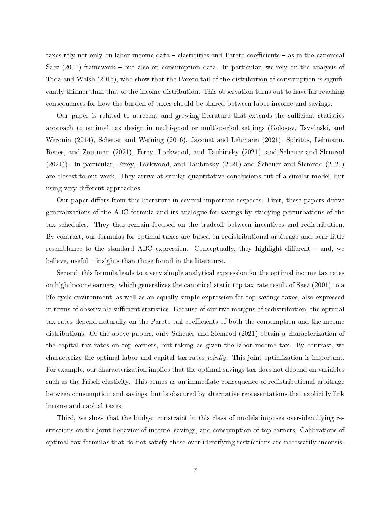taxes rely not only on labor income data – elasticities and Pareto coefficients – as in the canonical Saez  $(2001)$  framework – but also on consumption data. In particular, we rely on the analysis of Toda and Walsh [\(2015\)](#page-47-1), who show that the Pareto tail of the distribution of consumption is significantly thinner than that of the income distribution. This observation turns out to have far-reaching consequences for how the burden of taxes should be shared between labor income and savings.

Our paper is related to a recent and growing literature that extends the sufficient statistics approach to optimal tax design in multi-good or multi-period settings (Golosov, Tsyvinski, and Werquin [\(2014\)](#page-45-1), Scheuer and Werning [\(2016\)](#page-47-3), Jacquet and Lehmann [\(2021\)](#page-46-7), Spiritus, Lehmann, Renes, and Zoutman [\(2021\)](#page-47-4), Ferey, Lockwood, and Taubinsky [\(2021\)](#page-45-2), and Scheuer and Slemrod [\(2021\)](#page-46-8)). In particular, Ferey, Lockwood, and Taubinsky [\(2021\)](#page-45-2) and Scheuer and Slemrod [\(2021\)](#page-46-8) are closest to our work. They arrive at similar quantitative conclusions out of a similar model, but using very different approaches.

Our paper differs from this literature in several important respects. First, these papers derive generalizations of the ABC formula and its analogue for savings by studying perturbations of the tax schedules. They thus remain focused on the tradeoff between incentives and redistribution. By contrast, our formulas for optimal taxes are based on redistributional arbitrage and bear little resemblance to the standard ABC expression. Conceptually, they highlight different  $-$  and, we believe, useful  $\overline{\phantom{a}}$  insights than those found in the literature.

Second, this formula leads to a very simple analytical expression for the optimal income tax rates on high income earners, which generalizes the canonical static top tax rate result of Saez [\(2001\)](#page-46-2) to a life-cycle environment, as well as an equally simple expression for top savings taxes, also expressed in terms of observable sufficient statistics. Because of our two margins of redistribution, the optimal tax rates depend naturally on the Pareto tail coefficients of both the consumption and the income distributions. Of the above papers, only Scheuer and Slemrod [\(2021\)](#page-46-8) obtain a characterization of the capital tax rates on top earners, but taking as given the labor income tax. By contrast, we characterize the optimal labor and capital tax rates jointly. This joint optimization is important. For example, our characterization implies that the optimal savings tax does not depend on variables such as the Frisch elasticity. This comes as an immediate consequence of redistributional arbitrage between consumption and savings, but is obscured by alternative representations that explicitly link income and capital taxes.

Third, we show that the budget constraint in this class of models imposes over-identifying restrictions on the joint behavior of income, savings, and consumption of top earners. Calibrations of optimal tax formulas that do not satisfy these over-identifying restrictions are necessarily inconsis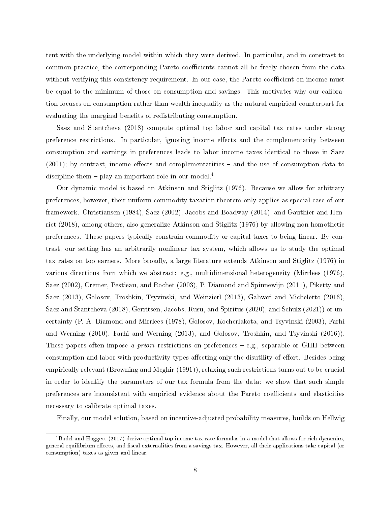tent with the underlying model within which they were derived. In particular, and in constrast to common practice, the corresponding Pareto coefficients cannot all be freely chosen from the data without verifying this consistency requirement. In our case, the Pareto coefficient on income must be equal to the minimum of those on consumption and savings. This motivates why our calibration focuses on consumption rather than wealth inequality as the natural empirical counterpart for evaluating the marginal benefits of redistributing consumption.

Saez and Stantcheva [\(2018\)](#page-46-9) compute optimal top labor and capital tax rates under strong preference restrictions. In particular, ignoring income effects and the complementarity between consumption and earnings in preferences leads to labor income taxes identical to those in Saez  $(2001)$ ; by contrast, income effects and complementarities  $-$  and the use of consumption data to discipline them  $-$  play an important role in our model.<sup>[4](#page-1-0)</sup>

Our dynamic model is based on Atkinson and Stiglitz [\(1976\)](#page-44-1). Because we allow for arbitrary preferences, however, their uniform commodity taxation theorem only applies as special case of our framework. Christiansen [\(1984\)](#page-44-3), Saez [\(2002\)](#page-46-10), Jacobs and Boadway [\(2014\)](#page-46-11), and Gauthier and Henriet [\(2018\)](#page-45-3), among others, also generalize Atkinson and Stiglitz [\(1976\)](#page-44-1) by allowing non-homothetic preferences. These papers typically constrain commodity or capital taxes to being linear. By contrast, our setting has an arbitrarily nonlinear tax system, which allows us to study the optimal tax rates on top earners. More broadly, a large literature extends Atkinson and Stiglitz [\(1976\)](#page-44-1) in various directions from which we abstract: e.g., multidimensional heterogeneity (Mirrlees [\(1976\)](#page-46-12), Saez [\(2002\)](#page-46-10), Cremer, Pestieau, and Rochet [\(2003\)](#page-44-4), P. Diamond and Spinnewijn [\(2011\)](#page-44-5), Piketty and Saez [\(2013\)](#page-46-13), Golosov, Troshkin, Tsyvinski, and Weinzierl [\(2013\)](#page-45-4), Gahvari and Micheletto [\(2016\)](#page-45-5), Saez and Stantcheva [\(2018\)](#page-46-9), Gerritsen, Jacobs, Rusu, and Spiritus [\(2020\)](#page-45-6), and Schulz [\(2021\)](#page-47-5)) or uncertainty (P. A. Diamond and Mirrlees [\(1978\)](#page-44-6), Golosov, Kocherlakota, and Tsyvinski [\(2003\)](#page-45-7), Farhi and Werning [\(2010\)](#page-45-8), Farhi and Werning [\(2013\)](#page-45-9), and Golosov, Troshkin, and Tsyvinski [\(2016\)](#page-45-10)). These papers often impose *a priori* restrictions on preferences  $-e.g.,$  separable or GHH between consumption and labor with productivity types affecting only the disutility of effort. Besides being empirically relevant (Browning and Meghir [\(1991\)](#page-44-7)), relaxing such restrictions turns out to be crucial in order to identify the parameters of our tax formula from the data: we show that such simple preferences are inconsistent with empirical evidence about the Pareto coefficients and elasticities necessary to calibrate optimal taxes.

Finally, our model solution, based on incentive-adjusted probability measures, builds on Hellwig

 $^{4}$ Badel and Huggett [\(2017\)](#page-44-8) derive optimal top income tax rate formulas in a model that allows for rich dynamics, general equilibrium effects, and fiscal externalities from a savings tax. However, all their applications take capital (or consumption) taxes as given and linear.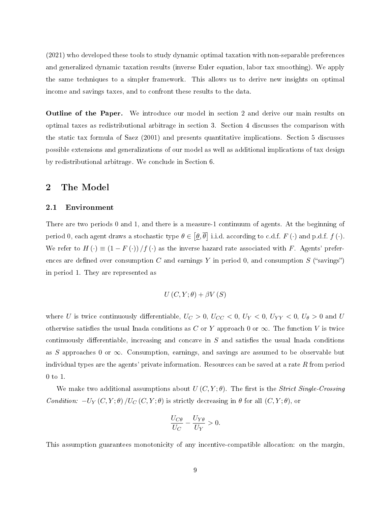[\(2021\)](#page-45-0) who developed these tools to study dynamic optimal taxation with non-separable preferences and generalized dynamic taxation results (inverse Euler equation, labor tax smoothing). We apply the same techniques to a simpler framework. This allows us to derive new insights on optimal income and savings taxes, and to confront these results to the data.

Outline of the Paper. We introduce our model in section [2](#page-9-0) and derive our main results on optimal taxes as redistributional arbitrage in section [3.](#page-20-0) Section [4](#page-24-0) discusses the comparison with the static tax formula of Saez [\(2001\)](#page-46-2) and presents quantitative implications. Section [5](#page-38-0) discusses possible extensions and generalizations of our model as well as additional implications of tax design by redistributional arbitrage. We conclude in Section [6.](#page-43-0)

## <span id="page-9-0"></span>2 The Model

#### 2.1 Environment

There are two periods 0 and 1, and there is a measure-1 continuum of agents. At the beginning of period 0, each agent draws a stochastic type  $\theta \in [\underline{\theta}, \overline{\theta}]$  i.i.d. according to c.d.f.  $F(\cdot)$  and p.d.f.  $f(\cdot)$ . We refer to  $H(\cdot) \equiv (1 - F(\cdot))/f(\cdot)$  as the inverse hazard rate associated with F. Agents' preferences are defined over consumption C and earnings Y in period 0, and consumption S ("savings") in period 1. They are represented as

$$
U\left(C,Y;\theta\right)+\beta V\left(S\right)
$$

where U is twice continuously differentiable,  $U_C > 0$ ,  $U_{CC} < 0$ ,  $U_Y < 0$ ,  $U_{YY} < 0$ ,  $U_{\theta} > 0$  and U otherwise satisfies the usual Inada conditions as C or Y approach 0 or  $\infty$ . The function V is twice continuously differentiable, increasing and concave in  $S$  and satisfies the usual Inada conditions as S approaches 0 or  $\infty$ . Consumption, earnings, and savings are assumed to be observable but individual types are the agents' private information. Resources can be saved at a rate R from period 0 to 1.

We make two additional assumptions about  $U(C, Y; \theta)$ . The first is the *Strict Single-Crossing* Condition:  $-U_Y(C, Y; \theta) / U_C(C, Y; \theta)$  is strictly decreasing in  $\theta$  for all  $(C, Y; \theta)$ , or

$$
\frac{U_{C\theta}}{U_C} - \frac{U_{Y\theta}}{U_Y} > 0.
$$

This assumption guarantees monotonicity of any incentive-compatible allocation: on the margin,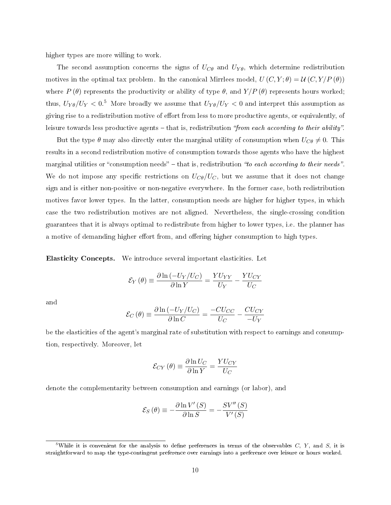higher types are more willing to work.

The second assumption concerns the signs of  $U_{C\theta}$  and  $U_{Y\theta}$ , which determine redistribution motives in the optimal tax problem. In the canonical Mirrlees model,  $U(C, Y; \theta) = \mathcal{U}(C, Y/P(\theta))$ where  $P(\theta)$  represents the productivity or ability of type  $\theta$ , and  $Y/P(\theta)$  represents hours worked; thus,  $U_{Y\theta}/U_Y < 0.5$  $U_{Y\theta}/U_Y < 0.5$  More broadly we assume that  $U_{Y\theta}/U_Y < 0$  and interpret this assumption as giving rise to a redistribution motive of effort from less to more productive agents, or equivalently, of leisure towards less productive agents  $-$  that is, redistribution "from each according to their ability".

But the type  $\theta$  may also directly enter the marginal utility of consumption when  $U_{\mathcal{C}\theta} \neq 0$ . This results in a second redistribution motive of consumption towards those agents who have the highest marginal utilities or "consumption needs" – that is, redistribution "to each according to their needs". We do not impose any specific restrictions on  $U_{\mathcal{C}\theta}/U_{\mathcal{C}}$ , but we assume that it does not change sign and is either non-positive or non-negative everywhere. In the former case, both redistribution motives favor lower types. In the latter, consumption needs are higher for higher types, in which case the two redistribution motives are not aligned. Nevertheless, the single-crossing condition guarantees that it is always optimal to redistribute from higher to lower types, i.e. the planner has a motive of demanding higher effort from, and offering higher consumption to high types.

Elasticity Concepts. We introduce several important elasticities. Let

$$
\mathcal{E}_Y(\theta) \equiv \frac{\partial \ln(-U_Y/U_C)}{\partial \ln Y} = \frac{YU_{YY}}{U_Y} - \frac{YU_{CY}}{U_C}
$$

and

$$
\mathcal{E}_C(\theta) \equiv \frac{\partial \ln(-U_Y/U_C)}{\partial \ln C} = \frac{-CU_{CC}}{U_C} - \frac{CU_{CY}}{-U_Y}
$$

be the elasticities of the agent's marginal rate of substitution with respect to earnings and consumption, respectively. Moreover, let

$$
\mathcal{E}_{CY}(\theta) \equiv \frac{\partial \ln U_C}{\partial \ln Y} = \frac{YU_{CY}}{U_C}
$$

denote the complementarity between consumption and earnings (or labor), and

$$
\mathcal{E}_S(\theta) \equiv -\frac{\partial \ln V'(S)}{\partial \ln S} = -\frac{SV''(S)}{V'(S)}
$$

<sup>&</sup>lt;sup>5</sup>While it is convenient for the analysis to define preferences in terms of the observables  $C, Y,$  and  $S$ , it is straightforward to map the type-contingent preference over earnings into a preference over leisure or hours worked.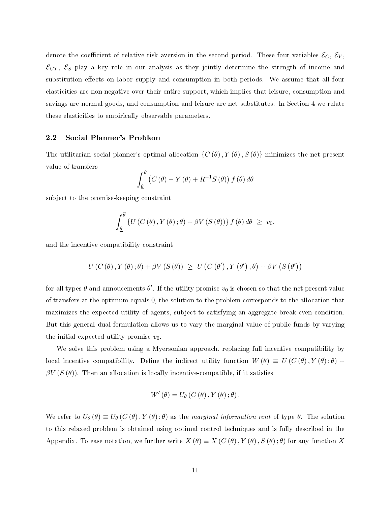denote the coefficient of relative risk aversion in the second period. These four variables  $\mathcal{E}_C$ ,  $\mathcal{E}_Y$ ,  $\mathcal{E}_{CY}$ ,  $\mathcal{E}_S$  play a key role in our analysis as they jointly determine the strength of income and substitution effects on labor supply and consumption in both periods. We assume that all four elasticities are non-negative over their entire support, which implies that leisure, consumption and savings are normal goods, and consumption and leisure are net substitutes. In Section [4](#page-24-0) we relate these elasticities to empirically observable parameters.

#### 2.2 Social Planner's Problem

The utilitarian social planner's optimal allocation  $\{C(\theta), Y(\theta), S(\theta)\}\$  minimizes the net present value of transfers

$$
\int_{\underline{\theta}}^{\overline{\theta}} \left( C(\theta) - Y(\theta) + R^{-1}S(\theta) \right) f(\theta) d\theta
$$

subject to the promise-keeping constraint

$$
\int_{\underline{\theta}}^{\overline{\theta}} \left\{ U\left(C\left(\theta\right), Y\left(\theta\right) ; \theta\right) + \beta V\left(S\left(\theta\right)\right) \right\} f\left(\theta\right) d\theta \geq v_0,
$$

and the incentive compatibility constraint

$$
U(C(\theta), Y(\theta); \theta) + \beta V(S(\theta)) \geq U(C(\theta'), Y(\theta'); \theta) + \beta V(S(\theta'))
$$

for all types  $\theta$  and annoucements  $\theta'$ . If the utility promise  $v_0$  is chosen so that the net present value of transfers at the optimum equals 0, the solution to the problem corresponds to the allocation that maximizes the expected utility of agents, subject to satisfying an aggregate break-even condition. But this general dual formulation allows us to vary the marginal value of public funds by varying the initial expected utility promise  $v_0$ .

We solve this problem using a Myersonian approach, replacing full incentive compatibility by local incentive compatibility. Define the indirect utility function  $W(\theta) \equiv U(C(\theta), Y(\theta); \theta) +$  $\beta V(S(\theta))$ . Then an allocation is locally incentive-compatible, if it satisfies

$$
W'(\theta) = U_{\theta}(C(\theta), Y(\theta); \theta).
$$

We refer to  $U_{\theta}(\theta) \equiv U_{\theta}(C(\theta), Y(\theta); \theta)$  as the marginal information rent of type  $\theta$ . The solution to this relaxed problem is obtained using optimal control techniques and is fully described in the Appendix. To ease notation, we further write  $X(\theta) \equiv X(C(\theta), Y(\theta), S(\theta); \theta)$  for any function X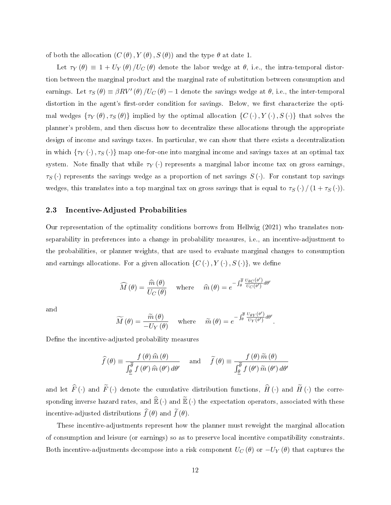of both the allocation  $(C(\theta), Y(\theta), S(\theta))$  and the type  $\theta$  at date 1.

Let  $\tau_Y(\theta) \equiv 1 + U_Y(\theta)/U_C(\theta)$  denote the labor wedge at  $\theta$ , i.e., the intra-temporal distortion between the marginal product and the marginal rate of substitution between consumption and earnings. Let  $\tau_S(\theta) \equiv \beta R V'(\theta) / U_C(\theta) - 1$  denote the savings wedge at  $\theta$ , i.e., the inter-temporal distortion in the agent's first-order condition for savings. Below, we first characterize the optimal wedges  $\{\tau_Y(\theta), \tau_S(\theta)\}\$ implied by the optimal allocation  $\{C(\cdot), Y(\cdot), S(\cdot)\}\$ that solves the planner's problem, and then discuss how to decentralize these allocations through the appropriate design of income and savings taxes. In particular, we can show that there exists a decentralization in which  $\{\tau_Y(\cdot), \tau_S(\cdot)\}$  map one-for-one into marginal income and savings taxes at an optimal tax system. Note finally that while  $\tau_Y(\cdot)$  represents a marginal labor income tax on gross earnings,  $\tau_S(\cdot)$  represents the savings wedge as a proportion of net savings  $S(\cdot)$ . For constant top savings wedges, this translates into a top marginal tax on gross savings that is equal to  $\tau_S(\cdot) / (1 + \tau_S(\cdot))$ .

#### 2.3 Incentive-Adjusted Probabilities

Our representation of the optimality conditions borrows from Hellwig [\(2021\)](#page-45-0) who translates nonseparability in preferences into a change in probability measures, i.e., an incentive-adjustment to the probabilities, or planner weights, that are used to evaluate marginal changes to consumption and earnings allocations. For a given allocation  $\{C(\cdot), Y(\cdot), S(\cdot)\}\$ , we define

$$
\widehat{M}(\theta) = \frac{\widehat{m}(\theta)}{U_C(\theta)} \quad \text{where} \quad \widehat{m}(\theta) = e^{-\int_{\theta}^{\overline{\theta}} \frac{U_{\theta C}(\theta')}{U_C(\theta')} d\theta'}
$$

and

$$
\widetilde{M}(\theta) = \frac{\widetilde{m}(\theta)}{-U_Y(\theta)} \quad \text{where} \quad \widetilde{m}(\theta) = e^{-\int_{\theta}^{\overline{\theta}} \frac{U_{\theta Y}(\theta')}{U_Y(\theta')} d\theta'}.
$$

Define the incentive-adjusted probability measures

$$
\widehat{f}(\theta) \equiv \frac{f(\theta)\,\widehat{m}(\theta)}{\int_{\underline{\theta}}^{\overline{\theta}} f(\theta')\,\widehat{m}(\theta')\,d\theta'} \quad \text{and} \quad \widetilde{f}(\theta) \equiv \frac{f(\theta)\,\widetilde{m}(\theta)}{\int_{\underline{\theta}}^{\overline{\theta}} f(\theta')\,\widetilde{m}(\theta')\,d\theta'}
$$

and let  $\widehat{F}(\cdot)$  and  $\widetilde{F}(\cdot)$  denote the cumulative distribution functions,  $\widehat{H}(\cdot)$  and  $\widetilde{H}(\cdot)$  the corresponding inverse hazard rates, and  $\widehat{\mathbb{E}}(\cdot)$  and  $\widetilde{\mathbb{E}}(\cdot)$  the expectation operators, associated with these incentive-adjusted distributions  $\widehat{f}(\theta)$  and  $\widetilde{f}(\theta)$ .

These incentive-adjustments represent how the planner must reweight the marginal allocation of consumption and leisure (or earnings) so as to preserve local incentive compatibility constraints. Both incentive-adjustments decompose into a risk component  $U_C(\theta)$  or  $-U_Y(\theta)$  that captures the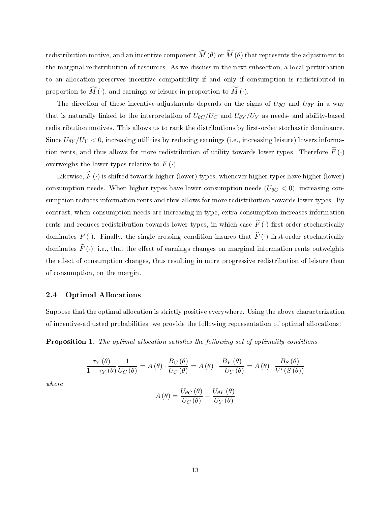redistribution motive, and an incentive component  $\widehat{M}(\theta)$  or  $\widetilde{M}(\theta)$  that represents the adjustment to the marginal redistribution of resources. As we discuss in the next subsection, a local perturbation to an allocation preserves incentive compatibility if and only if consumption is redistributed in proportion to  $\widehat{M}(\cdot)$ , and earnings or leisure in proportion to  $\widetilde{M}(\cdot)$ .

The direction of these incentive-adjustments depends on the signs of  $U_{\theta C}$  and  $U_{\theta Y}$  in a way that is naturally linked to the interpretation of  $U_{\theta C}/U_C$  and  $U_{\theta Y}/U_Y$  as needs- and ability-based redistribution motives. This allows us to rank the distributions by first-order stochastic dominance. Since  $U_{\theta Y}/U_Y < 0$ , increasing utilities by reducing earnings (i.e., increasing leisure) lowers information rents, and thus allows for more redistribution of utility towards lower types. Therefore  $\widetilde{F}(\cdot)$ overweighs the lower types relative to  $F(\cdot)$ .

Likewise,  $\widehat{F}\left(\cdot\right)$  is shifted towards higher (lower) types, whenever higher types have higher (lower) consumption needs. When higher types have lower consumption needs  $(U_{\theta C} < 0)$ , increasing consumption reduces information rents and thus allows for more redistribution towards lower types. By contrast, when consumption needs are increasing in type, extra consumption increases information rents and reduces redistribution towards lower types, in which case  $\widehat{F}(\cdot)$  first-order stochastically dominates  $F(\cdot)$ . Finally, the single-crossing condition insures that  $\widehat{F}(\cdot)$  first-order stochastically dominates  $\widetilde{F}(\cdot)$ , i.e., that the effect of earnings changes on marginal information rents outweights the effect of consumption changes, thus resulting in more progressive redistribution of leisure than of consumption, on the margin.

#### 2.4 Optimal Allocations

Suppose that the optimal allocation is strictly positive everywhere. Using the above characterization of incentive-adjusted probabilities, we provide the following representation of optimal allocations:

<span id="page-13-0"></span>**Proposition 1.** The optimal allocation satisfies the following set of optimality conditions

$$
\frac{\tau_Y(\theta)}{1 - \tau_Y(\theta)} \frac{1}{U_C(\theta)} = A(\theta) \cdot \frac{B_C(\theta)}{U_C(\theta)} = A(\theta) \cdot \frac{B_Y(\theta)}{-U_Y(\theta)} = A(\theta) \cdot \frac{B_S(\theta)}{V'(S(\theta))}
$$

where

$$
A(\theta) = \frac{U_{\theta C}(\theta)}{U_C(\theta)} - \frac{U_{\theta Y}(\theta)}{U_Y(\theta)}
$$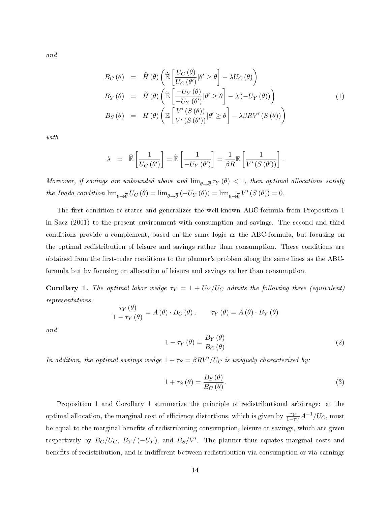and

<span id="page-14-3"></span>
$$
B_C(\theta) = \hat{H}(\theta) \left( \widehat{\mathbb{E}} \left[ \frac{U_C(\theta)}{U_C(\theta')} | \theta' \ge \theta \right] - \lambda U_C(\theta) \right)
$$
  
\n
$$
B_Y(\theta) = \tilde{H}(\theta) \left( \widetilde{\mathbb{E}} \left[ \frac{-U_Y(\theta)}{-U_Y(\theta')} | \theta' \ge \theta \right] - \lambda (-U_Y(\theta)) \right)
$$
  
\n
$$
B_S(\theta) = H(\theta) \left( \mathbb{E} \left[ \frac{V'(S(\theta))}{V'(S(\theta'))} | \theta' \ge \theta \right] - \lambda \beta R V'(S(\theta)) \right)
$$
\n(1)

with

$$
\lambda = \widehat{\mathbb{E}}\left[\frac{1}{U_C(\theta')}\right] = \widetilde{\mathbb{E}}\left[\frac{1}{-U_Y(\theta')}\right] = \frac{1}{\beta R} \mathbb{E}\left[\frac{1}{V'(S(\theta'))}\right].
$$

Moreover, if savings are unbounded above and  $\lim_{\theta\to\overline{\theta}}\tau_Y(\theta) < 1,$  then optimal allocations satisfy the Inada condition  $\lim_{\theta \to \overline{\theta}} U_C(\theta) = \lim_{\theta \to \overline{\theta}} (-U_Y(\theta)) = \lim_{\theta \to \overline{\theta}} V'(S(\theta)) = 0.$ 

The first condition re-states and generalizes the well-known ABC-formula from Proposition 1 in Saez [\(2001\)](#page-46-2) to the present environment with consumption and savings. The second and third conditions provide a complement, based on the same logic as the ABC-formula, but focusing on the optimal redistribution of leisure and savings rather than consumption. These conditions are obtained from the first-order conditions to the planner's problem along the same lines as the ABCformula but by focusing on allocation of leisure and savings rather than consumption.

<span id="page-14-0"></span>Corollary 1. The optimal labor wedge  $\tau_Y = 1 + U_Y/U_C$  admits the following three (equivalent) representations:

$$
\frac{\tau_Y(\theta)}{1-\tau_Y(\theta)} = A(\theta) \cdot B_C(\theta), \qquad \tau_Y(\theta) = A(\theta) \cdot B_Y(\theta)
$$

and

<span id="page-14-2"></span>
$$
1 - \tau_Y(\theta) = \frac{B_Y(\theta)}{B_C(\theta)}
$$
\n<sup>(2)</sup>

In addition, the optimal savings wedge  $1 + \tau_S = \beta R V'/U_C$  is uniquely characterized by:

<span id="page-14-1"></span>
$$
1 + \tau_S(\theta) = \frac{B_S(\theta)}{B_C(\theta)}.
$$
\n(3)

Proposition [1](#page-13-0) and Corollary [1](#page-14-0) summarize the principle of redistributional arbitrage: at the optimal allocation, the marginal cost of efficiency distortions, which is given by  $\frac{\tau_Y}{1-\tau_Y}A^{-1}/U_C$ , must be equal to the marginal benefits of redistributing consumption, leisure or savings, which are given respectively by  $B_C/U_C, B_Y/(-U_Y)$ , and  $B_S/V'$ . The planner thus equates marginal costs and benefits of redistribution, and is indifferent between redistribution via consumption or via earnings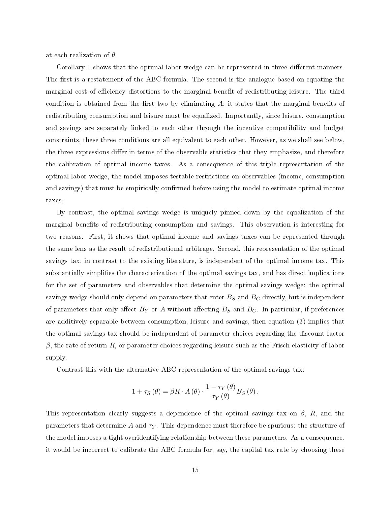at each realization of  $\theta$ .

Corollary [1](#page-14-0) shows that the optimal labor wedge can be represented in three different manners. The first is a restatement of the ABC formula. The second is the analogue based on equating the marginal cost of efficiency distortions to the marginal benefit of redistributing leisure. The third condition is obtained from the first two by eliminating  $A$ ; it states that the marginal benefits of redistributing consumption and leisure must be equalized. Importantly, since leisure, consumption and savings are separately linked to each other through the incentive compatibility and budget constraints, these three conditions are all equivalent to each other. However, as we shall see below, the three expressions differ in terms of the observable statistics that they emphasize, and therefore the calibration of optimal income taxes. As a consequence of this triple representation of the optimal labor wedge, the model imposes testable restrictions on observables (income, consumption and savings) that must be empirically confirmed before using the model to estimate optimal income taxes.

By contrast, the optimal savings wedge is uniquely pinned down by the equalization of the marginal benefits of redistributing consumption and savings. This observation is interesting for two reasons. First, it shows that optimal income and savings taxes can be represented through the same lens as the result of redistributional arbitrage. Second, this representation of the optimal savings tax, in contrast to the existing literature, is independent of the optimal income tax. This substantially simplies the characterization of the optimal savings tax, and has direct implications for the set of parameters and observables that determine the optimal savings wedge: the optimal savings wedge should only depend on parameters that enter  $B_S$  and  $B_C$  directly, but is independent of parameters that only affect  $B<sub>Y</sub>$  or A without affecting  $B<sub>S</sub>$  and  $B<sub>C</sub>$ . In particular, if preferences are additively separable between consumption, leisure and savings, then equation [\(3\)](#page-14-1) implies that the optimal savings tax should be independent of parameter choices regarding the discount factor  $\beta$ , the rate of return R, or parameter choices regarding leisure such as the Frisch elasticity of labor supply.

Contrast this with the alternative ABC representation of the optimal savings tax:

$$
1 + \tau_S(\theta) = \beta R \cdot A(\theta) \cdot \frac{1 - \tau_Y(\theta)}{\tau_Y(\theta)} B_S(\theta).
$$

This representation clearly suggests a dependence of the optimal savings tax on  $\beta$ , R, and the parameters that determine A and  $\tau_Y$ . This dependence must therefore be spurious: the structure of the model imposes a tight overidentifying relationship between these parameters. As a consequence, it would be incorrect to calibrate the ABC formula for, say, the capital tax rate by choosing these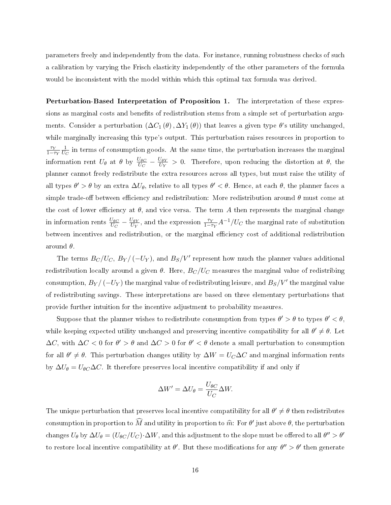parameters freely and independently from the data. For instance, running robustness checks of such a calibration by varying the Frisch elasticity independently of the other parameters of the formula would be inconsistent with the model within which this optimal tax formula was derived.

Perturbation-Based Interpretation of Proposition [1.](#page-13-0) The interpretation of these expressions as marginal costs and benefits of redistribution stems from a simple set of perturbation arguments. Consider a perturbation  $(\Delta C_1(\theta), \Delta Y_1(\theta))$  that leaves a given type  $\theta$ 's utility unchanged, while marginally increasing this type's output. This perturbation raises resources in proportion to  $\tau_Y$  $\frac{\tau_Y}{1-\tau_Y}\frac{1}{U_0}$  $\frac{1}{U_C}$  in terms of consumption goods. At the same time, the perturbation increases the marginal information rent  $U_{\theta}$  at  $\theta$  by  $\frac{U_{\theta C}}{U_C} - \frac{U_{\theta Y}}{U_Y}$  $\frac{\partial \theta Y}{\partial V_Y} > 0$ . Therefore, upon reducing the distortion at  $\theta$ , the planner cannot freely redistribute the extra resources across all types, but must raise the utility of all types  $\theta'>\theta$  by an extra  $\Delta U_\theta$ , relative to all types  $\theta'<\theta$ . Hence, at each  $\theta$ , the planner faces a simple trade-off between efficiency and redistribution: More redistribution around  $\theta$  must come at the cost of lower efficiency at  $\theta$ , and vice versa. The term A then represents the marginal change in information rents  $\frac{U_{\theta C}}{U_C} - \frac{U_{\theta Y}}{U_Y}$  $\frac{U_{\theta Y}}{U_Y}$ , and the expression  $\frac{\tau_Y}{1-\tau_Y}A^{-1}/U_C$  the marginal rate of substitution between incentives and redistribution, or the marginal efficiency cost of additional redistribution around  $\theta$ .

The terms  $B_C/U_C, B_Y/(-U_Y),$  and  $B_S/V'$  represent how much the planner values additional redistribution locally around a given  $\theta$ . Here,  $B_C/U_C$  measures the marginal value of redistribing consumption,  $B_Y/(-U_Y)$  the marginal value of redistributing leisure, and  $B_S/V'$  the marginal value of redistributing savings. These interpretations are based on three elementary perturbations that provide further intuition for the incentive adjustment to probability measures.

Suppose that the planner wishes to redistribute consumption from types  $\theta' > \theta$  to types  $\theta' < \theta$ , while keeping expected utility unchanged and preserving incentive compatibility for all  $\theta' \neq \theta$ . Let  $\Delta C$ , with  $\Delta C < 0$  for  $\theta' > \theta$  and  $\Delta C > 0$  for  $\theta' < \theta$  denote a small perturbation to consumption for all  $\theta' \neq \theta$ . This perturbation changes utility by  $\Delta W = U_C \Delta C$  and marginal information rents by  $\Delta U_{\theta} = U_{\theta C} \Delta C$ . It therefore preserves local incentive compatibility if and only if

$$
\Delta W' = \Delta U_{\theta} = \frac{U_{\theta C}}{U_C} \Delta W.
$$

The unique perturbation that preserves local incentive compatibility for all  $\theta' \neq \theta$  then redistributes consumption in proportion to  $\widehat{M}$  and utility in proportion to  $\widehat{m}$ : For  $\theta'$  just above  $\theta,$  the perturbation changes  $U_\theta$  by  $\Delta U_\theta=(U_{\theta C}/U_C)\!\cdot\!\Delta W,$  and this adjustment to the slope must be offered to all  $\theta''>\theta'$ to restore local incentive compatibility at  $\theta'$ . But these modifications for any  $\theta'' > \theta'$  then generate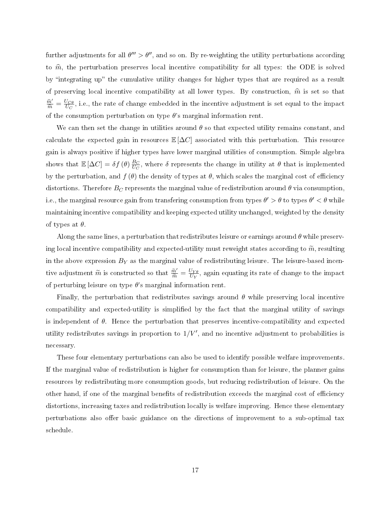further adjustments for all  $\theta''' > \theta''$ , and so on. By re-weighting the utility perturbations according to  $\hat{m}$ , the perturbation preserves local incentive compatibility for all types: the ODE is solved by "integrating up" the cumulative utility changes for higher types that are required as a result of preserving local incentive compatibility at all lower types. By construction,  $\hat{m}$  is set so that  $\frac{\hat{m}'}{\hat{m}} = \frac{U_{C\theta}}{U_C}$  $\frac{U_C \theta}{U_C}$ , i.e., the rate of change embedded in the incentive adjustment is set equal to the impact of the consumption perturbation on type  $\theta$ 's marginal information rent.

We can then set the change in utilities around  $\theta$  so that expected utility remains constant, and calculate the expected gain in resources  $\mathbb{E}[\Delta C]$  associated with this perturbation. This resource gain is always positive if higher types have lower marginal utilities of consumption. Simple algebra shows that  $\mathbb{E}[\Delta C] = \delta f(\theta) \frac{B_C}{U_C}$  $\frac{B_C}{U_C}$ , where  $\delta$  represents the change in utility at  $\theta$  that is implemented by the perturbation, and  $f(\theta)$  the density of types at  $\theta$ , which scales the marginal cost of efficiency distortions. Therefore  $B_C$  represents the marginal value of redistribution around  $\theta$  via consumption, i.e., the marginal resource gain from transfering consumption from types  $\theta' > \theta$  to types  $\theta' < \theta$  while maintaining incentive compatibility and keeping expected utility unchanged, weighted by the density of types at  $\theta$ .

Along the same lines, a perturbation that redistributes leisure or earnings around  $\theta$  while preserving local incentive compatibility and expected-utility must reweight states according to  $\widetilde{m}$ , resulting in the above expression  $B_Y$  as the marginal value of redistributing leisure. The leisure-based incentive adjustment  $\widetilde{m}$  is constructed so that  $\frac{\widetilde{m}'}{\widetilde{m}} = \frac{U_{Y\theta}}{U_{Y}}$  $\frac{\partial Y_{\boldsymbol{\theta}}}{\partial V_{\boldsymbol{Y}}}$ , again equating its rate of change to the impact of perturbing leisure on type  $\theta$ 's marginal information rent.

Finally, the perturbation that redistributes savings around  $\theta$  while preserving local incentive compatibility and expected-utility is simplied by the fact that the marginal utility of savings is independent of  $\theta$ . Hence the perturbation that preserves incentive-compatibility and expected utility redistributes savings in proportion to  $1/V'$ , and no incentive adjustment to probabilities is necessary.

These four elementary perturbations can also be used to identify possible welfare improvements. If the marginal value of redistribution is higher for consumption than for leisure, the planner gains resources by redistributing more consumption goods, but reducing redistribution of leisure. On the other hand, if one of the marginal benefits of redistribution exceeds the marginal cost of efficiency distortions, increasing taxes and redistribution locally is welfare improving. Hence these elementary perturbations also offer basic guidance on the directions of improvement to a sub-optimal tax schedule.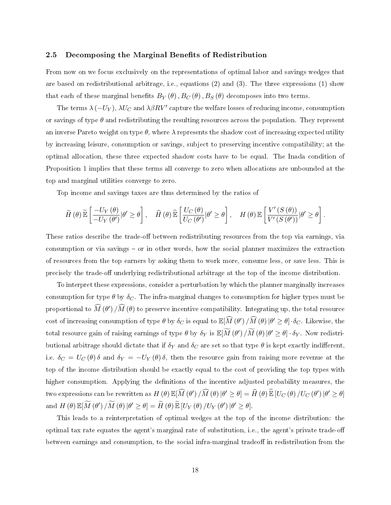#### 2.5 Decomposing the Marginal Benefits of Redistribution

From now on we focus exclusively on the representations of optimal labor and savings wedges that are based on redistributional arbitrage, i.e., equations [\(2\)](#page-14-2) and [\(3\)](#page-14-1). The three expressions [\(1\)](#page-14-3) show that each of these marginal benefits  $B_Y(\theta)$ ,  $B_C(\theta)$ ,  $B_S(\theta)$  decomposes into two terms.

The terms  $\lambda\left(-U_Y\right), \lambda U_C$  and  $\lambda\beta RV'$  capture the welfare losses of reducing income, consumption or savings of type  $\theta$  and redistributing the resulting resources across the population. They represent an inverse Pareto weight on type  $\theta$ , where  $\lambda$  represents the shadow cost of increasing expected utility by increasing leisure, consumption or savings, subject to preserving incentive compatibility; at the optimal allocation, these three expected shadow costs have to be equal. The Inada condition of Proposition [1](#page-13-0) implies that these terms all converge to zero when allocations are unbounded at the top and marginal utilities converge to zero.

Top income and savings taxes are thus determined by the ratios of

$$
\widetilde{H}(\theta)\widetilde{\mathbb{E}}\left[\frac{-U_Y(\theta)}{-U_Y(\theta')}\big|\theta'\geq\theta\right],\quad \widehat{H}(\theta)\widehat{\mathbb{E}}\left[\frac{U_C(\theta)}{U_C(\theta')}\big|\theta'\geq\theta\right],\quad H(\theta)\mathbb{E}\left[\frac{V'(S(\theta))}{V'(S(\theta'))}\big|\theta'\geq\theta\right]
$$

.

These ratios describe the trade-off between redistributing resources from the top via earnings, via consumption or via savings  $-$  or in other words, how the social planner maximizes the extraction of resources from the top earners by asking them to work more, consume less, or save less. This is precisely the trade-off underlying redistributional arbitrage at the top of the income distribution.

To interpret these expressions, consider a perturbation by which the planner marginally increases consumption for type  $\theta$  by  $\delta_C$ . The infra-marginal changes to consumption for higher types must be proportional to  $\widehat{M}\left(\theta'\right)/\widehat{M}\left(\theta\right)$  to preserve incentive compatibility. Integrating up, the total resource cost of increasing consumption of type  $\theta$  by  $\delta_C$  is equal to  $\mathbb{E}[\widehat{M}(\theta')\big/\widehat{M}(\theta)|\theta'\geq \theta]\cdot \delta_C$ . Likewise, the total resource gain of raising earnings of type  $\theta$  by  $\delta_Y$  is  $\mathbb{E}[\widetilde{M}(\theta)/\widetilde{M}(\theta)|\theta'\geq \theta]\cdot \delta_Y$ . Now redistributional arbitrage should dictate that if  $\delta_Y$  and  $\delta_C$  are set so that type  $\theta$  is kept exactly indifferent, i.e.  $\delta_C = U_C(\theta) \delta$  and  $\delta_Y = -U_Y(\theta) \delta$ , then the resource gain from raising more revenue at the top of the income distribution should be exactly equal to the cost of providing the top types with higher consumption. Applying the definitions of the incentive adjusted probability measures, the two expressions can be rewritten as  $H(\theta) \mathbb{E}[\widehat{M}(\theta') / \widehat{M}(\theta) | \theta' \ge \theta] = \widehat{H}(\theta) \widehat{\mathbb{E}} [U_C(\theta) / U_C(\theta') | \theta' \ge \theta]$ and  $H(\theta) \mathbb{E}[\widetilde{M}(\theta') / \widetilde{M}(\theta) | \theta' \ge \theta] = \widetilde{H}(\theta) \widetilde{\mathbb{E}} [U_Y(\theta) / U_Y(\theta') | \theta' \ge \theta].$ 

This leads to a reinterpretation of optimal wedges at the top of the income distribution: the optimal tax rate equates the agent's marginal rate of substitution, i.e., the agent's private trade-o between earnings and consumption, to the social infra-marginal tradeoff in redistribution from the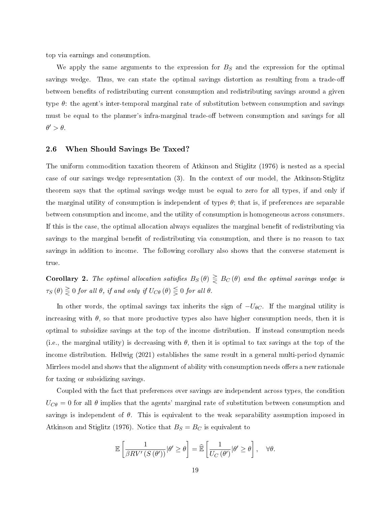top via earnings and consumption.

We apply the same arguments to the expression for  $B<sub>S</sub>$  and the expression for the optimal savings wedge. Thus, we can state the optimal savings distortion as resulting from a trade-off between benefits of redistributing current consumption and redistributing savings around a given type  $\theta$ : the agent's inter-temporal marginal rate of substitution between consumption and savings must be equal to the planner's infra-marginal trade-off between consumption and savings for all  $\theta' > \theta$ .

#### 2.6 When Should Savings Be Taxed?

The uniform commodition taxation theorem of Atkinson and Stiglitz [\(1976\)](#page-44-1) is nested as a special case of our savings wedge representation [\(3\)](#page-14-1). In the context of our model, the Atkinson-Stiglitz theorem says that the optimal savings wedge must be equal to zero for all types, if and only if the marginal utility of consumption is independent of types  $\theta$ ; that is, if preferences are separable between consumption and income, and the utility of consumption is homogeneous across consumers. If this is the case, the optimal allocation always equalizes the marginal benet of redistributing via savings to the marginal benefit of redistributing via consumption, and there is no reason to tax savings in addition to income. The following corollary also shows that the converse statement is true.

<span id="page-19-0"></span>Corollary 2. The optimal allocation satisfies  $B_S(\theta) \geq B_C(\theta)$  and the optimal savings wedge is  $\tau_{S}\left(\theta\right)\gtreqqless 0$  for all  $\theta$ , if and only if  $U_{C\theta}\left(\theta\right)\gtreqqless 0$  for all  $\theta$ .

In other words, the optimal savings tax inherits the sign of  $-U_{\theta C}$ . If the marginal utility is increasing with  $\theta$ , so that more productive types also have higher consumption needs, then it is optimal to subsidize savings at the top of the income distribution. If instead consumption needs (i.e., the marginal utility) is decreasing with  $\theta$ , then it is optimal to tax savings at the top of the income distribution. Hellwig [\(2021\)](#page-45-0) establishes the same result in a general multi-period dynamic Mirrlees model and shows that the alignment of ability with consumption needs offers a new rationale for taxing or subsidizing savings.

Coupled with the fact that preferences over savings are independent across types, the condition  $U_{C\theta} = 0$  for all  $\theta$  implies that the agents' marginal rate of substitution between consumption and savings is independent of  $\theta$ . This is equivalent to the weak separability assumption imposed in Atkinson and Stiglitz [\(1976\)](#page-44-1). Notice that  $B<sub>S</sub> = B<sub>C</sub>$  is equivalent to

$$
\mathbb{E}\left[\frac{1}{\beta RV'(S(\theta'))}|\theta'\geq\theta\right]=\widehat{\mathbb{E}}\left[\frac{1}{U_C(\theta')}|\theta'\geq\theta\right],\quad\forall\theta.
$$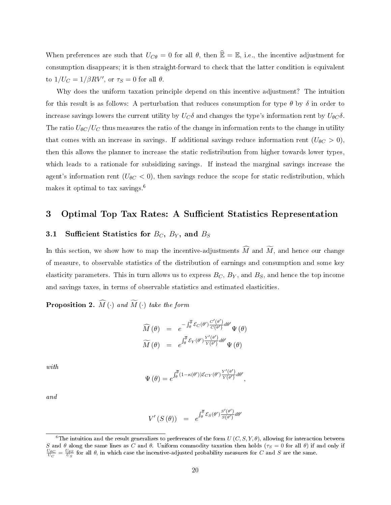When preferences are such that  $U_{\mathcal{C}\theta} = 0$  for all  $\theta$ , then  $\widehat{\mathbb{E}} = \mathbb{E}$ , i.e., the incentive adjustment for consumption disappears; it is then straight-forward to check that the latter condition is equivalent to  $1/U_C = 1/\beta RV'$ , or  $\tau_S = 0$  for all  $\theta$ .

Why does the uniform taxation principle depend on this incentive adjustment? The intuition for this result is as follows: A perturbation that reduces consumption for type  $\theta$  by  $\delta$  in order to increase savings lowers the current utility by  $U_C\delta$  and changes the type's information rent by  $U_{\theta C}\delta$ . The ratio  $U_{\theta C}/U_C$  thus measures the ratio of the change in information rents to the change in utility that comes with an increase in savings. If additional savings reduce information rent  $(U_{\theta C} > 0)$ , then this allows the planner to increase the static redistribution from higher towards lower types, which leads to a rationale for subsidizing savings. If instead the marginal savings increase the agent's information rent  $(U_{\theta C} < 0)$ , then savings reduce the scope for static redistribution, which makes it optimal to tax savings.[6](#page-1-0)

## <span id="page-20-0"></span>3 Optimal Top Tax Rates: A Sufficient Statistics Representation

## 3.1 Sufficient Statistics for  $B_C$ ,  $B_Y$ , and  $B_S$

In this section, we show how to map the incentive-adjustments  $\widehat{M}$  and  $\widetilde{M}$ , and hence our change of measure, to observable statistics of the distribution of earnings and consumption and some key elasticity parameters. This in turn allows us to express  $B_C$ ,  $B_Y$ , and  $B_S$ , and hence the top income and savings taxes, in terms of observable statistics and estimated elasticities.

<span id="page-20-1"></span>**Proposition 2.**  $\widehat{M}(\cdot)$  and  $\widetilde{M}(\cdot)$  take the form

$$
\widehat{M}(\theta) = e^{-\int_{\theta}^{\overline{\theta}} \mathcal{E}_C(\theta') \frac{C'(\theta')}{C(\theta')}} d\theta' \Psi(\theta)
$$

$$
\widetilde{M}(\theta) = e^{\int_{\theta}^{\overline{\theta}} \mathcal{E}_Y(\theta') \frac{Y'(\theta')}{Y(\theta')} d\theta'} \Psi(\theta)
$$

with

$$
\Psi(\theta) = e^{\int_{\theta}^{\overline{\theta}} (1 - \kappa(\theta'))\mathcal{E}_{CY}(\theta')\frac{Y'(\theta')}{Y(\theta')}d\theta'}
$$

,

and

$$
V'(S(\theta)) = e^{\int_{\theta}^{\overline{\theta}} \mathcal{E}_S(\theta') \frac{S'(\theta')}{S(\theta')} d\theta'}
$$

 $^6\rm{The}$  intuition and the result generalizes to preferences of the form  $U\left(C,S,Y,\theta\right),$  allowing for interaction between S and  $\theta$  along the same lines as C and  $\theta$ . Uniform commodity taxation then holds ( $\tau_S = 0$  for all  $\theta$ ) if and only if  $\frac{U_{\theta C}}{U_C} = \frac{U_{\theta S}}{U_S}$  for all  $\theta$ , in which case the incentive-adjusted probability meas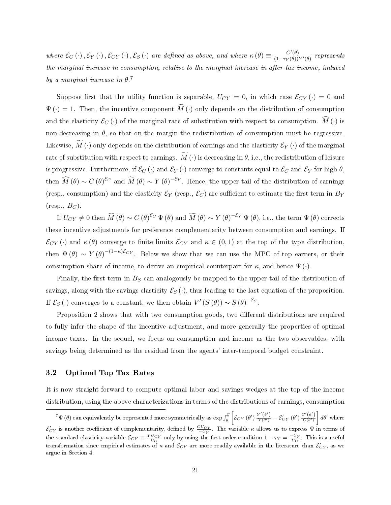where  $\mathcal{E}_C(\cdot), \mathcal{E}_Y(\cdot), \mathcal{E}_{CY}(\cdot), \mathcal{E}_S(\cdot)$  are defined as above, and where  $\kappa(\theta) \equiv \frac{C'(\theta)}{(1-\tau_Y(\theta))}$  $\frac{C(\theta)}{(1-\tau_Y(\theta))Y'(\theta)}$  represents the marginal increase in consumption, relative to the marginal increase in after-tax income, induced by a marginal increase in  $\theta$ .<sup>[7](#page-1-0)</sup>

Suppose first that the utility function is separable,  $U_{CY} = 0$ , in which case  $\mathcal{E}_{CY}(\cdot) = 0$  and  $\Psi(\cdot) = 1$ . Then, the incentive component  $\widehat{M}(\cdot)$  only depends on the distribution of consumption and the elasticity  $\mathcal{E}_C(\cdot)$  of the marginal rate of substitution with respect to consumption.  $\widehat{M}(\cdot)$  is non-decreasing in  $\theta$ , so that on the margin the redistribution of consumption must be regressive. Likewise,  $M(\cdot)$  only depends on the distribution of earnings and the elasticity  $\mathcal{E}_Y(\cdot)$  of the marginal rate of substitution with respect to earnings.  $\widetilde{M}(\cdot)$  is decreasing in  $\theta$ , i.e., the redistribution of leisure is progressive. Furthermore, if  $\mathcal{E}_C(\cdot)$  and  $\mathcal{E}_Y(\cdot)$  converge to constants equal to  $\mathcal{E}_C$  and  $\mathcal{E}_Y$  for high  $\theta$ , then  $\widehat{M}(\theta) \sim C(\theta)^{\mathcal{E}_C}$  and  $\widetilde{M}(\theta) \sim Y(\theta)^{-\mathcal{E}_Y}$ . Hence, the upper tail of the distribution of earnings (resp., consumption) and the elasticity  $\mathcal{E}_Y$  (resp.,  $\mathcal{E}_C$ ) are sufficient to estimate the first term in  $B_Y$  $(\text{resp.}, B_C)$ .

If  $U_{CY}\neq 0$  then  $\widehat{M}(\theta)\sim C(\theta)^{\mathcal{E}_C}\,\Psi\left(\theta\right)$  and  $\widetilde{M}(\theta)\sim Y(\theta)^{-\mathcal{E}_Y}\,\Psi\left(\theta\right)$ , i.e., the term  $\Psi\left(\theta\right)$  corrects these incentive adjustments for preference complementarity between consumption and earnings. If  $\mathcal{E}_{CY}$  (·) and  $\kappa(\theta)$  converge to finite limits  $\mathcal{E}_{CY}$  and  $\kappa \in (0,1)$  at the top of the type distribution, then  $\Psi(\theta) \sim Y(\theta)^{-(1-\kappa)\mathcal{E}_{CY}}$ . Below we show that we can use the MPC of top earners, or their consumption share of income, to derive an empirical counterpart for  $\kappa$ , and hence  $\Psi(\cdot)$ .

Finally, the first term in  $B<sub>S</sub>$  can analogously be mapped to the upper tail of the distribution of savings, along with the savings elasticity  $\mathcal{E}_S(\cdot)$ , thus leading to the last equation of the proposition. If  $\mathcal{E}_S(\cdot)$  converges to a constant, we then obtain  $V'(S(\theta)) \sim S(\theta)^{-\mathcal{E}_S}$ .

Proposition [2](#page-20-1) shows that with two consumption goods, two different distributions are required to fully infer the shape of the incentive adjustment, and more generally the properties of optimal income taxes. In the sequel, we focus on consumption and income as the two observables, with savings being determined as the residual from the agents' inter-temporal budget constraint.

#### 3.2 Optimal Top Tax Rates

It is now straight-forward to compute optimal labor and savings wedges at the top of the income distribution, using the above characterizations in terms of the distributions of earnings, consumption

 $^7\Psi\left(\theta\right)$  can equivalently be represented more symmetrically as  $\exp\int_{\theta}^{\overline{\theta}}$  $\left[ \mathcal{E}_{CY}(\theta') \frac{Y'(\theta')}{Y(\theta')} - \mathcal{E}_{CY}'(\theta') \frac{C'(\theta')}{C(\theta')} \right]$  $\int d\theta'$  where  $\mathcal{E}_{CY}'$  is another coefficient of complementarity, defined by  $\frac{CU_{CY}}{-U_Y}$ . The variable  $\kappa$  allows us to express  $\Psi$  in terms of the standard elasticity variable  $\mathcal{E}_{CY} \equiv \frac{YU_{CY}}{U_C}$  only by using the first order condition  $1 - \tau_Y = \frac{-U_Y}{U_C}$ . This is a useful transformation since empirical estimates of  $\kappa$  and  $\mathcal{E}_{CY}$  are more readily available in the literature than  $\mathcal{E}_{CY}'$ , as we argue in Section [4.](#page-24-0)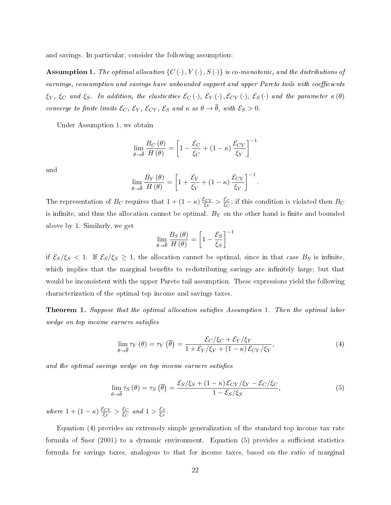and savings. In particular, consider the following assumption:

<span id="page-22-0"></span>**Assumption 1.** The optimal allocation  $\{C \cdot (·), Y \cdot (·), S \cdot (·)\}$  is co-monotonic, and the distributions of earnings, consumption and savings have unbounded support and upper Pareto tails with coefficients  $\xi_Y$ ,  $\xi_C$  and  $\xi_S$ . In addition, the elasticities  $\mathcal{E}_C(\cdot)$ ,  $\mathcal{E}_Y(\cdot)$ ,  $\mathcal{E}_{CY}(\cdot)$ ,  $\mathcal{E}_S(\cdot)$  and the parameter  $\kappa(\theta)$ converge to finite limits  $\mathcal{E}_C$ ,  $\mathcal{E}_Y$ ,  $\mathcal{E}_{CY}$ ,  $\mathcal{E}_S$  and  $\kappa$  as  $\theta \to \overline{\theta}$ , with  $\mathcal{E}_S > 0$ .

Under Assumption [1,](#page-22-0) we obtain

$$
\lim_{\theta \to \overline{\theta}} \frac{B_C(\theta)}{H(\theta)} = \left[1 - \frac{\mathcal{E}_C}{\xi_C} + (1 - \kappa) \frac{\mathcal{E}_{CY}}{\xi_Y}\right]^{-1}
$$

and

$$
\lim_{\theta \to \overline{\theta}} \frac{B_Y(\theta)}{H(\theta)} = \left[1 + \frac{\mathcal{E}_Y}{\xi_Y} + (1 - \kappa) \frac{\mathcal{E}_{CY}}{\xi_Y}\right]^{-1}.
$$

The representation of  $B_C$  requires that  $1 + (1 - \kappa) \frac{\mathcal{E}_{CY}}{\mathcal{E}_{Y}}$  $\frac{\mathcal{E}_{CY}}{\xi_Y} > \frac{\mathcal{E}_C}{\xi_C}$  $\frac{\varepsilon_C}{\varepsilon_C}$ ; if this condition is violated then  $B_C$ is infinite, and thus the allocation cannot be optimal.  $B<sub>Y</sub>$  on the other hand is finite and bounded above by 1. Similarly, we get

$$
\lim_{\theta \to \overline{\theta}} \frac{B_S(\theta)}{H(\theta)} = \left[1 - \frac{\mathcal{E}_S}{\xi_S}\right]^{-1}
$$

if  $\mathcal{E}_S/\xi_S < 1$ . If  $\mathcal{E}_S/\xi_S \geq 1$ , the allocation cannot be optimal, since in that case  $B_S$  is infinite, which implies that the marginal benefits to redistributing savings are infinitely large; but that would be inconsistent with the upper Pareto tail assumption. These expressions yield the following characterization of the optimal top income and savings taxes.

<span id="page-22-3"></span>**Theorem [1.](#page-22-0)** Suppose that the optimal allocation satisfies Assumption 1. Then the optimal labor wedge on top income earners satisfies

<span id="page-22-1"></span>
$$
\lim_{\theta \to \overline{\theta}} \tau_Y(\theta) = \tau_Y(\overline{\theta}) = \frac{\mathcal{E}_C/\xi_C + \mathcal{E}_Y/\xi_Y}{1 + \mathcal{E}_Y/\xi_Y + (1 - \kappa) \mathcal{E}_{CY}/\xi_Y},\tag{4}
$$

and the optimal savings wedge on top income earners satisfies

<span id="page-22-2"></span>
$$
\lim_{\theta \to \overline{\theta}} \tau_S(\theta) = \tau_S(\overline{\theta}) = \frac{\mathcal{E}_S/\xi_S + (1 - \kappa) \mathcal{E}_{CY}/\xi_Y - \mathcal{E}_C/\xi_C}{1 - \mathcal{E}_S/\xi_S},\tag{5}
$$

where  $1 + (1 - \kappa) \frac{\mathcal{E}_{CY}}{\mathcal{E}_{Y}}$  $\frac{\mathcal{E}_{CY}}{\xi_Y} > \frac{\mathcal{E}_{C}}{\xi_C}$  $\frac{\mathcal{E}_C}{\xi_C}$  and  $1 > \frac{\mathcal{E}_S}{\xi_S}$  $\frac{\mathcal{E}_S}{\xi_S}$  .

Equation [\(4\)](#page-22-1) provides an extremely simple generalization of the standard top income tax rate formula of Saez  $(2001)$  to a dynamic environment. Equation  $(5)$  provides a sufficient statistics formula for savings taxes, analogous to that for income taxes, based on the ratio of marginal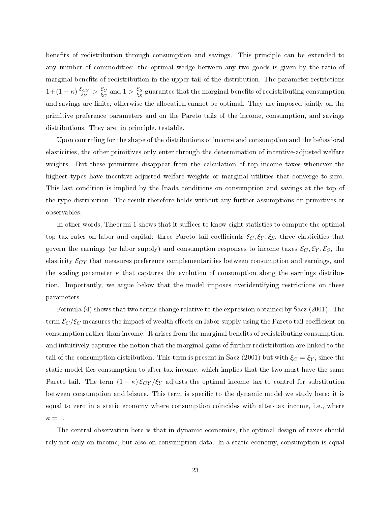benefits of redistribution through consumption and savings. This principle can be extended to any number of commodities: the optimal wedge between any two goods is given by the ratio of marginal benefits of redistribution in the upper tail of the distribution. The parameter restrictions  $1+(1-\kappa)\frac{\mathcal{E}_{CY}}{\mathcal{E}_{Y}}$  $\frac{\mathcal{E}_{CY}}{\xi_Y} > \frac{\mathcal{E}_C}{\xi_C}$  $\frac{\mathcal{E}_C}{\xi_C}$  and  $1 > \frac{\mathcal{E}_S}{\xi_S}$  $\frac{\varepsilon_S}{\xi_S}$  guarantee that the marginal benefits of redistributing consumption and savings are finite; otherwise the allocation cannot be optimal. They are imposed jointly on the primitive preference parameters and on the Pareto tails of the income, consumption, and savings distributions. They are, in principle, testable.

Upon controling for the shape of the distributions of income and consumption and the behavioral elasticities, the other primitives only enter through the determination of incentive-adjusted welfare weights. But these primitives disappear from the calculation of top income taxes whenever the highest types have incentive-adjusted welfare weights or marginal utilities that converge to zero. This last condition is implied by the Inada conditions on consumption and savings at the top of the type distribution. The result therefore holds without any further assumptions on primitives or observables.

In other words, Theorem [1](#page-22-3) shows that it suffices to know eight statistics to compute the optimal top tax rates on labor and capital: three Pareto tail coefficients  $\xi_C, \xi_Y, \xi_S$ , three elasticities that govern the earnings (or labor supply) and consumption responses to income taxes  $\mathcal{E}_C, \mathcal{E}_Y, \mathcal{E}_S$ , the elasticity  $\mathcal{E}_{CY}$  that measures preference complementarities between consumption and earnings, and the scaling parameter  $\kappa$  that captures the evolution of consumption along the earnings distribution. Importantly, we argue below that the model imposes overidentifying restrictions on these parameters.

Formula [\(4\)](#page-22-1) shows that two terms change relative to the expression obtained by Saez [\(2001\)](#page-46-2). The term  $\mathcal{E}_C/\xi_C$  measures the impact of wealth effects on labor supply using the Pareto tail coefficient on consumption rather than income. It arises from the marginal benets of redistributing consumption, and intuitively captures the notion that the marginal gains of further redistribution are linked to the tail of the consumption distribution. This term is present in Saez [\(2001\)](#page-46-2) but with  $\xi_C = \xi_Y$ , since the static model ties consumption to after-tax income, which implies that the two must have the same Pareto tail. The term  $(1 - \kappa) \mathcal{E}_{CY} / \xi_Y$  adjusts the optimal income tax to control for substitution between consumption and leisure. This term is specific to the dynamic model we study here: it is equal to zero in a static economy where consumption coincides with after-tax income, i.e., where  $\kappa = 1$ .

The central observation here is that in dynamic economies, the optimal design of taxes should rely not only on income, but also on consumption data. In a static economy, consumption is equal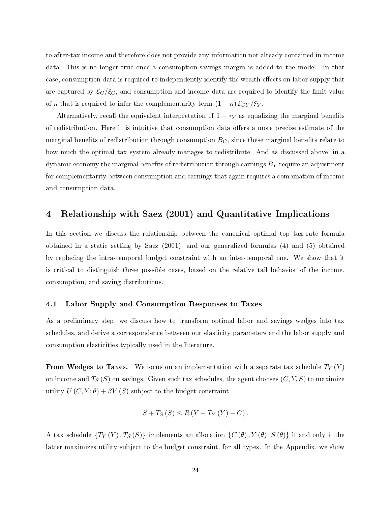to after-tax income and therefore does not provide any information not already contained in income data. This is no longer true once a consumption-savings margin is added to the model. In that case, consumption data is required to independently identify the wealth effects on labor supply that are captured by  $\mathcal{E}_C/\xi_C$ , and consumption and income data are required to identify the limit value of  $\kappa$  that is required to infer the complementarity term  $(1 - \kappa) \mathcal{E}_{CY} / \mathcal{E}_{Y}$ .

Alternatively, recall the equivalent interpretation of  $1 - \tau_Y$  as equalizing the marginal benefits of redistribution. Here it is intuitive that consumption data offers a more precise estimate of the marginal benefits of redistribution through consumption  $B<sub>C</sub>$ , since these marginal benefits relate to how much the optimal tax system already manages to redistribute. And as discussed above, in a dynamic economy the marginal benefits of redistribution through earnings  $B<sub>Y</sub>$  require an adjustment for complementarity between consumption and earnings that again requires a combination of income and consumption data.

## <span id="page-24-0"></span>4 Relationship with Saez [\(2001\)](#page-46-2) and Quantitative Implications

In this section we discuss the relationship between the canonical optimal top tax rate formula obtained in a static setting by Saez [\(2001\)](#page-46-2), and our generalized formulas [\(4\)](#page-22-1) and [\(5\)](#page-22-2) obtained by replacing the intra-temporal budget constraint with an inter-temporal one. We show that it is critical to distinguish three possible cases, based on the relative tail behavior of the income, consumption, and saving distributions.

#### <span id="page-24-1"></span>4.1 Labor Supply and Consumption Responses to Taxes

As a preliminary step, we discuss how to transform optimal labor and savings wedges into tax schedules, and derive a correspondence between our elasticity parameters and the labor supply and consumption elasticities typically used in the literature.

**From Wedges to Taxes.** We focus on an implementation with a separate tax schedule  $T_Y(Y)$ on income and  $T_S(S)$  on savings. Given such tax schedules, the agent chooses  $(C, Y, S)$  to maximize utility  $U(C, Y; \theta) + \beta V(S)$  subject to the budget constraint

$$
S+T_{S}(S)\leq R(Y-T_{Y}(Y)-C).
$$

A tax schedule  $\{T_Y(Y), T_S(S)\}\$ implements an allocation  $\{C(\theta), Y(\theta), S(\theta)\}\$ if and only if the latter maximizes utility subject to the budget constraint, for all types. In the Appendix, we show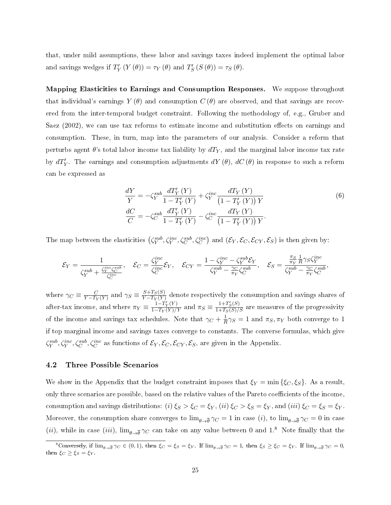that, under mild assumptions, these labor and savings taxes indeed implement the optimal labor and savings wedges if  $T'_Y(Y(\theta)) = \tau_Y(\theta)$  and  $T'_S(S(\theta)) = \tau_S(\theta)$ .

Mapping Elasticities to Earnings and Consumption Responses. We suppose throughout that individual's earnings  $Y(\theta)$  and consumption  $C(\theta)$  are observed, and that savings are recovered from the inter-temporal budget constraint. Following the methodology of, e.g., Gruber and Saez  $(2002)$ , we can use tax reforms to estimate income and substitution effects on earnings and consumption. These, in turn, map into the parameters of our analysis. Consider a reform that perturbs agent  $\theta$ 's total labor income tax liability by  $dT_Y$ , and the marginal labor income tax rate by  $dT_Y'$ . The earnings and consumption adjustments  $dY(\theta)$ ,  $dC(\theta)$  in response to such a reform can be expressed as

<span id="page-25-0"></span>
$$
\frac{dY}{Y} = -\zeta_Y^{sub} \frac{dT'_Y(Y)}{1 - T'_Y(Y)} + \zeta_Y^{inc} \frac{dT_Y(Y)}{(1 - T'_Y(Y)) Y} \n\frac{dC}{C} = -\zeta_C^{sub} \frac{dT'_Y(Y)}{1 - T'_Y(Y)} - \zeta_C^{inc} \frac{dT_Y(Y)}{(1 - T'_Y(Y)) Y}.
$$
\n(6)

The map between the elasticities  $(\zeta_Y^{sub}, \zeta_Y^{inc}, \zeta_C^{sub}, \zeta_C^{inc})$  and  $(\mathcal{E}_Y, \mathcal{E}_C, \mathcal{E}_{CY}, \mathcal{E}_S)$  is then given by:

$$
\mathcal{E}_Y = \frac{1}{\zeta_Y^{sub} + \frac{\zeta_Y^{inc}\zeta_C^{sub}}{\zeta_C^{inc}}}, \quad \mathcal{E}_C = \frac{\zeta_Y^{inc}}{\zeta_C^{inc}} \mathcal{E}_Y, \quad \mathcal{E}_{CY} = \frac{1 - \zeta_Y^{inc} - \zeta_Y^{sub} \mathcal{E}_Y}{\zeta_Y^{sub} - \frac{\gamma_C}{\pi_Y} \zeta_C^{sub}}, \quad \mathcal{E}_S = \frac{\frac{\pi_S}{\pi_Y} \frac{1}{R} \gamma_S \zeta_Y^{inc}}{\zeta_Y^{sub} - \frac{\gamma_C}{\pi_Y} \zeta_C^{sub}},
$$

where  $\gamma_C \equiv \frac{C}{Y-T_1}$  $\frac{C}{Y-T_Y(Y)}$  and  $\gamma_S \equiv \frac{S+T_S(S)}{Y-T_Y(Y)}$  $\frac{S+TS(S)}{Y-T_Y(Y)}$  denote respectively the consumption and savings shares of after-tax income, and where  $\pi_Y \equiv \frac{1 - T'_Y(Y)}{1 - T_Y(Y)/Y}$  and  $\pi_S \equiv \frac{1 + T'_S(S)}{1 + T_S(S)/S}$  are measures of the progressivity of the income and savings tax schedules. Note that  $\gamma_C + \frac{1}{R}$  $\frac{1}{R}\gamma_S = 1$  and  $\pi_S, \pi_Y$  both converge to 1 if top marginal income and savings taxes converge to constants. The converse formulas, which give  $\zeta_Y^{sub}, \zeta_Y^{inc}, \zeta_C^{sub}, \zeta_C^{inc}$  as functions of  $\mathcal{E}_Y, \mathcal{E}_C, \mathcal{E}_{CY}, \mathcal{E}_S$ , are given in the Appendix.

#### 4.2 Three Possible Scenarios

We show in the Appendix that the budget constraint imposes that  $\xi_Y = \min \{\xi_C, \xi_S\}$ . As a result, only three scenarios are possible, based on the relative values of the Pareto coefficients of the income. consumption and savings distributions: (i)  $\xi_S > \xi_C = \xi_Y$ , (ii)  $\xi_C > \xi_S = \xi_Y$ , and (iii)  $\xi_C = \xi_S = \xi_Y$ . Moreover, the consumption share converges to  $\lim_{\theta\to\overline{\theta}}\gamma_C=1$  in case  $(i)$ , to  $\lim_{\theta\to\overline{\theta}}\gamma_C=0$  in case (*ii*), while in case (*iii*),  $\lim_{\theta \to \overline{\theta}} \gamma_C$  can take on any value between 0 and 1.<sup>[8](#page-1-0)</sup> Note finally that the

<sup>&</sup>lt;sup>8</sup>Conversely, if  $\lim_{\theta \to \overline{\theta}} \gamma_C \in (0,1)$ , then  $\xi_C = \xi_S = \xi_Y$ . If  $\lim_{\theta \to \overline{\theta}} \gamma_C = 1$ , then  $\xi_S \ge \xi_C = \xi_Y$ . If  $\lim_{\theta \to \overline{\theta}} \gamma_C = 0$ , then  $\xi_C \ge \xi_S = \xi_Y$ .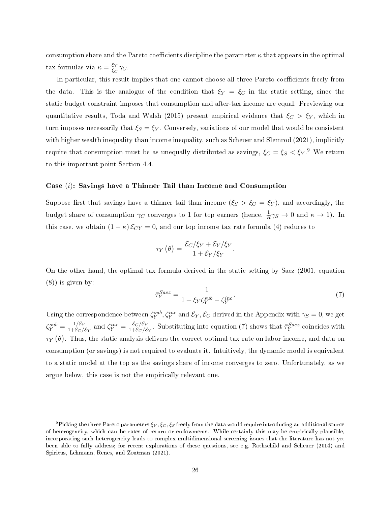consumption share and the Pareto coefficients discipline the parameter  $\kappa$  that appears in the optimal tax formulas via  $\kappa = \frac{\xi_Y}{\xi_S}$  $rac{\xi Y}{\xi_C}$   $\gamma_C$ .

In particular, this result implies that one cannot choose all three Pareto coefficients freely from the data. This is the analogue of the condition that  $\xi_Y = \xi_C$  in the static setting, since the static budget constraint imposes that consumption and after-tax income are equal. Previewing our quantitative results, Toda and Walsh [\(2015\)](#page-47-1) present empirical evidence that  $\xi_C > \xi_Y$ , which in turn imposes necessarily that  $\xi_S = \xi_Y$ . Conversely, variations of our model that would be consistent with higher wealth inequality than income inequality, such as Scheuer and Slemrod [\(2021\)](#page-46-8), implicitly require that consumption must be as unequally distributed as savings,  $\xi_C = \xi_S < {\xi_Y}$ .<sup>[9](#page-1-0)</sup> We return to this important point Section 4.4.

#### Case  $(i)$ : Savings have a Thinner Tail than Income and Consumption

Suppose first that savings have a thinner tail than income  $(\xi_S > \xi_C = \xi_Y)$ , and accordingly, the budget share of consumption  $\gamma_C$  converges to 1 for top earners (hence,  $\frac{1}{R}\gamma_S \to 0$  and  $\kappa \to 1$ ). In this case, we obtain  $(1 - \kappa) \mathcal{E}_{CY} = 0$ , and our top income tax rate formula [\(4\)](#page-22-1) reduces to

$$
\tau_Y(\overline{\theta}) = \frac{\mathcal{E}_C/\xi_Y + \mathcal{E}_Y/\xi_Y}{1 + \mathcal{E}_Y/\xi_Y}.
$$

On the other hand, the optimal tax formula derived in the static setting by Saez (2001, equation (8)) is given by:

<span id="page-26-0"></span>
$$
\bar{\tau}_Y^{Saez} = \frac{1}{1 + \xi_Y \zeta_Y^{sub} - \zeta_Y^{inc}}.\tag{7}
$$

Using the correspondence between  $\zeta_Y^{sub}, \zeta_Y^{inc}$  and  $\mathcal{E}_Y, \mathcal{E}_C$  derived in the Appendix with  $\gamma_S=0$ , we get  $\zeta_Y^{sub} = \frac{1/\mathcal{E}_Y}{1+\mathcal{E}_C/2}$  $\frac{1/\mathcal{E}_Y}{1+\mathcal{E}_C/\mathcal{E}_Y}$  and  $\zeta_Y^{inc} = \frac{\mathcal{E}_C/\mathcal{E}_Y}{1+\mathcal{E}_C/\mathcal{E}_Y}$  $\frac{\mathcal{E}_C/\mathcal{E}_Y}{1+\mathcal{E}_C/\mathcal{E}_Y}$ . Substituting into equation [\(7\)](#page-26-0) shows that  $\bar{\tau}_Y^{Saez}$  coincides with  $\tau_Y\left(\overline{\theta}\right)$ . Thus, the static analysis delivers the correct optimal tax rate on labor income, and data on consumption (or savings) is not required to evaluate it. Intuitively, the dynamic model is equivalent to a static model at the top as the savings share of income converges to zero. Unfortunately, as we argue below, this case is not the empirically relevant one.

 $^9$ Picking the three Pareto parameters  $\xi_Y, \xi_C, \xi_S$  freely from the data would require introducing an additional source of heterogeneity, which can be rates of return or endowments. While certainly this may be empirically plausible, incorporating such heterogeneity leads to complex multidimensional screening issues that the literature has not yet been able to fully address; for recent explorations of these questions, see e.g. Rothschild and Scheuer [\(2014\)](#page-46-14) and Spiritus, Lehmann, Renes, and Zoutman [\(2021\)](#page-47-4).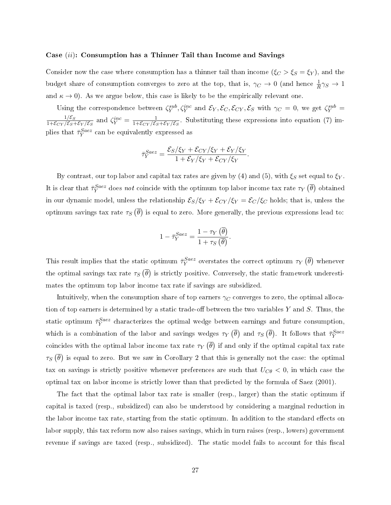#### Case (ii): Consumption has a Thinner Tail than Income and Savings

Consider now the case where consumption has a thinner tail than income  $(\xi_C > \xi_S = \xi_Y)$ , and the budget share of consumption converges to zero at the top, that is,  $\gamma_C \to 0$  (and hence  $\frac{1}{R}\gamma_S \to 1$ and  $\kappa \to 0$ ). As we argue below, this case is likely to be the empirically relevant one.

Using the correspondence between  $\zeta_Y^{sub}, \zeta_Y^{inc}$  and  $\mathcal{E}_Y, \mathcal{E}_C, \mathcal{E}_{CY}, \mathcal{E}_S$  with  $\gamma_C = 0$ , we get  $\zeta_Y^{sub} =$  $1/\mathcal{E}_S$  $\frac{1/\mathcal{E}_S}{1+\mathcal{E}_{CY}/\mathcal{E}_S+\mathcal{E}_Y/\mathcal{E}_S}$  and  $\zeta_Y^{inc} = \frac{1}{1+\mathcal{E}_{CY}/\mathcal{E}_S}$  $\frac{1}{1+\mathcal{E}_{CY}/\mathcal{E}_S+\mathcal{E}_Y/\mathcal{E}_S}$ . Substituting these expressions into equation [\(7\)](#page-26-0) implies that  $\bar{\tau}_Y^{Saez}$  can be equivalently expressed as

$$
\bar{\tau}_Y^{Saez} = \frac{\mathcal{E}_S/\xi_Y + \mathcal{E}_{CY}/\xi_Y + \mathcal{E}_Y/\xi_Y}{1 + \mathcal{E}_Y/\xi_Y + \mathcal{E}_{CY}/\xi_Y}.
$$

By contrast, our top labor and capital tax rates are given by [\(4\)](#page-22-1) and [\(5\)](#page-22-2), with  $\xi_S$  set equal to  $\xi_Y$ . It is clear that  $\bar{\tau}_Y^{Saez}$  does not coincide with the optimum top labor income tax rate  $\tau_Y\left(\bar{\theta}\right)$  obtained in our dynamic model, unless the relationship  $\mathcal{E}_S/\xi_Y + \mathcal{E}_{CY}/\xi_Y = \mathcal{E}_C/\xi_C$  holds; that is, unless the optimum savings tax rate  $\tau_S(\overline{\theta})$  is equal to zero. More generally, the previous expressions lead to:

$$
1 - \bar{\tau}_Y^{Saez} = \frac{1 - \tau_Y(\bar{\theta})}{1 + \tau_S(\bar{\theta})}.
$$

This result implies that the static optimum  $\bar{\tau}_Y^{Saez}$  overstates the correct optimum  $\tau_Y\left(\overline{\theta}\right)$  whenever the optimal savings tax rate  $\tau_S\left(\overline{\theta}\right)$  is strictly positive. Conversely, the static framework underestimates the optimum top labor income tax rate if savings are subsidized.

Intuitively, when the consumption share of top earners  $\gamma_C$  converges to zero, the optimal allocation of top earners is determined by a static trade-off between the two variables  $Y$  and  $S$ . Thus, the static optimum  $\bar{\tau}_Y^{Saez}$  characterizes the optimal wedge between earnings and future consumption, which is a combination of the labor and savings wedges  $\tau_Y(\overline{\theta})$  and  $\tau_S(\overline{\theta})$ . It follows that  $\bar{\tau}_Y^{Saez}$ coincides with the optimal labor income tax rate  $\tau_Y\left(\overline{\theta}\right)$  if and only if the optimal capital tax rate  $\tau_S\left(\overline{\theta}\right)$  is equal to zero. But we saw in Corollary [2](#page-19-0) that this is generally not the case: the optimal tax on savings is strictly positive whenever preferences are such that  $U_{C\theta} < 0$ , in which case the optimal tax on labor income is strictly lower than that predicted by the formula of Saez [\(2001\)](#page-46-2).

The fact that the optimal labor tax rate is smaller (resp., larger) than the static optimum if capital is taxed (resp., subsidized) can also be understood by considering a marginal reduction in the labor income tax rate, starting from the static optimum. In addition to the standard effects on labor supply, this tax reform now also raises savings, which in turn raises (resp., lowers) government revenue if savings are taxed (resp., subsidized). The static model fails to account for this fiscal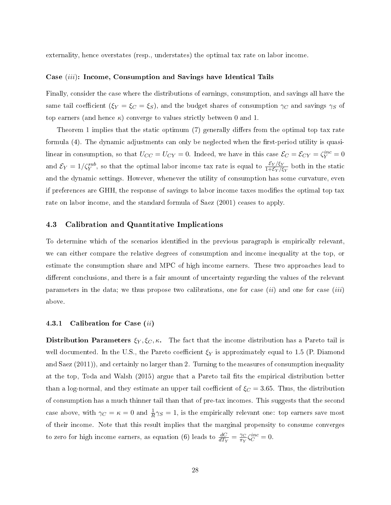externality, hence overstates (resp., understates) the optimal tax rate on labor income.

#### Case (iii): Income, Consumption and Savings have Identical Tails

Finally, consider the case where the distributions of earnings, consumption, and savings all have the same tail coefficient ( $\xi_Y = \xi_C = \xi_S$ ), and the budget shares of consumption  $\gamma_C$  and savings  $\gamma_S$  of top earners (and hence  $\kappa$ ) converge to values strictly between 0 and 1.

Theorem [1](#page-22-3) implies that the static optimum  $(7)$  generally differs from the optimal top tax rate formula [\(4\)](#page-22-1). The dynamic adjustments can only be neglected when the first-period utility is quasilinear in consumption, so that  $U_{CC} = U_{CY} = 0$ . Indeed, we have in this case  $\mathcal{E}_C = \mathcal{E}_{CY} = \zeta_Y^{inc} = 0$ and  $\mathcal{E}_Y = 1/\zeta_Y^{sub}$ , so that the optimal labor income tax rate is equal to  $\frac{\mathcal{E}_Y/\xi_Y}{1+\mathcal{E}_Y/\xi_Y}$  both in the static and the dynamic settings. However, whenever the utility of consumption has some curvature, even if preferences are GHH, the response of savings to labor income taxes modifies the optimal top tax rate on labor income, and the standard formula of Saez [\(2001\)](#page-46-2) ceases to apply.

#### 4.3 Calibration and Quantitative Implications

To determine which of the scenarios identified in the previous paragraph is empirically relevant, we can either compare the relative degrees of consumption and income inequality at the top, or estimate the consumption share and MPC of high income earners. These two approaches lead to different conclusions, and there is a fair amount of uncertainty regarding the values of the relevant parameters in the data; we thus propose two calibrations, one for case  $(ii)$  and one for case  $(iii)$ above.

#### 4.3.1 Calibration for Case (ii)

**Distribution Parameters**  $\xi_Y, \xi_C, \kappa$ . The fact that the income distribution has a Pareto tail is well documented. In the U.S., the Pareto coefficient  $\xi_Y$  is approximately equal to 1.5 (P. Diamond and Saez  $(2011)$ , and certainly no larger than 2. Turning to the measures of consumption inequality at the top, Toda and Walsh  $(2015)$  argue that a Pareto tail fits the empirical distribution better than a log-normal, and they estimate an upper tail coefficient of  $\xi_C = 3.65$ . Thus, the distribution of consumption has a much thinner tail than that of pre-tax incomes. This suggests that the second case above, with  $\gamma_C = \kappa = 0$  and  $\frac{1}{R}\gamma_S = 1$ , is the empirically relevant one: top earners save most of their income. Note that this result implies that the marginal propensity to consume converges to zero for high income earners, as equation [\(6\)](#page-25-0) leads to  $\frac{dC}{dT_Y} = \frac{\gamma_C}{\pi_Y}$  $\frac{\gamma_C}{\pi_Y} \zeta_C^{inc} = 0.$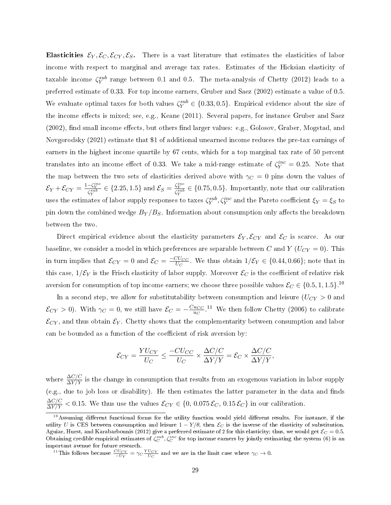Elasticities  $\mathcal{E}_Y, \mathcal{E}_C, \mathcal{E}_{CY}, \mathcal{E}_S$ . There is a vast literature that estimates the elasticities of labor income with respect to marginal and average tax rates. Estimates of the Hicksian elasticity of taxable income  $\zeta_Y^{sub}$  range between 0.1 and 0.5. The meta-analysis of Chetty [\(2012\)](#page-44-10) leads to a preferred estimate of 0.33. For top income earners, Gruber and Saez [\(2002\)](#page-45-11) estimate a value of 0.5. We evaluate optimal taxes for both values  $\zeta_Y^{sub} \in \{0.33, 0.5\}$ . Empirical evidence about the size of the income effects is mixed; see, e.g., Keane [\(2011\)](#page-46-15). Several papers, for instance Gruber and Saez  $(2002)$ , find small income effects, but others find larger values: e.g., Golosov, Graber, Mogstad, and Novgorodsky [\(2021\)](#page-45-12) estimate that \$1 of additional unearned income reduces the pre-tax earnings of earners in the highest income quartile by 67 cents, which for a top marginal tax rate of 50 percent translates into an income effect of 0.33. We take a mid-range estimate of  $\zeta_Y^{inc} = 0.25$ . Note that the map between the two sets of elasticities derived above with  $\gamma_C = 0$  pins down the values of  $\mathcal{E}_Y + \mathcal{E}_{CY} = \frac{1-\zeta_Y^{inc}}{\zeta_Y^{sub}} \in \{2.25, 1.5\}$  and  $\mathcal{E}_S = \frac{\zeta_Y^{inc}}{\zeta_Y^{sub}} \in \{0.75, 0.5\}$ . Importantly, note that our calibration uses the estimates of labor supply responses to taxes  $\zeta_Y^{sub}, \zeta_Y^{inc}$  and the Pareto coefficient  $\xi_Y = \xi_S$  to pin down the combined wedge  $B_Y/B_S$ . Information about consumption only affects the breakdown between the two.

Direct empirical evidence about the elasticity parameters  $\mathcal{E}_Y, \mathcal{E}_{CY}$  and  $\mathcal{E}_C$  is scarce. As our baseline, we consider a model in which preferences are separable between C and Y ( $U_{CY} = 0$ ). This in turn implies that  $\mathcal{E}_{CY} = 0$  and  $\mathcal{E}_C = \frac{-CU_{CC}}{U_C}$  $\frac{\partial U_{CC}}{U_{C}}$ . We thus obtain  $1/\mathcal{E}_{Y} \in \{0.44, 0.66\}$ ; note that in this case,  $1/\mathcal{E}_Y$  is the Frisch elasticity of labor supply. Moreover  $\mathcal{E}_C$  is the coefficient of relative risk aversion for consumption of top income earners; we choose three possible values  $\mathcal{E}_C \in \{0.5, 1, 1.5\}$ .<sup>[10](#page-1-0)</sup>

In a second step, we allow for substitutability between consumption and leisure  $(U_{CY} > 0$  and  $\mathcal{E}_{CY} > 0$ ). With  $\gamma_C = 0$ , we still have  $\mathcal{E}_C = -\frac{CucC}{uc}$  $\frac{u_{CC}}{u_C}$ .<sup>[11](#page-1-0)</sup> We then follow Chetty [\(2006\)](#page-44-11) to calibrate  $\mathcal{E}_{CY}$ , and thus obtain  $\mathcal{E}_{Y}$ . Chetty shows that the complementarity between consumption and labor can be bounded as a function of the coefficient of risk aversion by:

$$
\mathcal{E}_{CY} = \frac{YU_{CY}}{U_C} \leq \frac{-CU_{CC}}{U_C} \times \frac{\Delta C/C}{\Delta Y/Y} = \mathcal{E}_C \times \frac{\Delta C/C}{\Delta Y/Y},
$$

where  $\frac{\Delta C/C}{\Delta Y/Y}$  is the change in consumption that results from an exogenous variation in labor supply (e.g., due to job loss or disability). He then estimates the latter parameter in the data and finds  $\frac{\Delta C/C}{\Delta Y/Y}$  < 0.15. We thus use the values  $\mathcal{E}_{CY} \in \{0, 0.075 \mathcal{E}_C, 0.15 \mathcal{E}_C\}$  in our calibration.

 $10^0$ Assuming different functional forms for the utility function would yield different results. For instance, if the utility U is CES between consumption and leisure  $1 - Y/\theta$ , then  $\mathcal{E}_C$  is the inverse of the elasticity of substitution. Aguiar, Hurst, and Karabarbounis [\(2012\)](#page-44-12) give a preferred estimate of 2 for this elasticity; thus, we would get  $\mathcal{E}_C = 0.5$ . Obtaining credible empirical estimates of  $\zeta_C^{sub}$ ,  $\zeta_C^{inc}$  for top income earners by jointly estimating the system [\(6\)](#page-25-0) is an important avenue for future research.

<sup>&</sup>lt;sup>11</sup>This follows because  $\frac{CU_{CY}}{-U_Y} = \gamma_C \frac{YU_{CY}}{U_C}$  and we are in the limit case where  $\gamma_C \to 0$ .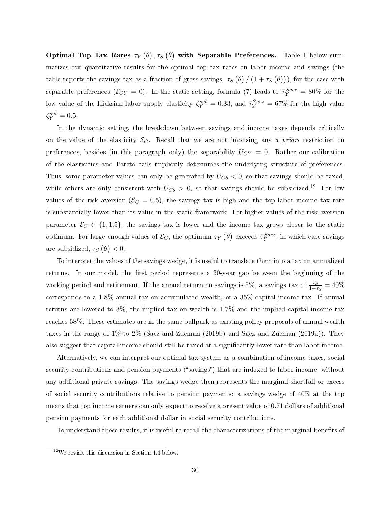Optimal Top Tax Rates  $\tau_Y\left(\overline{\theta}\right), \tau_S\left(\overline{\theta}\right)$  with Separable Preferences. Table [1](#page-31-0) below summarizes our quantitative results for the optimal top tax rates on labor income and savings (the table reports the savings tax as a fraction of gross savings,  $\tau_S\left(\overline{\theta}\right)/\left(1+\tau_S\left(\overline{\theta}\right)\right)$ ), for the case with separable preferences  $(\mathcal{E}_{CY}=0)$ . In the static setting, formula [\(7\)](#page-26-0) leads to  $\bar{\tau}_Y^{Saez} = 80\%$  for the low value of the Hicksian labor supply elasticity  $\zeta_Y^{sub} = 0.33$ , and  $\bar{\tau}_Y^{Saez} = 67\%$  for the high value  $\zeta_Y^{sub} = 0.5$ .

In the dynamic setting, the breakdown between savings and income taxes depends critically on the value of the elasticity  $\mathcal{E}_C$ . Recall that we are not imposing any a priori restriction on preferences, besides (in this paragraph only) the separability  $U_{CY} = 0$ . Rather our calibration of the elasticities and Pareto tails implicitly determines the underlying structure of preferences. Thus, some parameter values can only be generated by  $U_{C\theta} < 0$ , so that savings should be taxed, while others are only consistent with  $U_{C\theta} > 0$ , so that savings should be subsidized.<sup>[12](#page-1-0)</sup> For low values of the risk aversion ( $\mathcal{E}_C = 0.5$ ), the savings tax is high and the top labor income tax rate is substantially lower than its value in the static framework. For higher values of the risk aversion parameter  $\mathcal{E}_C \in \{1, 1.5\}$ , the savings tax is lower and the income tax grows closer to the static optimum. For large enough values of  $\mathcal{E}_C$ , the optimum  $\tau_Y\left(\overline{\theta}\right)$  exceeds  $\bar{\tau}_Y^{Saez}$ , in which case savings are subsidized,  $\tau_S(\overline{\theta}) < 0$ .

To interpret the values of the savings wedge, it is useful to translate them into a tax on annualized returns. In our model, the first period represents a 30-year gap between the beginning of the working period and retirement. If the annual return on savings is 5%, a savings tax of  $\frac{\tau_S}{1+\tau_S} = 40\%$ corresponds to a 1.8% annual tax on accumulated wealth, or a 35% capital income tax. If annual returns are lowered to 3%, the implied tax on wealth is 1.7% and the implied capital income tax reaches 58%. These estimates are in the same ballpark as existing policy proposals of annual wealth taxes in the range of 1% to 2% (Saez and Zucman [\(2019b\)](#page-46-6) and Saez and Zucman [\(2019a\)](#page-46-5)). They also suggest that capital income should still be taxed at a significantly lower rate than labor income.

Alternatively, we can interpret our optimal tax system as a combination of income taxes, social security contributions and pension payments ("savings") that are indexed to labor income, without any additional private savings. The savings wedge then represents the marginal shortfall or excess of social security contributions relative to pension payments: a savings wedge of 40% at the top means that top income earners can only expect to receive a present value of 0.71 dollars of additional pension payments for each additional dollar in social security contributions.

To understand these results, it is useful to recall the characterizations of the marginal benefits of

 $12$ We revisit this discussion in Section [4.4](#page-36-0) below.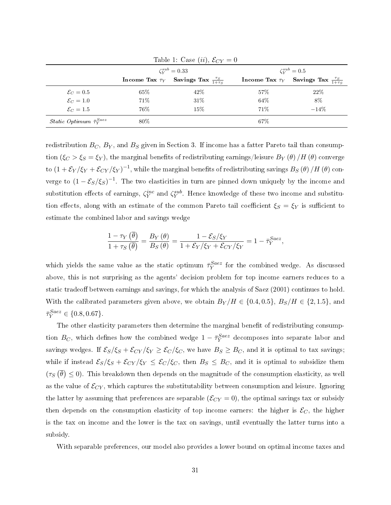|                                               |        | Lable 1. Case $(u)$ , $C(Y = 0)$<br>$\zeta_V^{sub} = 0.33$ | $\zeta_V^{sub} = 0.5$ |                                                           |  |  |
|-----------------------------------------------|--------|------------------------------------------------------------|-----------------------|-----------------------------------------------------------|--|--|
|                                               |        | Income Tax $\tau_Y$ Savings Tax $\frac{\tau_S}{1+\tau_S}$  |                       | Income Tax $\tau_Y$ Savings Tax $\frac{\tau_S}{1+\tau_S}$ |  |  |
| $\mathcal{E}_C=0.5$                           | $65\%$ | $42\%$                                                     | 57\%                  | 22%                                                       |  |  |
| $\mathcal{E}_C=1.0$                           | 71\%   | 31\%                                                       | 64%                   | 8%                                                        |  |  |
| $\mathcal{E}_C=1.5$                           | 76%    | 15%                                                        | 71\%                  | $-14%$                                                    |  |  |
| <i>Static Optimum</i> $\bar{\tau}_{Y}^{Saez}$ | 80\%   |                                                            | 67\%                  |                                                           |  |  |

<span id="page-31-0"></span>Table 1: Case  $(ii)$ ,  $\mathcal{E}_{CY} = 0$ 

redistribution  $B_C$ ,  $B_Y$ , and  $B_S$  given in Section [3.](#page-20-0) If income has a fatter Pareto tail than consumption  $(\xi_C > \xi_S = \xi_Y)$ , the marginal benefits of redistributing earnings/leisure  $B_Y(\theta)/H(\theta)$  converge to  $(1+\mathcal{E}_Y/\xi_Y+\mathcal{E}_{CY}/\xi_Y)^{-1},$  while the marginal benefits of redistributing savings  $B_S\left(\theta\right)/H\left(\theta\right)$  converge to  $(1 - \mathcal{E}_S/\xi_S)^{-1}$ . The two elasticities in turn are pinned down uniquely by the income and substitution effects of earnings,  $\zeta_Y^{inc}$  and  $\zeta_Y^{sub}$ . Hence knowledge of these two income and substitution effects, along with an estimate of the common Pareto tail coefficient  $\xi_S = \xi_Y$  is sufficient to estimate the combined labor and savings wedge

$$
\frac{1-\tau_Y(\overline{\theta})}{1+\tau_S(\overline{\theta})} = \frac{B_Y(\theta)}{B_S(\theta)} = \frac{1-\mathcal{E}_S/\xi_Y}{1+\mathcal{E}_Y/\xi_Y+\mathcal{E}_{CY}/\xi_Y} = 1-\overline{\tau}_Y^{Saez},
$$

which yields the same value as the static optimum  $\bar{\tau}_Y^{Saez}$  for the combined wedge. As discussed above, this is not surprising as the agents' decision problem for top income earners reduces to a static tradeoff between earnings and savings, for which the analysis of Saez [\(2001\)](#page-46-2) continues to hold. With the calibrated parameters given above, we obtain  $B_Y/H \in \{0.4, 0.5\}$ ,  $B_S/H \in \{2, 1.5\}$ , and  $\bar{\tau}_Y^{Saez} \in \{0.8, 0.67\}.$ 

The other elasticity parameters then determine the marginal benefit of redistributing consumption  $B_C$ , which defines how the combined wedge  $1 - \bar{\tau}_Y^{Saez}$  decomposes into separate labor and savings wedges. If  $\mathcal{E}_S/\xi_S + \mathcal{E}_{CY}/\xi_Y \geq \mathcal{E}_C/\xi_C$ , we have  $B_S \geq B_C$ , and it is optimal to tax savings; while if instead  $\mathcal{E}_S/\xi_S + \mathcal{E}_{CY}/\xi_Y \leq \mathcal{E}_C/\xi_C$ , then  $B_S \leq B_C$ , and it is optimal to subsidize them  $(\tau_S(\overline{\theta}) \leq 0)$ . This breakdown then depends on the magnitude of the consumption elasticity, as well as the value of  $\mathcal{E}_{CY}$ , which captures the substitutability between consumption and leisure. Ignoring the latter by assuming that preferences are separable  $(\mathcal{E}_{CY} = 0)$ , the optimal savings tax or subsidy then depends on the consumption elasticity of top income earners: the higher is  $\mathcal{E}_C$ , the higher is the tax on income and the lower is the tax on savings, until eventually the latter turns into a subsidy.

With separable preferences, our model also provides a lower bound on optimal income taxes and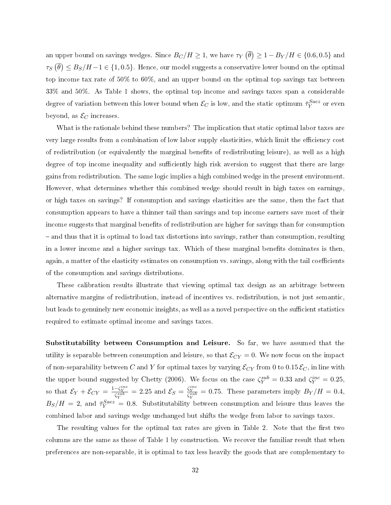an upper bound on savings wedges. Since  $B_C/H \geq 1,$  we have  $\tau_Y\left(\overline{\theta}\right) \geq 1 - B_Y/H \in \{0.6, 0.5\}$  and  $\tau_S\left(\overline{\theta}\right)\leq B_S/H-1\in\{1,0.5\}.$  Hence, our model suggests a conservative lower bound on the optimal top income tax rate of 50% to 60%, and an upper bound on the optimal top savings tax between 33% and 50%. As Table [1](#page-31-0) shows, the optimal top income and savings taxes span a considerable degree of variation between this lower bound when  $\mathcal{E}_C$  is low, and the static optimum  $\bar{\tau}^{Saez}_{Y}$  or even beyond, as  $\mathcal{E}_C$  increases.

What is the rationale behind these numbers? The implication that static optimal labor taxes are very large results from a combination of low labor supply elasticities, which limit the efficiency cost of redistribution (or equivalently the marginal benets of redistributing leisure), as well as a high degree of top income inequality and sufficiently high risk aversion to suggest that there are large gains from redistribution. The same logic implies a high combined wedge in the present environment. However, what determines whether this combined wedge should result in high taxes on earnings, or high taxes on savings? If consumption and savings elasticities are the same, then the fact that consumption appears to have a thinner tail than savings and top income earners save most of their income suggests that marginal benefits of redistribution are higher for savings than for consumption and thus that it is optimal to load tax distortions into savings, rather than consumption, resulting in a lower income and a higher savings tax. Which of these marginal benefits dominates is then, again, a matter of the elasticity estimates on consumption vs. savings, along with the tail coefficients of the consumption and savings distributions.

These calibration results illustrate that viewing optimal tax design as an arbitrage between alternative margins of redistribution, instead of incentives vs. redistribution, is not just semantic, but leads to genuinely new economic insights, as well as a novel perspective on the sufficient statistics required to estimate optimal income and savings taxes.

Substitutability between Consumption and Leisure. So far, we have assumed that the utility is separable between consumption and leisure, so that  $\mathcal{E}_{CY} = 0$ . We now focus on the impact of non-separability between C and Y for optimal taxes by varying  $\mathcal{E}_{CY}$  from 0 to 0.15 $\mathcal{E}_C$ , in line with the upper bound suggested by Chetty [\(2006\)](#page-44-11). We focus on the case  $\zeta_Y^{sub} = 0.33$  and  $\zeta_Y^{inc} = 0.25$ , so that  $\mathcal{E}_Y + \mathcal{E}_{CY} = \frac{1-\zeta_Y^{inc}}{\zeta_Y^{sub}} = 2.25$  and  $\mathcal{E}_S = \frac{\zeta_Y^{inc}}{\zeta_Y^{sub}} = 0.75$ . These parameters imply  $B_Y/H = 0.4$ ,  $B_S/H = 2$ , and  $\bar{\tau}_Y^{Saez} = 0.8$ . Substitutability between consumption and leisure thus leaves the combined labor and savings wedge unchanged but shifts the wedge from labor to savings taxes.

The resulting values for the optimal tax rates are given in Table [2.](#page-33-0) Note that the first two columns are the same as those of Table [1](#page-31-0) by construction. We recover the familiar result that when preferences are non-separable, it is optimal to tax less heavily the goods that are complementary to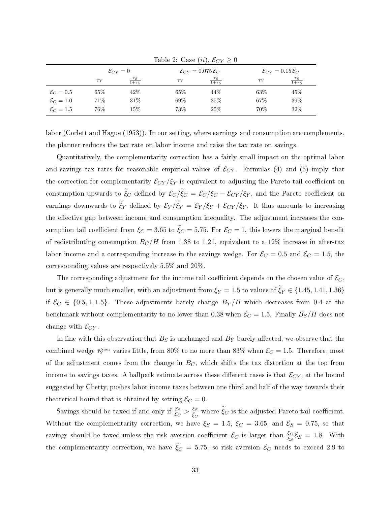| $\mathcal{E}_{CY}=0$ |            |          |                           | $\mathcal{E}_{CY} = 0.15 \mathcal{E}_C$  |                           |  |
|----------------------|------------|----------|---------------------------|------------------------------------------|---------------------------|--|
| $\tau_Y$             | $1+\tau_S$ | $\tau_Y$ | $\frac{\tau_S}{1+\tau_S}$ | $\tau_Y$                                 | $\frac{\tau_S}{1+\tau_S}$ |  |
| 65%                  | 42\%       | 65\%     | 44\%                      | 63\%                                     | 45\%                      |  |
| 71\%                 | 31\%       | 69%      | 35\%                      | 67%                                      | 39%                       |  |
| 76%                  | 15%        | 73%      | 25%                       | 70%                                      | 32%                       |  |
|                      |            |          |                           | $\mathcal{E}_{CY} = 0.075 \mathcal{E}_C$ |                           |  |

<span id="page-33-0"></span>Table 2: Case  $(ii)$ ,  $\mathcal{E}_{CY} \geq 0$ 

labor (Corlett and Hague [\(1953\)](#page-44-13)). In our setting, where earnings and consumption are complements, the planner reduces the tax rate on labor income and raise the tax rate on savings.

Quantitatively, the complementarity correction has a fairly small impact on the optimal labor and savings tax rates for reasonable empirical values of  $\mathcal{E}_{CY}$ . Formulas [\(4\)](#page-22-1) and [\(5\)](#page-22-2) imply that the correction for complementarity  $\mathcal{E}_{CY}/\xi_Y$  is equivalent to adjusting the Pareto tail coefficient on consumption upwards to  $\xi_C$  defined by  $\mathcal{E}_C/\xi_C = \mathcal{E}_C/\xi_C - \mathcal{E}_{CY}/\xi_Y$ , and the Pareto coefficient on earnings downwards to  $\xi_Y$  defined by  $\mathcal{E}_Y/\xi_Y = \mathcal{E}_Y/\xi_Y + \mathcal{E}_{CY}/\xi_Y$ . It thus amounts to increasing the effective gap between income and consumption inequality. The adjustment increases the consumption tail coefficient from  $\xi_C = 3.65$  to  $\xi_C = 5.75$ . For  $\mathcal{E}_C = 1$ , this lowers the marginal benefit of redistributing consumption  $B_C/H$  from 1.38 to 1.21, equivalent to a 12% increase in after-tax labor income and a corresponding increase in the savings wedge. For  $\mathcal{E}_C = 0.5$  and  $\mathcal{E}_C = 1.5$ , the corresponding values are respectively 5.5% and 20%.

The corresponding adjustment for the income tail coefficient depends on the chosen value of  $\mathcal{E}_C$ . but is generally much smaller, with an adjustment from  $\xi_Y = 1.5$  to values of  $\xi_Y \in \{1.45, 1.41, 1.36\}$ if  $\mathcal{E}_C \in \{0.5, 1, 1.5\}$ . These adjustments barely change  $B_Y/H$  which decreases from 0.4 at the benchmark without complementarity to no lower than 0.38 when  $\mathcal{E}_C = 1.5$ . Finally  $B_S/H$  does not change with  $\mathcal{E}_{CY}$ .

In line with this observation that  $B<sub>S</sub>$  is unchanged and  $B<sub>Y</sub>$  barely affected, we observe that the combined wedge  $\bar{\tau}_Y^{Saez}$  varies little, from 80% to no more than 83% when  $\mathcal{E}_C=1.5$ . Therefore, most of the adjustment comes from the change in  $B<sub>C</sub>$ , which shifts the tax distortion at the top from income to savings taxes. A ballpark estimate across these different cases is that  $\mathcal{E}_{CY}$ , at the bound suggested by Chetty, pushes labor income taxes between one third and half of the way towards their theoretical bound that is obtained by setting  $\mathcal{E}_C = 0$ .

Savings should be taxed if and only if  $\frac{\mathcal{E}_S}{\mathcal{E}_C} > \frac{\mathcal{E}_S}{\mathcal{E}_C}$  $\frac{\xi S}{\xi C}$  where  $\xi_C$  is the adjusted Pareto tail coefficient. Without the complementarity correction, we have  $\xi_S = 1.5$ ,  $\xi_C = 3.65$ , and  $\xi_S = 0.75$ , so that savings should be taxed unless the risk aversion coefficient  $\mathcal{E}_C$  is larger than  $\frac{\xi_C}{\xi_S}\mathcal{E}_S = 1.8$ . With the complementarity correction, we have  $\xi_C = 5.75$ , so risk aversion  $\mathcal{E}_C$  needs to exceed 2.9 to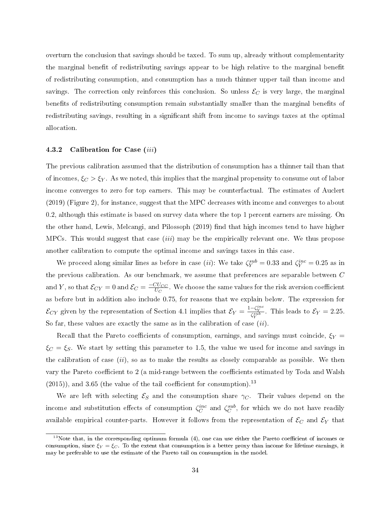overturn the conclusion that savings should be taxed. To sum up, already without complementarity the marginal benefit of redistributing savings appear to be high relative to the marginal benefit of redistributing consumption, and consumption has a much thinner upper tail than income and savings. The correction only reinforces this conclusion. So unless  $\mathcal{E}_C$  is very large, the marginal benefits of redistributing consumption remain substantially smaller than the marginal benefits of redistributing savings, resulting in a significant shift from income to savings taxes at the optimal allocation.

#### 4.3.2 Calibration for Case (iii)

The previous calibration assumed that the distribution of consumption has a thinner tail than that of incomes,  $\xi_C > \xi_Y$ . As we noted, this implies that the marginal propensity to consume out of labor income converges to zero for top earners. This may be counterfactual. The estimates of Auclert [\(2019\)](#page-44-14) (Figure 2), for instance, suggest that the MPC decreases with income and converges to about 0.2, although this estimate is based on survey data where the top 1 percent earners are missing. On the other hand, Lewis, Melcangi, and Pilossoph [\(2019\)](#page-46-16) find that high incomes tend to have higher MPCs. This would suggest that case  $(iii)$  may be the empirically relevant one. We thus propose another calibration to compute the optimal income and savings taxes in this case.

We proceed along similar lines as before in case (ii): We take  $\zeta_Y^{sub} = 0.33$  and  $\zeta_Y^{inc} = 0.25$  as in the previous calibration. As our benchmark, we assume that preferences are separable between C and Y, so that  $\mathcal{E}_{CY} = 0$  and  $\mathcal{E}_C = \frac{-CU_{CC}}{U_C}$  $\frac{UCC}{U_C}$  . We choose the same values for the risk aversion coefficient as before but in addition also include 0.75, for reasons that we explain below. The expression for  $\mathcal{E}_{CY}$  given by the representation of Section [4.1](#page-24-1) implies that  $\mathcal{E}_Y = \frac{1-\zeta_Y^{inc}}{\zeta_Y^{sub}}$ . This leads to  $\mathcal{E}_Y = 2.25$ . So far, these values are exactly the same as in the calibration of case  $(ii)$ .

Recall that the Pareto coefficients of consumption, earnings, and savings must coincide,  $\xi_Y =$  $\xi_C = \xi_S$ . We start by setting this parameter to 1.5, the value we used for income and savings in the calibration of case  $(ii)$ , so as to make the results as closely comparable as possible. We then vary the Pareto coefficient to 2 (a mid-range between the coefficients estimated by Toda and Walsh  $(2015)$ , and 3.65 (the value of the tail coefficient for consumption).<sup>[13](#page-1-0)</sup>

We are left with selecting  $\mathcal{E}_S$  and the consumption share  $\gamma_C$ . Their values depend on the income and substitution effects of consumption  $\zeta_C^{inc}$  and  $\zeta_C^{sub}$ , for which we do not have readily available empirical counter-parts. However it follows from the representation of  $\mathcal{E}_C$  and  $\mathcal{E}_Y$  that

 $13$ Note that, in the corresponding optimum formula [\(4\)](#page-22-1), one can use either the Pareto coefficient of incomes or consumption, since  $\xi_Y = \xi_C$ . To the extent that consumption is a better proxy than income for lifetime earnings, it may be preferable to use the estimate of the Pareto tail on consumption in the model.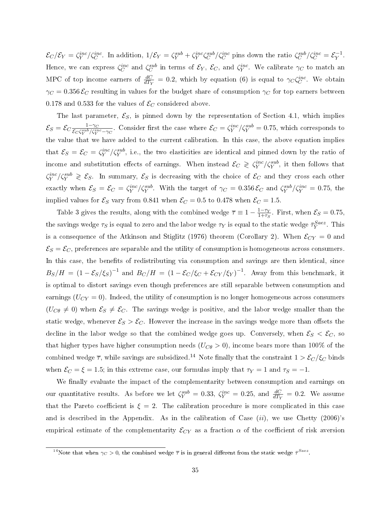$\mathcal{E}_C/\mathcal{E}_Y = \zeta_Y^{inc}/\zeta_C^{inc}$ . In addition,  $1/\mathcal{E}_Y = \zeta_Y^{sub} + \zeta_Y^{inc}\zeta_C^{sub}/\zeta_C^{inc}$  pins down the ratio  $\zeta_C^{sub}/\zeta_C^{inc} = \mathcal{E}_Y^{-1}$  $Y^{\perp}$ . Hence, we can express  $\zeta_C^{inc}$  and  $\zeta_C^{sub}$  in terms of  $\mathcal{E}_Y$ ,  $\mathcal{E}_C$ , and  $\zeta_Y^{inc}$ . We calibrate  $\gamma_C$  to match an MPC of top income earners of  $\frac{dC}{dT_Y} = 0.2$ , which by equation [\(6\)](#page-25-0) is equal to  $\gamma_C \zeta_C^{inc}$ . We obtain  $\gamma_C = 0.356 \mathcal{E}_C$  resulting in values for the budget share of consumption  $\gamma_C$  for top earners between 0.178 and 0.533 for the values of  $\mathcal{E}_C$  considered above.

The last parameter,  $\mathcal{E}_S$ , is pinned down by the representation of Section [4.1,](#page-24-1) which implies  $\mathcal{E}_S = \mathcal{E}_C \frac{1-\gamma_C}{\mathcal{E}_C \zeta^{sub} / \zeta^{im}}$  $\frac{1-\gamma_C}{\mathcal{E}_C\zeta_Y^{sub}/\zeta_Y^{inc}-\gamma_C}$ . Consider first the case where  $\mathcal{E}_C=\zeta_Y^{inc}/\zeta_Y^{sub}=0.75$ , which corresponds to the value that we have added to the current calibration. In this case, the above equation implies that  $\mathcal{E}_S = \mathcal{E}_C = \zeta_Y^{inc}/\zeta_Y^{sub}$ , i.e., the two elasticities are identical and pinned down by the ratio of income and substitution effects of earnings. When instead  $\mathcal{E}_C \geqslant \zeta_Y^{inc}/\zeta_Y^{sub}$ , it then follows that  $\zeta_Y^{inc}/\zeta_Y^{sub} \geqslant \mathcal{E}_S$ . In summary,  $\mathcal{E}_S$  is decreasing with the choice of  $\mathcal{E}_C$  and they cross each other exactly when  $\mathcal{E}_S = \mathcal{E}_C = \zeta_Y^{inc}/\zeta_Y^{sub}$ . With the target of  $\gamma_C = 0.356 \mathcal{E}_C$  and  $\zeta_Y^{sub}/\zeta_Y^{inc} = 0.75$ , the implied values for  $\mathcal{E}_S$  vary from 0.841 when  $\mathcal{E}_C = 0.5$  to 0.478 when  $\mathcal{E}_C = 1.5$ .

Table [3](#page-36-1) gives the results, along with the combined wedge  $\overline{\tau} \equiv 1 - \frac{1-\tau_Y}{1+\tau_Z}$  $\frac{1-\tau_Y}{1+\tau_S}$ . First, when  $\mathcal{E}_S = 0.75$ , the savings wedge  $\tau_S$  is equal to zero and the labor wedge  $\tau_Y$  is equal to the static wedge  $\bar{\tau}^{Saez}_Y$ . This is a consequence of the Atkinson and Stiglitz [\(1976\)](#page-44-1) theorem (Corollary [2\)](#page-19-0). When  $\mathcal{E}_{CY} = 0$  and  $\mathcal{E}_S = \mathcal{E}_C$ , preferences are separable and the utility of consumption is homogeneous across consumers. In this case, the benefits of redistributing via consumption and savings are then identical, since  $B_S/H = (1 - \mathcal{E}_S/\xi_S)^{-1}$  and  $B_C/H = (1 - \mathcal{E}_C/\xi_C + \mathcal{E}_{CY}/\xi_Y)^{-1}$ . Away from this benchmark, it is optimal to distort savings even though preferences are still separable between consumption and earnings  $(U_{CY} = 0)$ . Indeed, the utility of consumption is no longer homogeneous across consumers  $(U_{C\theta} \neq 0)$  when  $\mathcal{E}_S \neq \mathcal{E}_C$ . The savings wedge is positive, and the labor wedge smaller than the static wedge, whenever  $\mathcal{E}_S > \mathcal{E}_C$ . However the increase in the savings wedge more than offsets the decline in the labor wedge so that the combined wedge goes up. Conversely, when  $\mathcal{E}_S < \mathcal{E}_C$ , so that higher types have higher consumption needs  $(U_{C\theta} > 0)$ , income bears more than 100% of the combined wedge  $\overline{\tau}$ , while savings are subsidized.<sup>[14](#page-1-0)</sup> Note finally that the constraint  $1 > \mathcal{E}_C/\xi_C$  binds when  $\mathcal{E}_C = \xi = 1.5$ ; in this extreme case, our formulas imply that  $\tau_Y = 1$  and  $\tau_S = -1$ .

We finally evaluate the impact of the complementarity between consumption and earnings on our quantitative results. As before we let  $\zeta_Y^{sub} = 0.33$ ,  $\zeta_Y^{inc} = 0.25$ , and  $\frac{dC}{dT_Y} = 0.2$ . We assume that the Pareto coefficient is  $\xi = 2$ . The calibration procedure is more complicated in this case and is described in the Appendix. As in the calibration of Case  $(ii)$ , we use Chetty  $(2006)$ 's empirical estimate of the complementarity  $\mathcal{E}_{CY}$  as a fraction  $\alpha$  of the coefficient of risk aversion

<sup>&</sup>lt;sup>14</sup>Note that when  $\gamma_C > 0$ , the combined wedge  $\bar{\tau}$  is in general different from the static wedge  $\bar{\tau}^{Saez}$ .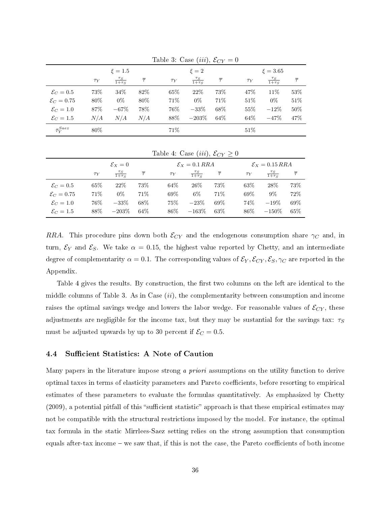|                         |             |                           |                   |          | , ,                       | $\sim$ $\sim$     |          |                           |                   |  |
|-------------------------|-------------|---------------------------|-------------------|----------|---------------------------|-------------------|----------|---------------------------|-------------------|--|
|                         | $\xi = 1.5$ |                           |                   |          | $\xi = 2$                 |                   |          | $\xi = 3.65$              |                   |  |
|                         | $\tau_Y$    | $\frac{\tau_S}{1+\tau_S}$ | $\overline{\tau}$ | $\tau_Y$ | $\frac{\tau_S}{1+\tau_S}$ | $\overline{\tau}$ | $\tau_Y$ | $\frac{\tau_S}{1+\tau_S}$ | $\overline{\tau}$ |  |
| $\mathcal{E}_C=0.5$     | 73%         | 34%                       | 82\%              | 65\%     | 22\%                      | 73%               | 47\%     | 11\%                      | 53%               |  |
| $\mathcal{E}_C=0.75$    | 80\%        | $0\%$                     | $80\%$            | 71\%     | $0\%$                     | 71\%              | 51\%     | $0\%$                     | $51\%$            |  |
| $\mathcal{E}_C=1.0$     | 87\%        | $-67%$                    | 78%               | 76%      | $-33%$                    | 68\%              | 55\%     | $-12%$                    | 50%               |  |
| $\mathcal{E}_C=1.5$     | N/A         | N/A                       | N/A               | 88\%     | $-203%$                   | 64\%              | 64\%     | $-47%$                    | 47%               |  |
| $\bar{\tau}_{V}^{Saez}$ | 80\%        |                           |                   | 71\%     |                           |                   | 51%      |                           |                   |  |

<span id="page-36-1"></span>Table 3: Case (iii),  $\mathcal{E}_{CY} = 0$ 

<span id="page-36-2"></span>Table 4: Case  $(iii)$ ,  $\mathcal{E}_{CY} \geq 0$ 

|                      | $\mathcal{E}_X=0$ |                           |                   |          | $\mathcal{E}_X = 0.1 RRA$ |     |          | $\mathcal{E}_X = 0.15 RRA$ |        |  |
|----------------------|-------------------|---------------------------|-------------------|----------|---------------------------|-----|----------|----------------------------|--------|--|
|                      | $\tau_Y$          | $\frac{\tau_S}{1+\tau_S}$ | $\overline{\tau}$ | $\tau_Y$ | $\frac{\tau_S}{1+\tau_S}$ |     | $\tau_Y$ | $\frac{\tau_S}{1+\tau_S}$  |        |  |
| $\mathcal{E}_C=0.5$  | 65%               | 22%                       | 73%               | 64\%     | 26\%                      | 73% | 63\%     | 28\%                       | 73%    |  |
| $\mathcal{E}_C=0.75$ | 71\%              | $0\%$                     | 71%               | 69%      | $6\%$                     | 71% | 69%      | $9\%$                      | 72%    |  |
| $\mathcal{E}_C=1.0$  | 76%               | $-33%$                    | 68\%              | 75%      | $-23%$                    | 69% | 74%      | $-19%$                     | $69\%$ |  |
| $\mathcal{E}_C=1.5$  | 88%               | $-203%$                   | 64\%              | 86%      | $-163%$                   | 63% | 86%      | $-150\%$                   | $65\%$ |  |

RRA. This procedure pins down both  $\mathcal{E}_{CY}$  and the endogenous consumption share  $\gamma_C$  and, in turn,  $\mathcal{E}_Y$  and  $\mathcal{E}_S$ . We take  $\alpha = 0.15$ , the highest value reported by Chetty, and an intermediate degree of complementarity  $\alpha = 0.1$ . The corresponding values of  $\mathcal{E}_Y, \mathcal{E}_{CY}, \mathcal{E}_S, \gamma_C$  are reported in the Appendix.

Table [4](#page-36-2) gives the results. By construction, the first two columns on the left are identical to the middle columns of Table [3.](#page-36-1) As in Case  $(ii)$ , the complementarity between consumption and income raises the optimal savings wedge and lowers the labor wedge. For reasonable values of  $\mathcal{E}_{CY}$ , these adjustments are negligible for the income tax, but they may be sustantial for the savings tax:  $\tau<sub>S</sub>$ must be adjusted upwards by up to 30 percent if  $\mathcal{E}_C = 0.5$ .

### <span id="page-36-0"></span>4.4 Sufficient Statistics: A Note of Caution

Many papers in the literature impose strong a priori assumptions on the utility function to derive optimal taxes in terms of elasticity parameters and Pareto coefficients, before resorting to empirical estimates of these parameters to evaluate the formulas quantitatively. As emphasized by Chetty  $(2009)$ , a potential pitfall of this "sufficient statistic" approach is that these empirical estimates may not be compatible with the structural restrictions imposed by the model. For instance, the optimal tax formula in the static Mirrlees-Saez setting relies on the strong assumption that consumption equals after-tax income - we saw that, if this is not the case, the Pareto coefficients of both income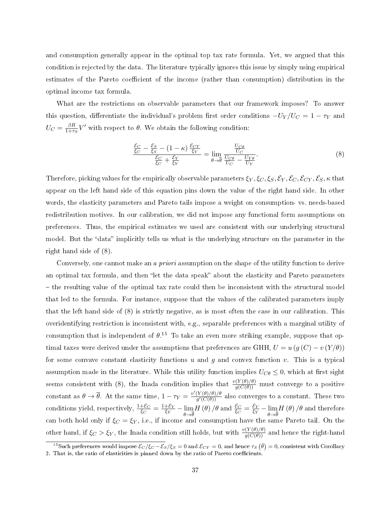and consumption generally appear in the optimal top tax rate formula. Yet, we argued that this condition is rejected by the data. The literature typically ignores this issue by simply using empirical estimates of the Pareto coefficient of the income (rather than consumption) distribution in the optimal income tax formula.

What are the restrictions on observable parameters that our framework imposes? To answer this question, differentiate the individual's problem first order conditions  $-V_Y/U_C = 1 - \tau_Y$  and  $U_C = \frac{\beta R}{1+\tau}$  $\frac{\beta R}{1+\tau_S}V'$  with respect to  $\theta$ . We obtain the following condition:

<span id="page-37-0"></span>
$$
\frac{\frac{\mathcal{E}_C}{\xi_C} - \frac{\mathcal{E}_S}{\xi_S} - (1 - \kappa) \frac{\mathcal{E}_{CY}}{\xi_Y}}{\frac{\mathcal{E}_C}{\xi_C} + \frac{\mathcal{E}_Y}{\xi_Y}} = \lim_{\theta \to \overline{\theta}} \frac{\frac{U_{C\theta}}{U_C}}{\frac{U_{C\theta}}{U_C} - \frac{U_{Y\theta}}{U_Y}}.
$$
\n
$$
(8)
$$

Therefore, picking values for the empirically observable parameters  $\xi_Y, \xi_C, \xi_S, \mathcal{E}_Y, \mathcal{E}_C, \mathcal{E}_{CY}, \mathcal{E}_S, \kappa$  that appear on the left hand side of this equation pins down the value of the right hand side. In other words, the elasticity parameters and Pareto tails impose a weight on consumption- vs. needs-based redistribution motives. In our calibration, we did not impose any functional form assumptions on preferences. Thus, the empirical estimates we used are consistent with our underlying structural model. But the "data" implicitly tells us what is the underlying structure on the parameter in the right hand side of [\(8\)](#page-37-0).

Conversely, one cannot make an *a priori* assumption on the shape of the utility function to derive an optimal tax formula, and then "let the data speak" about the elasticity and Pareto parameters - the resulting value of the optimal tax rate could then be inconsistent with the structural model that led to the formula. For instance, suppose that the values of the calibrated parameters imply that the left hand side of [\(8\)](#page-37-0) is strictly negative, as is most often the case in our calibration. This overidentifying restriction is inconsistent with, e.g., separable preferences with a marginal utility of consumption that is independent of  $\theta$ .<sup>[15](#page-1-0)</sup> To take an even more striking example, suppose that optimal taxes were derived under the assumptions that preferences are GHH,  $U = u (g (C) - v (Y/\theta))$ for some convave constant elasticity functions u and q and convex function v. This is a typical assumption made in the literature. While this utility function implies  $U_{C\theta} \leq 0$ , which at first sight seems consistent with [\(8\)](#page-37-0), the Inada condition implies that  $\frac{v(Y(\theta)/\theta)}{g(C(\theta))}$  must converge to a positive constant as  $\theta \to \overline{\theta}$ . At the same time,  $1 - \tau_Y = \frac{v'(Y(\theta)/\theta)/\theta}{a'(C(\theta))}$  $\frac{\Gamma(\theta)/\theta}{g'(C(\theta))}$  also converges to a constant. These two conditions yield, respectively,  $\frac{1+\mathcal{E}_C}{\xi_C} = \frac{1+\mathcal{E}_Y}{\xi_Y}$  $\frac{+ \varepsilon_Y}{\xi_Y} - \lim_{\theta \to \overline{\theta}}$  $\theta \rightarrow \theta$  $H\left(\theta\right)/\theta$  and  $\frac{\mathcal{E}_{C}}{\xi_{C}}=\frac{\mathcal{E}_{Y}}{\xi_{Y}}$  $\frac{\varepsilon_Y}{\varepsilon_Y} - \lim_{\theta \to \overline{\theta}}$  $\theta \rightarrow \theta$  $H\left( \theta\right) /\theta$  and therefore can both hold only if  $\xi_C = \xi_Y,$  i.e., if income and consumption have the same Pareto tail. On the other hand, if  $\xi_C > \xi_Y$ , the Inada condition still holds, but with  $\frac{v(Y(\theta)/\theta)}{g(C(\theta))}$  and hence the right-hand

<sup>&</sup>lt;sup>15</sup>Such preferences would impose  $\mathcal{E}_C/\xi_C-\mathcal{E}_S/\xi_S=0$  and  $\mathcal{E}_{CY}=0$ , and hence  $\tau_S(\bar{\theta})=0$ , consistent with Corollary [2.](#page-19-0) That is, the ratio of elasticities is pinned down by the ratio of Pareto coefficients.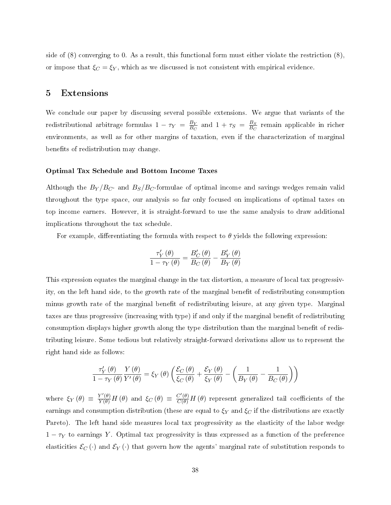side of  $(8)$  converging to 0. As a result, this functional form must either violate the restriction  $(8)$ , or impose that  $\xi_C = \xi_Y$ , which as we discussed is not consistent with empirical evidence.

### <span id="page-38-0"></span>5 Extensions

We conclude our paper by discussing several possible extensions. We argue that variants of the redistributional arbitrage formulas  $1 - \tau_Y = \frac{B_Y}{B_C}$  $\frac{B_Y}{B_C}$  and  $1 + \tau_S = \frac{B_S}{B_C}$  $\frac{B_S}{B_C}$  remain applicable in richer environments, as well as for other margins of taxation, even if the characterization of marginal benefits of redistribution may change.

#### Optimal Tax Schedule and Bottom Income Taxes

Although the  $B_Y/B_{C}$ - and  $B_S/B_{C}$ -formulae of optimal income and savings wedges remain valid throughout the type space, our analysis so far only focused on implications of optimal taxes on top income earners. However, it is straight-forward to use the same analysis to draw additional implications throughout the tax schedule.

For example, differentiating the formula with respect to  $\theta$  yields the following expression:

$$
\frac{\tau_{Y}'\left(\theta\right)}{1-\tau_{Y}\left(\theta\right)}=\frac{B_{C}'\left(\theta\right)}{B_{C}\left(\theta\right)}-\frac{B_{Y}'\left(\theta\right)}{B_{Y}\left(\theta\right)}
$$

This expression equates the marginal change in the tax distortion, a measure of local tax progressivity, on the left hand side, to the growth rate of the marginal benefit of redistributing consumption minus growth rate of the marginal benefit of redistributing leisure, at any given type. Marginal taxes are thus progressive (increasing with type) if and only if the marginal benefit of redistributing consumption displays higher growth along the type distribution than the marginal benefit of redistributing leisure. Some tedious but relatively straight-forward derivations allow us to represent the right hand side as follows:

$$
\frac{\tau_Y'\left(\theta\right)}{1-\tau_Y\left(\theta\right)}\frac{Y\left(\theta\right)}{Y'\left(\theta\right)}=\xi_Y\left(\theta\right)\left(\frac{\mathcal{E}_C\left(\theta\right)}{\xi_C\left(\theta\right)}+\frac{\mathcal{E}_Y\left(\theta\right)}{\xi_Y\left(\theta\right)}-\left(\frac{1}{B_Y\left(\theta\right)}-\frac{1}{B_C\left(\theta\right)}\right)\right)
$$

where  $\xi_Y(\theta) \equiv \frac{Y'(\theta)}{Y(\theta)} H(\theta)$  and  $\xi_C(\theta) \equiv \frac{C'(\theta)}{C(\theta)} H(\theta)$  represent generalized tail coefficients of the earnings and consumption distribution (these are equal to  $\xi_Y$  and  $\xi_C$  if the distributions are exactly Pareto). The left hand side measures local tax progressivity as the elasticity of the labor wedge  $1 - \tau_Y$  to earnings Y. Optimal tax progressivity is thus expressed as a function of the preference elasticities  $\mathcal{E}_C(\cdot)$  and  $\mathcal{E}_Y(\cdot)$  that govern how the agents' marginal rate of substitution responds to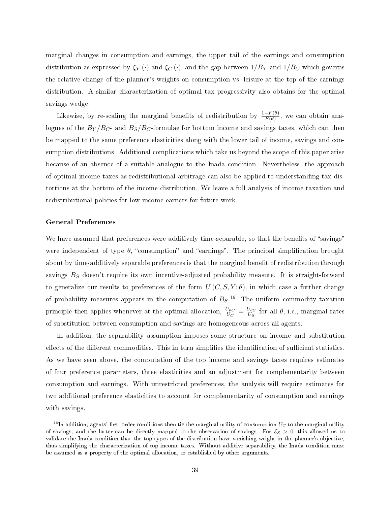marginal changes in consumption and earnings, the upper tail of the earnings and consumption distribution as expressed by  $\xi_Y(\cdot)$  and  $\xi_C(\cdot)$ , and the gap between  $1/B_Y$  and  $1/B_C$  which governs the relative change of the planner's weights on consumption vs. leisure at the top of the earnings distribution. A similar characterization of optimal tax progressivity also obtains for the optimal savings wedge.

Likewise, by re-scaling the marginal benefits of redistribution by  $\frac{1-F(\theta)}{F(\theta)}$ , we can obtain analogues of the  $B_Y/B_{C}$ - and  $B_S/B_{C}$ -formulae for bottom income and savings taxes, which can then be mapped to the same preference elasticities along with the lower tail of income, savings and consumption distributions. Additional complications which take us beyond the scope of this paper arise because of an absence of a suitable analogue to the Inada condition. Nevertheless, the approach of optimal income taxes as redistributional arbitrage can also be applied to understanding tax distortions at the bottom of the income distribution. We leave a full analysis of income taxation and redistributional policies for low income earners for future work.

#### General Preferences

We have assumed that preferences were additively time-separable, so that the benefits of "savings" were independent of type  $\theta$ , "consumption" and "earnings". The principal simplification brought about by time-additively separable preferences is that the marginal benefit of redistribution through savings  $B<sub>S</sub>$  doesn't require its own incentive-adjusted probability measure. It is straight-forward to generalize our results to preferences of the form  $U(C, S, Y; \theta)$ , in which case a further change of probability measures appears in the computation of  $B_S$ .<sup>[16](#page-1-0)</sup> The uniform commodity taxation principle then applies whenever at the optimal allocation,  $\frac{U_{\theta C}}{U_C} = \frac{U_{\theta S}}{U_S}$  $\frac{\partial \theta S}{\partial U_S}$  for all  $\theta$ , i.e., marginal rates of substitution between consumption and savings are homogeneous across all agents.

In addition, the separability assumption imposes some structure on income and substitution effects of the different commodities. This in turn simplifies the identification of sufficient statistics. As we have seen above, the computation of the top income and savings taxes requires estimates of four preference parameters, three elasticities and an adjustment for complementarity between consumption and earnings. With unrestricted preferences, the analysis will require estimates for two additional preference elasticities to account for complementarity of consumption and earnings with savings.

<sup>&</sup>lt;sup>16</sup>In addition, agents' first-order conditions then tie the marginal utility of consumption  $U_C$  to the marginal utility of savings, and the latter can be directly mapped to the observation of savings. For  $\mathcal{E}_S > 0$ , this allowed us to validate the Inada condition that the top types of the distribution have vanishing weight in the planner's objective, thus simplifying the characterization of top income taxes. Without additive separability, the Inada condition must be assumed as a property of the optimal allocation, or established by other arguments.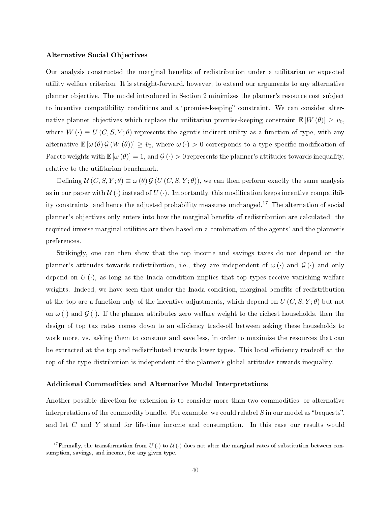#### Alternative Social Objectives

Our analysis constructed the marginal benets of redistribution under a utilitarian or expected utility welfare criterion. It is straight-forward, however, to extend our arguments to any alternative planner objective. The model introduced in Section [2](#page-9-0) minimizes the planner's resource cost subject to incentive compatibility conditions and a "promise-keeping" constraint. We can consider alternative planner objectives which replace the utilitarian promise-keeping constraint  $\mathbb{E}[W(\theta)] \geq v_0$ . where  $W(\cdot) \equiv U(C, S, Y; \theta)$  represents the agent's indirect utility as a function of type, with any alternative  $\mathbb{E}[\omega(\theta) \mathcal{G}(W(\theta))] \geq \hat{v}_0$ , where  $\omega(\cdot) > 0$  corresponds to a type-specific modification of Pareto weights with  $\mathbb{E}[\omega(\theta)]=1$ , and  $\mathcal{G}(\cdot)>0$  represents the planner's attitudes towards inequality, relative to the utilitarian benchmark.

Defining  $\mathcal{U}(C, S, Y; \theta) \equiv \omega(\theta) \mathcal{G}(U(C, S, Y; \theta))$ , we can then perform exactly the same analysis as in our paper with  $\mathcal{U}(\cdot)$  instead of  $U(\cdot)$ . Importantly, this modification keeps incentive compatibility constraints, and hence the adjusted probability measures unchanged.[17](#page-1-0) The alternation of social planner's objectives only enters into how the marginal benets of redistribution are calculated: the required inverse marginal utilities are then based on a combination of the agents' and the planner's preferences.

Strikingly, one can then show that the top income and savings taxes do not depend on the planner's attitudes towards redistribution, i.e., they are independent of  $\omega(\cdot)$  and  $\mathcal{G}(\cdot)$  and only depend on  $U(\cdot)$ , as long as the Inada condition implies that top types receive vanishing welfare weights. Indeed, we have seen that under the Inada condition, marginal benefits of redistribution at the top are a function only of the incentive adjustments, which depend on  $U(C, S, Y; \theta)$  but not on  $\omega(\cdot)$  and  $\mathcal{G}(\cdot)$ . If the planner attributes zero welfare weight to the richest households, then the design of top tax rates comes down to an efficiency trade-off between asking these households to work more, vs. asking them to consume and save less, in order to maximize the resources that can be extracted at the top and redistributed towards lower types. This local efficiency tradeoff at the top of the type distribution is independent of the planner's global attitudes towards inequality.

#### Additional Commodities and Alternative Model Interpretations

Another possible direction for extension is to consider more than two commodities, or alternative interpretations of the commodity bundle. For example, we could relabel  $S$  in our model as "bequests". and let C and Y stand for life-time income and consumption. In this case our results would

<sup>&</sup>lt;sup>17</sup> Formally, the transformation from  $U(\cdot)$  to  $\mathcal{U}(\cdot)$  does not alter the marginal rates of substitution between consumption, savings, and income, for any given type.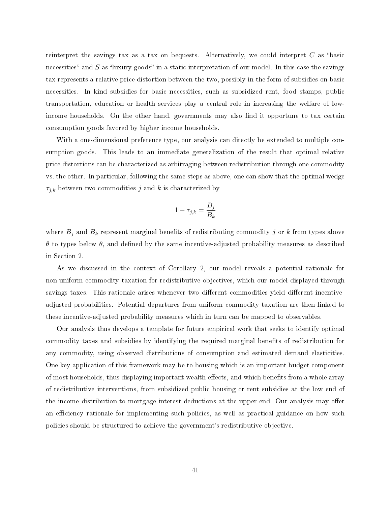reinterpret the savings tax as a tax on bequests. Alternatively, we could interpret  $C$  as "basic necessities" and  $S$  as "luxury goods" in a static interpretation of our model. In this case the savings tax represents a relative price distortion between the two, possibly in the form of subsidies on basic necessities. In kind subsidies for basic necessities, such as subsidized rent, food stamps, public transportation, education or health services play a central role in increasing the welfare of lowincome households. On the other hand, governments may also find it opportune to tax certain consumption goods favored by higher income households.

With a one-dimensional preference type, our analysis can directly be extended to multiple consumption goods. This leads to an immediate generalization of the result that optimal relative price distortions can be characterized as arbitraging between redistribution through one commodity vs. the other. In particular, following the same steps as above, one can show that the optimal wedge  $\tau_{j,k}$  between two commodities j and k is characterized by

$$
1 - \tau_{j,k} = \frac{B_j}{B_k}
$$

where  $B_j$  and  $B_k$  represent marginal benefits of redistributing commodity j or k from types above  $θ$  to types below  $θ$ , and defined by the same incentive-adjusted probability measures as described in Section [2.](#page-9-0)

As we discussed in the context of Corollary [2,](#page-19-0) our model reveals a potential rationale for non-uniform commodity taxation for redistributive objectives, which our model displayed through savings taxes. This rationale arises whenever two different commodities yield different incentiveadjusted probabilities. Potential departures from uniform commodity taxation are then linked to these incentive-adjusted probability measures which in turn can be mapped to observables.

Our analysis thus develops a template for future empirical work that seeks to identify optimal commodity taxes and subsidies by identifying the required marginal benefits of redistribution for any commodity, using observed distributions of consumption and estimated demand elasticities. One key application of this framework may be to housing which is an important budget component of most households, thus displaying important wealth effects, and which benefits from a whole array of redistributive interventions, from subsidized public housing or rent subsidies at the low end of the income distribution to mortgage interest deductions at the upper end. Our analysis may offer an efficiency rationale for implementing such policies, as well as practical guidance on how such policies should be structured to achieve the government's redistributive objective.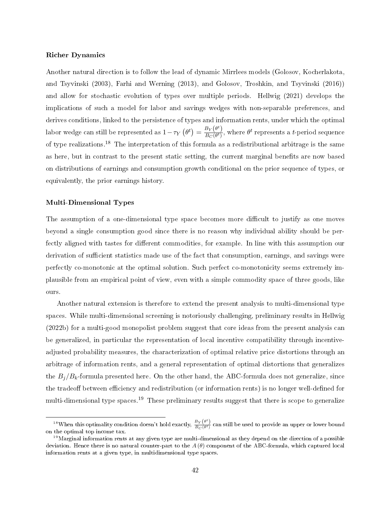#### Richer Dynamics

Another natural direction is to follow the lead of dynamic Mirrlees models (Golosov, Kocherlakota, and Tsyvinski [\(2003\)](#page-45-7), Farhi and Werning [\(2013\)](#page-45-9), and Golosov, Troshkin, and Tsyvinski [\(2016\)](#page-45-10)) and allow for stochastic evolution of types over multiple periods. Hellwig [\(2021\)](#page-45-0) develops the implications of such a model for labor and savings wedges with non-separable preferences, and derives conditions, linked to the persistence of types and information rents, under which the optimal labor wedge can still be represented as  $1 - \tau_Y \left( \theta^t \right) = \frac{B_Y \left( \theta^t \right)}{B_G \left( \theta^t \right)}$  $\frac{B_Y(\theta^{\epsilon})}{B_C(\theta^t)}$ , where  $\theta^t$  represents a *t*-period sequence of type realizations.[18](#page-1-0) The interpretation of this formula as a redistributional arbitrage is the same as here, but in contrast to the present static setting, the current marginal benefits are now based on distributions of earnings and consumption growth conditional on the prior sequence of types, or equivalently, the prior earnings history.

#### Multi-Dimensional Types

The assumption of a one-dimensional type space becomes more difficult to justify as one moves beyond a single consumption good since there is no reason why individual ability should be perfectly aligned with tastes for different commodities, for example. In line with this assumption our derivation of sufficient statistics made use of the fact that consumption, earnings, and savings were perfectly co-monotonic at the optimal solution. Such perfect co-monotonicity seems extremely implausible from an empirical point of view, even with a simple commodity space of three goods, like ours.

Another natural extension is therefore to extend the present analysis to multi-dimensional type spaces. While multi-dimensional screening is notoriously challenging, preliminary results in Hellwig [\(2022b\)](#page-45-13) for a multi-good monopolist problem suggest that core ideas from the present analysis can be generalized, in particular the representation of local incentive compatibility through incentiveadjusted probability measures, the characterization of optimal relative price distortions through an arbitrage of information rents, and a general representation of optimal distortions that generalizes the  $B_i/B_k$ -formula presented here. On the other hand, the ABC-formula does not generalize, since the tradeoff between efficiency and redistribution (or information rents) is no longer well-defined for multi-dimensional type spaces.<sup>[19](#page-1-0)</sup> These preliminary results suggest that there is scope to generalize

<sup>&</sup>lt;sup>18</sup>When this optimality condition doesn't hold exactly,  $\frac{B_Y(\theta^t)}{B_Q(\theta^t)}$  $\frac{B_Y(\sigma)}{B_C(\theta^t)}$  can still be used to provide an upper or lower bound on the optimal top income tax.

 $^{19}$ Marginal information rents at any given type are multi-dimensional as they depend on the direction of a possible deviation. Hence there is no natural counter-part to the  $A(\theta)$  component of the ABC-formula, which captured local information rents at a given type, in multidimensional type spaces.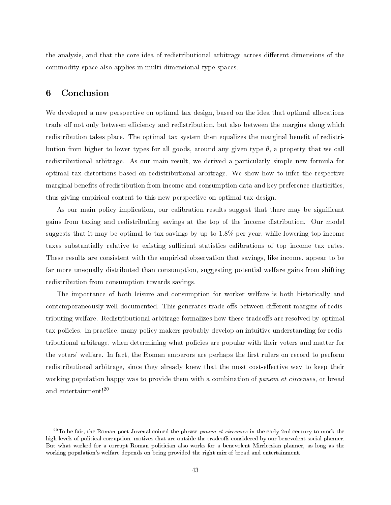the analysis, and that the core idea of redistributional arbitrage across different dimensions of the commodity space also applies in multi-dimensional type spaces.

## <span id="page-43-0"></span>6 Conclusion

We developed a new perspective on optimal tax design, based on the idea that optimal allocations trade off not only between efficiency and redistribution, but also between the margins along which redistribution takes place. The optimal tax system then equalizes the marginal benefit of redistribution from higher to lower types for all goods, around any given type  $\theta$ , a property that we call redistributional arbitrage. As our main result, we derived a particularly simple new formula for optimal tax distortions based on redistributional arbitrage. We show how to infer the respective marginal benefits of redistibution from income and consumption data and key preference elasticities, thus giving empirical content to this new perspective on optimal tax design.

As our main policy implication, our calibration results suggest that there may be signicant gains from taxing and redistributing savings at the top of the income distribution. Our model suggests that it may be optimal to tax savings by up to 1.8% per year, while lowering top income taxes substantially relative to existing sufficient statistics calibrations of top income tax rates. These results are consistent with the empirical observation that savings, like income, appear to be far more unequally distributed than consumption, suggesting potential welfare gains from shifting redistribution from consumption towards savings.

The importance of both leisure and consumption for worker welfare is both historically and contemporaneously well documented. This generates trade-offs between different margins of redistributing welfare. Redistributional arbitrage formalizes how these tradeoffs are resolved by optimal tax policies. In practice, many policy makers probably develop an intuitive understanding for redistributional arbitrage, when determining what policies are popular with their voters and matter for the voters' welfare. In fact, the Roman emperors are perhaps the first rulers on record to perform redistributional arbitrage, since they already knew that the most cost-effective way to keep their working population happy was to provide them with a combination of panem et circenses, or bread and entertainment![20](#page-1-0)

 $^{20}\rm{To}$  be fair, the Roman poet Juvenal coined the phrase *panem et circenses* in the early 2nd century to mock the high levels of political corruption, motives that are outside the tradeoffs considered by our benevolent social planner. But what worked for a corrupt Roman politician also works for a benevolent Mirrleesian planner, as long as the working population's welfare depends on being provided the right mix of bread and entertainment.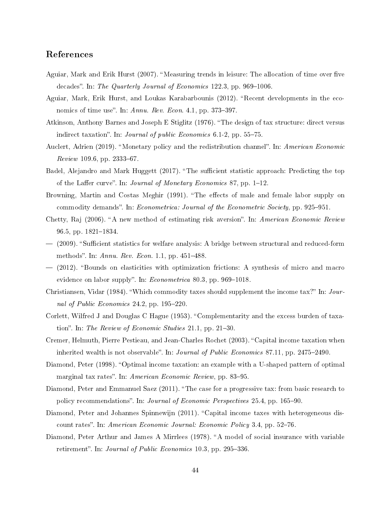## References

- <span id="page-44-0"></span>Aguiar, Mark and Erik Hurst (2007). "Measuring trends in leisure: The allocation of time over five decades". In: The Quarterly Journal of Economics  $122.3$ , pp. 969–1006.
- <span id="page-44-12"></span>Aguiar, Mark, Erik Hurst, and Loukas Karabarbounis (2012). "Recent developments in the economics of time use". In:  $Annu. Rev. Econ. 4.1$ , pp. 373–397.
- <span id="page-44-1"></span>Atkinson, Anthony Barnes and Joseph E Stiglitz (1976). "The design of tax structure: direct versus indirect taxation". In: *Journal of public Economics*  $6.1-2$ , pp.  $55-75$ .
- <span id="page-44-14"></span>Auclert, Adrien (2019). "Monetary policy and the redistribution channel". In: American Economic  $Review 109.6, pp. 2333-67.$
- <span id="page-44-8"></span>Badel, Alejandro and Mark Huggett (2017). "The sufficient statistic approach: Predicting the top of the Laffer curve". In: *Journal of Monetary Economics* 87, pp.  $1-12$ .
- <span id="page-44-7"></span>Browning, Martin and Costas Meghir (1991). "The effects of male and female labor supply on commodity demands". In: Econometrica: Journal of the Econometric Society, pp. 925–951.
- <span id="page-44-11"></span>Chetty, Raj (2006). "A new method of estimating risk aversion". In: American Economic Review 96.5, pp. 1821–1834.
- <span id="page-44-15"></span> $-$  (2009). "Sufficient statistics for welfare analysis: A bridge between structural and reduced-form methods". In: Annu. Rev. Econ. 1.1, pp. 451-488.
- <span id="page-44-10"></span> $-$  (2012). "Bounds on elasticities with optimization frictions: A synthesis of micro and macro evidence on labor supply". In:  $Econometrica$  80.3, pp. 969-1018.
- <span id="page-44-3"></span>Christiansen, Vidar (1984). "Which commodity taxes should supplement the income tax?" In: Journal of Public Economics 24.2, pp.  $195-220$ .
- <span id="page-44-13"></span>Corlett, Wilfred J and Douglas C Hague (1953). "Complementarity and the excess burden of taxation". In: The Review of Economic Studies  $21.1$ , pp.  $21-30$ .
- <span id="page-44-4"></span>Cremer, Helmuth, Pierre Pestieau, and Jean-Charles Rochet (2003). "Capital income taxation when inherited wealth is not observable". In: *Journal of Public Economics* 87.11, pp. 2475–2490.
- <span id="page-44-2"></span>Diamond, Peter (1998). "Optimal income taxation: an example with a U-shaped pattern of optimal marginal tax rates". In: American Economic Review, pp. 83-95.
- <span id="page-44-9"></span>Diamond, Peter and Emmanuel Saez (2011). "The case for a progressive tax: from basic research to policy recommendations". In: *Journal of Economic Perspectives* 25.4, pp. 165–90.
- <span id="page-44-5"></span>Diamond, Peter and Johannes Spinnewijn (2011). "Capital income taxes with heterogeneous discount rates". In: American Economic Journal: Economic Policy 3.4, pp. 52–76.
- <span id="page-44-6"></span>Diamond, Peter Arthur and James A Mirrlees (1978). "A model of social insurance with variable retirement". In: Journal of Public Economics 10.3, pp. 295-336.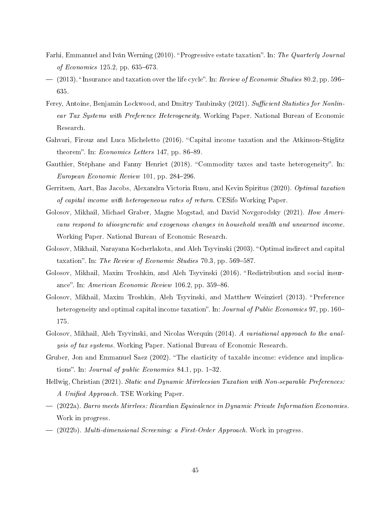- <span id="page-45-8"></span>Farhi, Emmanuel and Iván Werning (2010). "Progressive estate taxation". In: The Quarterly Journal of Economics  $125.2$ , pp. 635–673.
- <span id="page-45-9"></span> $-$  (2013). "Insurance and taxation over the life cycle". In: Review of Economic Studies 80.2, pp. 596– 635.
- <span id="page-45-2"></span>Ferey, Antoine, Benjamin Lockwood, and Dmitry Taubinsky (2021). Sufficient Statistics for Nonlinear Tax Systems with Preference Heterogeneity. Working Paper. National Bureau of Economic Research.
- <span id="page-45-5"></span>Gahvari, Firouz and Luca Micheletto  $(2016)$ . "Capital income taxation and the Atkinson-Stiglitz theorem". In: *Economics Letters* 147, pp. 86–89.
- <span id="page-45-3"></span>Gauthier, Stéphane and Fanny Henriet (2018). "Commodity taxes and taste heterogeneity". In: European Economic Review 101, pp. 284–296.
- <span id="page-45-6"></span>Gerritsen, Aart, Bas Jacobs, Alexandra Victoria Rusu, and Kevin Spiritus (2020). Optimal taxation of capital income with heterogeneous rates of return. CESifo Working Paper.
- <span id="page-45-12"></span>Golosov, Mikhail, Michael Graber, Magne Mogstad, and David Novgorodsky (2021). How Americans respond to idiosyncratic and exogenous changes in household wealth and unearned income. Working Paper. National Bureau of Economic Research.
- <span id="page-45-7"></span>Golosov, Mikhail, Narayana Kocherlakota, and Aleh Tsyvinski (2003). "Optimal indirect and capital taxation". In: The Review of Economic Studies 70.3, pp. 569–587.
- <span id="page-45-10"></span>Golosov, Mikhail, Maxim Troshkin, and Aleh Tsyvinski (2016). "Redistribution and social insurance". In: American Economic Review 106.2, pp. 359–86.
- <span id="page-45-4"></span>Golosov, Mikhail, Maxim Troshkin, Aleh Tsyvinski, and Matthew Weinzierl (2013). "Preference heterogeneity and optimal capital income taxation". In: *Journal of Public Economics* 97, pp.  $160-$ 175.
- <span id="page-45-1"></span>Golosov, Mikhail, Aleh Tsyvinski, and Nicolas Werquin (2014). A variational approach to the analysis of tax systems. Working Paper. National Bureau of Economic Research.
- <span id="page-45-11"></span>Gruber, Jon and Emmanuel Saez (2002). The elasticity of taxable income: evidence and implications". In: *Journal of public Economics* 84.1, pp.  $1-32$ .
- <span id="page-45-0"></span>Hellwig, Christian (2021). Static and Dynamic Mirrleesian Taxation with Non-separable Preferences: A Unified Approach. TSE Working Paper.
- <span id="page-45-14"></span> (2022a). Barro meets Mirrlees: Ricardian Equivalence in Dynamic Private Information Economies. Work in progress.
- <span id="page-45-13"></span> $-$  (2022b). Multi-dimensional Screening: a First-Order Approach. Work in progress.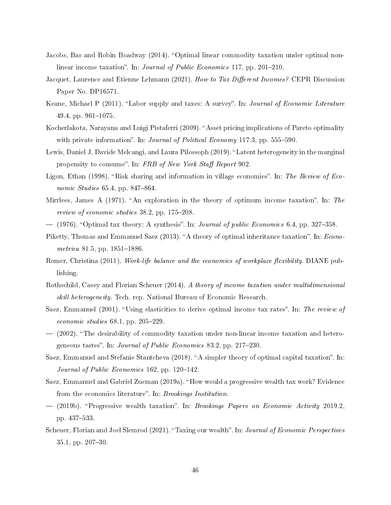- <span id="page-46-11"></span>Jacobs, Bas and Robin Boadway (2014). "Optimal linear commodity taxation under optimal nonlinear income taxation". In: *Journal of Public Economics* 117, pp. 201–210.
- <span id="page-46-7"></span>Jacquet, Laurence and Etienne Lehmann (2021). How to Tax Different Incomes? CEPR Discussion Paper No. DP16571.
- <span id="page-46-15"></span>Keane, Michael P (2011). "Labor supply and taxes: A survey". In: Journal of Economic Literature  $49.4$ , pp.  $961-1075$ .
- <span id="page-46-4"></span>Kocherlakota, Narayana and Luigi Pistaferri (2009). "Asset pricing implications of Pareto optimality with private information". In: *Journal of Political Economy* 117.3, pp.  $555-590$ .
- <span id="page-46-16"></span>Lewis, Daniel J, Davide Melcangi, and Laura Pilossoph (2019). "Latent heterogeneity in the marginal propensity to consume". In: FRB of New York Staff Report 902.
- <span id="page-46-3"></span>Ligon, Ethan (1998). "Risk sharing and information in village economies". In: The Review of Economic Studies  $65.4$ , pp. 847-864.
- <span id="page-46-0"></span>Mirrlees, James A (1971). "An exploration in the theory of optimum income taxation". In: The review of economic studies  $38.2$ , pp.  $175-208$ .
- <span id="page-46-12"></span> $-$  (1976). "Optimal tax theory: A synthesis". In: *Journal of public Economics* 6.4, pp. 327–358.
- <span id="page-46-13"></span>Piketty, Thomas and Emmanuel Saez (2013). "A theory of optimal inheritance taxation". In: *Econo*metrica 81.5, pp.  $1851-1886$ .
- <span id="page-46-1"></span>Romer, Christina (2011). Work-life balance and the economics of workplace flexibility. DIANE publishing.
- <span id="page-46-14"></span>Rothschild, Casey and Florian Scheuer (2014). A theory of income taxation under multidimensional skill heterogeneity. Tech. rep. National Bureau of Economic Research.
- <span id="page-46-2"></span>Saez, Emmanuel (2001). "Using elasticities to derive optimal income tax rates". In: The review of economic studies  $68.1$ , pp.  $205-229$ .
- <span id="page-46-10"></span> (2002). The desirability of commodity taxation under non-linear income taxation and heterogeneous tastes". In: *Journal of Public Economics* 83.2, pp. 217–230.
- <span id="page-46-9"></span>Saez, Emmanuel and Stefanie Stantcheva (2018). "A simpler theory of optimal capital taxation". In: Journal of Public Economics 162, pp. 120–142.
- <span id="page-46-5"></span>Saez, Emmanuel and Gabriel Zucman (2019a). "How would a progressive wealth tax work? Evidence from the economics literature". In: *Brookings Institution*.
- <span id="page-46-6"></span> $-$  (2019b). "Progressive wealth taxation". In: *Brookings Papers on Economic Activity* 2019.2, pp. 437–533.
- <span id="page-46-8"></span>Scheuer, Florian and Joel Slemrod (2021). "Taxing our wealth". In: *Journal of Economic Perspectives*  $35.1$ , pp.  $207-30$ .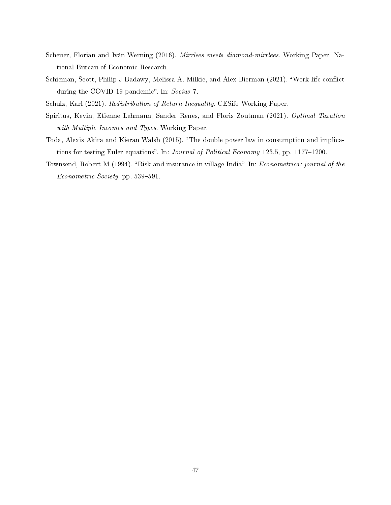- <span id="page-47-3"></span>Scheuer, Florian and Iván Werning (2016). Mirrlees meets diamond-mirrlees. Working Paper. National Bureau of Economic Research.
- <span id="page-47-0"></span>Schieman, Scott, Philip J Badawy, Melissa A. Milkie, and Alex Bierman (2021). "Work-life conflict during the COVID-19 pandemic". In: Socius 7.
- <span id="page-47-5"></span>Schulz, Karl (2021). Redistribution of Return Inequality. CESifo Working Paper.
- <span id="page-47-4"></span>Spiritus, Kevin, Etienne Lehmann, Sander Renes, and Floris Zoutman (2021). Optimal Taxation with Multiple Incomes and Types. Working Paper.
- <span id="page-47-1"></span>Toda, Alexis Akira and Kieran Walsh (2015). "The double power law in consumption and implications for testing Euler equations". In: *Journal of Political Economy* 123.5, pp. 1177–1200.
- <span id="page-47-2"></span>Townsend, Robert M (1994). "Risk and insurance in village India". In: *Econometrica: journal of the* Econometric Society, pp. 539-591.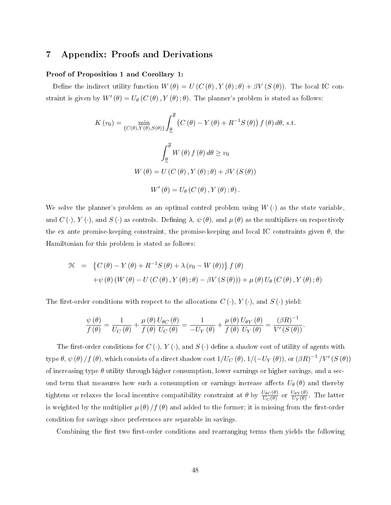## 7 Appendix: Proofs and Derivations

#### Proof of Proposition [1](#page-13-0) and Corollary [1:](#page-14-0)

Define the indirect utility function  $W(\theta) = U(C(\theta), Y(\theta); \theta) + \beta V(S(\theta))$ . The local IC constraint is given by  $W'(\theta) = U_{\theta}(C(\theta), Y(\theta); \theta)$ . The planner's problem is stated as follows:

$$
K(v_0) = \min_{\{C(\theta), Y(\theta), S(\theta)\}} \int_{\theta}^{\overline{\theta}} (C(\theta) - Y(\theta) + R^{-1}S(\theta)) f(\theta) d\theta, \text{ s.t.}
$$

$$
\int_{\theta}^{\overline{\theta}} W(\theta) f(\theta) d\theta \ge v_0
$$

$$
W(\theta) = U(C(\theta), Y(\theta); \theta) + \beta V(S(\theta))
$$

$$
W'(\theta) = U_{\theta}(C(\theta), Y(\theta); \theta).
$$

We solve the planner's problem as an optimal control problem using  $W(\cdot)$  as the state variable, and  $C(\cdot)$ ,  $Y(\cdot)$ , and  $S(\cdot)$  as controls. Defining  $\lambda, \psi(\theta)$ , and  $\mu(\theta)$  as the multipliers on respectively the ex ante promise-keeping constraint, the promise-keeping and local IC constraints given  $\theta$ , the Hamiltonian for this problem is stated as follows:

$$
\mathcal{H} = \left\{ C(\theta) - Y(\theta) + R^{-1}S(\theta) + \lambda(v_0 - W(\theta)) \right\} f(\theta)
$$
  
+  $\psi(\theta) (W(\theta) - U(C(\theta), Y(\theta); \theta) - \beta V(S(\theta))) + \mu(\theta) U_{\theta}(C(\theta), Y(\theta); \theta)$ 

The first-order conditions with respect to the allocations  $C(\cdot)$ ,  $Y(\cdot)$ , and  $S(\cdot)$  yield:

$$
\frac{\psi(\theta)}{f(\theta)} = \frac{1}{U_C(\theta)} + \frac{\mu(\theta)}{f(\theta)} \frac{U_{\theta C}(\theta)}{U_C(\theta)} = \frac{1}{-U_Y(\theta)} + \frac{\mu(\theta)}{f(\theta)} \frac{U_{\theta Y}(\theta)}{U_Y(\theta)} = \frac{(\beta R)^{-1}}{V'(S(\theta))}.
$$

The first-order conditions for  $C(\cdot)$ ,  $Y(\cdot)$ , and  $S(\cdot)$  define a shadow cost of utility of agents with  $\text{type}~\theta,~\psi~(\theta)$  /  $f~(\theta),$  which consists of a direct shadow cost  $1/U_C\left(\theta\right),1/(-U_Y~(\theta)),$  or  $\left(\beta R\right)^{-1}/V' \left(S\left(\theta\right)\right)$ of increasing type  $\theta$  utility through higher consumption, lower earnings or higher savings, and a second term that measures how such a consumption or earnings increase affects  $U_{\theta}(\theta)$  and thereby tightens or relaxes the local incentive compatibility constraint at  $\theta$  by  $\frac{U_{\theta C}(\theta)}{U_C(\theta)}$  or  $\frac{U_{\theta Y}(\theta)}{U_Y(\theta)}$  $\frac{U_{\theta}Y(\theta)}{U_{Y}(\theta)}$ . The latter is weighted by the multiplier  $\mu(\theta)/f(\theta)$  and added to the former; it is missing from the first-order condition for savings since preferences are separable in savings.

Combining the first two first-order conditions and rearranging terms then yields the following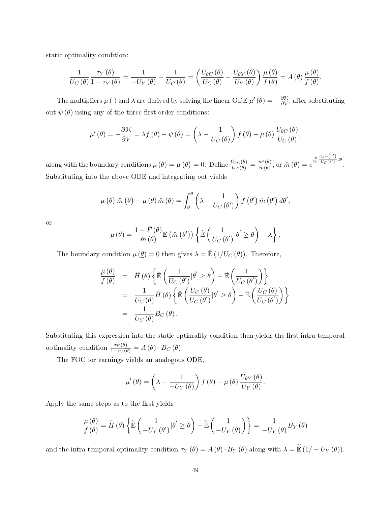static optimality condition:

$$
\frac{1}{U_C(\theta)}\frac{\tau_Y(\theta)}{1-\tau_Y(\theta)}=\frac{1}{-U_Y(\theta)}-\frac{1}{U_C(\theta)}=\left(\frac{U_{\theta C}(\theta)}{U_C(\theta)}-\frac{U_{\theta Y}(\theta)}{U_Y(\theta)}\right)\frac{\mu(\theta)}{f(\theta)}=A(\theta)\frac{\mu(\theta)}{f(\theta)}.
$$

The multipliers  $\mu$  ( $\cdot$ ) and  $\lambda$  are derived by solving the linear ODE  $\mu' \left( \theta \right) = - \frac{\partial \mathcal{H}}{\partial V}$ , after substituting out  $\psi(\theta)$  using any of the three first-order conditions:

$$
\mu'(\theta) = -\frac{\partial \mathcal{H}}{\partial V} = \lambda f(\theta) - \psi(\theta) = \left(\lambda - \frac{1}{U_C(\theta)}\right) f(\theta) - \mu(\theta) \frac{U_{\theta C}(\theta)}{U_C(\theta)},
$$

along with the boundary conditions  $\mu(\underline{\theta}) = \mu(\overline{\theta}) = 0$ . Define  $\frac{U_{\theta C}(\theta)}{U_C(\theta)} = \frac{\hat{m}'(\theta)}{\hat{m}(\theta)}$  $\frac{\hat{m}'(\theta)}{\hat{m}(\theta)}$ , or  $\hat{m}(\theta) = e^{\int_{\theta}^{\theta} \frac{U_{\theta C}(e')}{U_{C}(e')}}$  $\frac{\partial C}{\partial C(\theta')} d\theta$ Substituting into the above ODE and integrating out yields

$$
\mu\left(\overline{\theta}\right)\hat{m}\left(\overline{\theta}\right)-\mu\left(\theta\right)\hat{m}\left(\theta\right)=\int_{\theta}^{\overline{\theta}}\left(\lambda-\frac{1}{U_C\left(\theta'\right)}\right)f\left(\theta'\right)\hat{m}\left(\theta'\right)d\theta',
$$

or

$$
\mu(\theta) = \frac{1-\hat{F}(\theta)}{\hat{m}(\theta)} \mathbb{E}(\hat{m}(\theta')) \left\{ \hat{\mathbb{E}}\left(\frac{1}{U_C(\theta')}\big|\theta'\geq \theta\right) - \lambda \right\}.
$$

The boundary condition  $\mu(\underline{\theta}) = 0$  then gives  $\lambda = \mathbb{E} (1/U_C(\theta))$ . Therefore,

$$
\frac{\mu(\theta)}{f(\theta)} = \hat{H}(\theta) \left\{ \hat{\mathbb{E}} \left( \frac{1}{U_C(\theta')} | \theta' \ge \theta \right) - \hat{\mathbb{E}} \left( \frac{1}{U_C(\theta')} \right) \right\} \n= \frac{1}{U_C(\theta)} \hat{H}(\theta) \left\{ \hat{\mathbb{E}} \left( \frac{U_C(\theta)}{U_C(\theta')} | \theta' \ge \theta \right) - \hat{\mathbb{E}} \left( \frac{U_C(\theta)}{U_C(\theta')} \right) \right\} \n= \frac{1}{U_C(\theta)} B_C(\theta).
$$

Substituting this expression into the static optimality condition then yields the first intra-temporal optimality condition  $\frac{\tau_Y(\theta)}{1-\tau_Y(\theta)} = A(\theta) \cdot B_C(\theta)$ .

The FOC for earnings yields an analogous ODE,

$$
\mu'(\theta) = \left(\lambda - \frac{1}{-U_Y(\theta)}\right) f(\theta) - \mu(\theta) \frac{U_{\theta Y}(\theta)}{U_Y(\theta)}.
$$

Apply the same steps as to the first yields

$$
\frac{\mu(\theta)}{f(\theta)} = \widetilde{H}(\theta) \left\{ \widetilde{\mathbb{E}} \left( \frac{1}{-U_Y(\theta')} | \theta' \ge \theta \right) - \widetilde{\mathbb{E}} \left( \frac{1}{-U_Y(\theta)} \right) \right\} = \frac{1}{-U_Y(\theta)} B_Y(\theta)
$$

and the intra-temporal optimality condition  $\tau_Y(\theta) = A(\theta) \cdot B_Y(\theta)$  along with  $\lambda = \tilde{\mathbb{E}}(1 - U_Y(\theta))$ .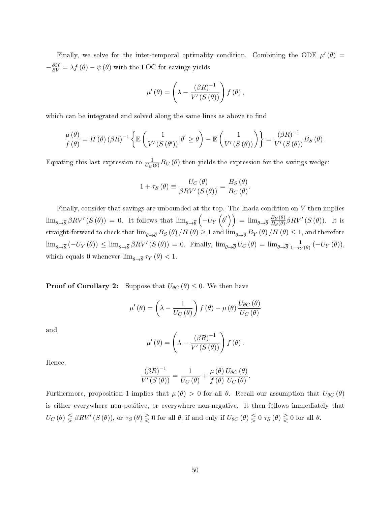Finally, we solve for the inter-temporal optimality condition. Combining the ODE  $\mu'(\theta)$  =  $-\frac{\partial \mathcal{H}}{\partial V} = \lambda f(\theta) - \psi(\theta)$  with the FOC for savings yields

$$
\mu'(\theta) = \left(\lambda - \frac{(\beta R)^{-1}}{V'(S(\theta))}\right) f(\theta),
$$

which can be integrated and solved along the same lines as above to find

$$
\frac{\mu(\theta)}{f(\theta)} = H(\theta) (\beta R)^{-1} \left\{ \mathbb{E} \left( \frac{1}{V'(S(\theta))} |\theta' \ge \theta \right) - \mathbb{E} \left( \frac{1}{V'(S(\theta))} \right) \right\} = \frac{(\beta R)^{-1}}{V'(S(\theta))} B_S(\theta).
$$

Equating this last expression to  $\frac{1}{U_C(\theta)}B_C(\theta)$  then yields the expression for the savings wedge:

$$
1 + \tau_S(\theta) \equiv \frac{U_C(\theta)}{\beta R V'(S(\theta))} = \frac{B_S(\theta)}{B_C(\theta)}.
$$

Finally, consider that savings are unbounded at the top. The Inada condition on V then implies  $\lim_{\theta\to\overline{\theta}}\beta RV'(S(\theta))=0.$  It follows that  $\lim_{\theta\to\overline{\theta}}\left(-U_Y\left(\theta'\right)\right)=\lim_{\theta\to\overline{\theta}}\frac{B_Y(\theta)}{B_S(\theta)}$  $\frac{B_Y(\theta)}{B_S(\theta)}\beta RV'\left(S\left(\theta\right)\right)$ . It is straight-forward to check that  $\lim_{\theta\to\overline{\theta}}B_S(\theta)/H(\theta) \geq 1$  and  $\lim_{\theta\to\overline{\theta}}B_Y(\theta)/H(\theta) \leq 1$ , and therefore  $\lim_{\theta \to \overline{\theta}} (-U_Y(\theta)) \leq \lim_{\theta \to \overline{\theta}} \beta RV'(S(\theta)) = 0$ . Finally,  $\lim_{\theta \to \overline{\theta}} U_C(\theta) = \lim_{\theta \to \overline{\theta}} \frac{1}{1-\tau_Y}$  $\frac{1}{1-\tau_Y(\theta)}\left(-U_Y(\theta)\right),$ which equals 0 whenever  $\lim_{\theta\to \overline{\theta}}\tau_Y(\theta) < 1.$ 

**Proof of Corollary [2:](#page-19-0)** Suppose that  $U_{\theta C}(\theta) \leq 0$ . We then have

$$
\mu'(\theta) = \left(\lambda - \frac{1}{U_C(\theta)}\right) f(\theta) - \mu(\theta) \frac{U_{\theta C}(\theta)}{U_C(\theta)}
$$

and

$$
\mu'(\theta) = \left(\lambda - \frac{(\beta R)^{-1}}{V'(S(\theta))}\right) f(\theta).
$$

Hence,

$$
\frac{\left(\beta R\right)^{-1}}{V'\left(S\left(\theta\right)\right)} = \frac{1}{U_C\left(\theta\right)} + \frac{\mu\left(\theta\right)}{f\left(\theta\right)} \frac{U_{\theta C}\left(\theta\right)}{U_C\left(\theta\right)}.
$$

Furthermore, proposition [1](#page-13-0) implies that  $\mu(\theta) > 0$  for all  $\theta$ . Recall our assumption that  $U_{\theta C}(\theta)$ is either everywhere non-positive, or everywhere non-negative. It then follows immediately that  $U_C(\theta) \leq \beta RV' (S(\theta))$ , or  $\tau_S(\theta) \geq 0$  for all  $\theta$ , if and only if  $U_{\theta C}(\theta) \leq 0 \tau_S(\theta) \geq 0$  for all  $\theta$ .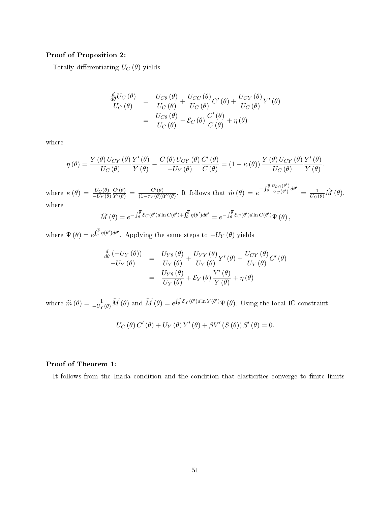#### Proof of Proposition [2:](#page-20-1)

Totally differentiating  $U_C(\theta)$  yields

$$
\frac{\frac{d}{d\theta}U_C(\theta)}{U_C(\theta)} = \frac{U_{C\theta}(\theta)}{U_C(\theta)} + \frac{U_{CC}(\theta)}{U_C(\theta)}C'(\theta) + \frac{U_{CY}(\theta)}{U_C(\theta)}Y'(\theta) \n= \frac{U_{C\theta}(\theta)}{U_C(\theta)} - \mathcal{E}_C(\theta)\frac{C'(\theta)}{C(\theta)} + \eta(\theta)
$$

where

$$
\eta\left(\theta\right)=\frac{Y\left(\theta\right)U_{CY}\left(\theta\right)}{U_{C}\left(\theta\right)}\frac{Y'\left(\theta\right)}{Y\left(\theta\right)}-\frac{C\left(\theta\right)U_{CY}\left(\theta\right)}{-U_{Y}\left(\theta\right)}\frac{C'\left(\theta\right)}{C\left(\theta\right)}=\left(1-\kappa\left(\theta\right)\right)\frac{Y\left(\theta\right)U_{CY}\left(\theta\right)}{U_{C}\left(\theta\right)}\frac{Y'\left(\theta\right)}{Y\left(\theta\right)}.
$$

where  $\kappa(\theta) = \frac{U_C(\theta)}{-U_Y(\theta)}$  $\frac{C'(\theta)}{Y'(\theta)} = \frac{C'(\theta)}{(1-\tau_Y(\theta))}$  $\frac{C'(\theta)}{(1-\tau_Y(\theta))Y'(\theta)}$ . It follows that  $\hat{m}(\theta) = e^{-\int_{\theta}^{\overline{\theta}} \frac{U_{\theta C}(\theta')}{U_C(\theta')} }$  $\frac{\partial \theta C^{(\theta')}}{\partial C^{(\theta')}} d\theta' = \frac{1}{U_C(\theta)} \hat{M}(\theta),$ where

$$
\hat{M}(\theta) = e^{-\int_{\theta}^{\overline{\theta}} \mathcal{E}_C(\theta')d\ln C(\theta') + \int_{\theta}^{\overline{\theta}} \eta(\theta')d\theta'} = e^{-\int_{\theta}^{\overline{\theta}} \mathcal{E}_C(\theta')d\ln C(\theta')} \Psi(\theta),
$$

where  $\Psi(\theta) = e^{\int_{\theta}^{\theta} \eta(\theta') d\theta'}$ . Applying the same steps to  $-U_Y(\theta)$  yields

$$
\frac{\frac{d}{d\theta}(-U_Y(\theta))}{-U_Y(\theta)} = \frac{U_{Y\theta}(\theta)}{U_Y(\theta)} + \frac{U_{YY}(\theta)}{U_Y(\theta)}Y'(\theta) + \frac{U_{CY}(\theta)}{U_Y(\theta)}C'(\theta) \n= \frac{U_{Y\theta}(\theta)}{U_Y(\theta)} + \mathcal{E}_Y(\theta)\frac{Y'(\theta)}{Y(\theta)} + \eta(\theta)
$$

where  $\widetilde{m}(\theta) = \frac{1}{-U_Y(\theta)} \widetilde{M}(\theta)$  and  $\widetilde{M}(\theta) = e^{\int_{\theta}^{\theta} \mathcal{E}_Y(\theta') d\ln Y(\theta')} \Psi(\theta)$ . Using the local IC constraint

$$
U_C(\theta) C'(\theta) + U_Y(\theta) Y'(\theta) + \beta V' (S(\theta)) S'(\theta) = 0.
$$

#### Proof of Theorem [1:](#page-22-3)

It follows from the Inada condition and the condition that elasticities converge to finite limits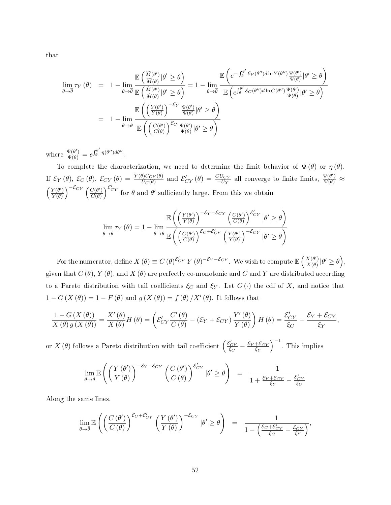that

$$
\lim_{\theta \to \overline{\theta}} \tau_Y(\theta) = 1 - \lim_{\theta \to \overline{\theta}} \frac{\mathbb{E}\left(\frac{\widetilde{M}(\theta')}{\widetilde{M}(\theta)} | \theta' \ge \theta\right)}{\mathbb{E}\left(\frac{\widetilde{M}(\theta')}{\widetilde{M}(\theta)} | \theta' \ge \theta\right)} = 1 - \lim_{\theta \to \overline{\theta}} \frac{\mathbb{E}\left(e^{-\int_{\theta}^{\theta'} \mathcal{E}_Y(\theta'')d\ln Y(\theta'')}\frac{\Psi(\theta')}{\Psi(\theta)} | \theta' \ge \theta\right)}{\mathbb{E}\left(e^{\int_{\theta}^{\theta'} \mathcal{E}_C(\theta'')d\ln C(\theta'')}\frac{\Psi(\theta')}{\Psi(\theta)} | \theta' \ge \theta\right)}
$$
\n
$$
= 1 - \lim_{\theta \to \overline{\theta}} \frac{\mathbb{E}\left(\left(\frac{Y(\theta')}{Y(\theta)}\right)^{-\mathcal{E}_Y}\frac{\Psi(\theta')}{\Psi(\theta)} | \theta' \ge \theta\right)}{\mathbb{E}\left(\left(\frac{C(\theta')}{C(\theta)}\right)^{\mathcal{E}_C}\frac{\Psi(\theta')}{\Psi(\theta)} | \theta' \ge \theta\right)}
$$

where  $\frac{\Psi(\theta')}{\Psi(\theta)} = e^{\int_{\theta}^{\theta'}$  $\int_{\theta}^{\theta'} \eta(\theta'') d\theta''$ 

To complete the characterization, we need to determine the limit behavior of  $\Psi(\theta)$  or  $\eta(\theta)$ . If  $\mathcal{E}_Y(\theta)$ ,  $\mathcal{E}_C(\theta)$ ,  $\mathcal{E}_{CY}(\theta) = \frac{Y(\theta)U_{CY}(\theta)}{U_C(\theta)}$  and  $\mathcal{E}'_{CY}(\theta) = \frac{CU_{CY}}{-U_Y}$  all converge to finite limits,  $\frac{\Psi(\theta')}{\Psi(\theta)} \approx$  $\int Y(\theta')$  $\frac{Y(\theta')}{Y(\theta)}\bigg)^{-\mathcal{E}_{CY}}\left(\frac{C(\theta')}{C(\theta)}\right)$  $\frac{C(\theta')}{C(\theta)}$ <sup>E'</sup>C<sup>Y</sup> for  $\theta$  and  $\theta'$  sufficiently large. From this we obtain

$$
\lim_{\theta \to \overline{\theta}} \tau_Y(\theta) = 1 - \lim_{\theta \to \overline{\theta}} \frac{\mathbb{E}\left( \left(\frac{Y(\theta')}{Y(\theta)}\right)^{-\mathcal{E}_Y - \mathcal{E}_{CY}} \left(\frac{C(\theta')}{C(\theta)}\right)^{\mathcal{E}_{CY}} |\theta' \ge \theta \right)}{\mathbb{E}\left( \left(\frac{C(\theta')}{C(\theta)}\right)^{\mathcal{E}_C + \mathcal{E}_{CY}'} \left(\frac{Y(\theta')}{Y(\theta)}\right)^{-\mathcal{E}_{CY}} |\theta' \ge \theta \right)}
$$

For the numerator, define  $X(\theta) \equiv C(\theta)^{\mathcal{E}'_{CY}} Y(\theta)^{-\mathcal{E}_{Y}-\mathcal{E}_{CY}}$ . We wish to compute  $\mathbb{E}\left(\frac{X(\theta')}{X(\theta)}\right)$  $\frac{X(\theta')}{X(\theta)}|\theta' \geq \theta,$ given that  $C(\theta)$ ,  $Y(\theta)$ , and  $X(\theta)$  are perfectly co-monotonic and C and Y are distributed according to a Pareto distribution with tail coefficients  $\xi_C$  and  $\xi_Y$ . Let  $G(\cdot)$  the cdf of X, and notice that  $1-G(X(\theta)) = 1 - F(\theta)$  and  $g(X(\theta)) = f(\theta)/X'(\theta)$ . It follows that

$$
\frac{1-G(X(\theta))}{X(\theta)g(X(\theta))} = \frac{X'(\theta)}{X(\theta)}H(\theta) = \left(\mathcal{E}_{CY}'\frac{C'(\theta)}{C(\theta)} - (\mathcal{E}_Y + \mathcal{E}_{CY})\frac{Y'(\theta)}{Y(\theta)}\right)H(\theta) = \frac{\mathcal{E}_{CY}'}{\xi_{C}} - \frac{\mathcal{E}_Y + \mathcal{E}_{CY}}{\xi_{Y}},
$$

or  $X(\theta)$  follows a Pareto distribution with tail coefficient  $\left(\frac{\mathcal{E}_{CY}}{\xi_C} - \frac{\mathcal{E}_Y + \mathcal{E}_{CY}}{\xi_Y}\right)$  $\xi_Y$  $\Big)^{-1}$ . This implies

$$
\lim_{\theta \to \overline{\theta}} \mathbb{E}\left( \left( \frac{Y(\theta')}{Y(\theta)} \right)^{-\mathcal{E}_Y - \mathcal{E}_{CY}} \left( \frac{C(\theta')}{C(\theta)} \right)^{\mathcal{E}'_{CY}} |\theta' \ge \theta \right) = \frac{1}{1 + \frac{\mathcal{E}_Y + \mathcal{E}_{CY}}{\mathcal{E}_Y} - \frac{\mathcal{E}'_{CY}}{\mathcal{E}_C}}
$$

Along the same lines,

$$
\lim_{\theta \to \overline{\theta}} \mathbb{E}\left( \left( \frac{C\left( \theta^{\prime} \right)}{C\left( \theta\right)} \right)^{\mathcal{E}_C + \mathcal{E}_{CY}^{\prime}} \left( \frac{Y\left( \theta^{\prime} \right)}{Y\left( \theta\right)} \right)^{-\mathcal{E}_{CY}} \left| \theta^{\prime} \geq \theta \right) = \frac{1}{1 - \left( \frac{\mathcal{E}_C + \mathcal{E}_{CY}^{\prime}}{\mathcal{E}_C} - \frac{\mathcal{E}_{CY}}{\mathcal{E}_Y} \right)},
$$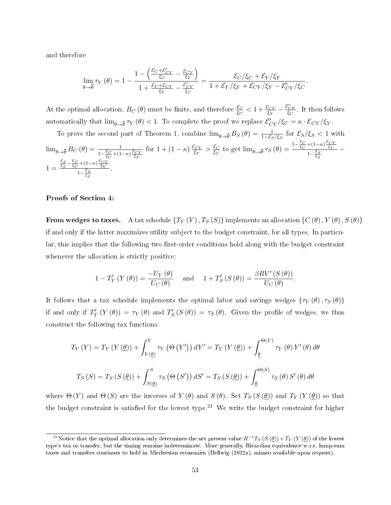and therefore

$$
\lim_{\theta \to \overline{\theta}} \tau_Y(\theta) = 1 - \frac{1 - \left(\frac{\mathcal{E}_C + \mathcal{E}_{CY}'}{\xi_C} - \frac{\mathcal{E}_{CY}}{\xi_Y}\right)}{1 + \frac{\mathcal{E}_Y + \mathcal{E}_{CY}}{\xi_Y} - \frac{\mathcal{E}_{CY}'}{\xi_C}} = \frac{\mathcal{E}_C/\xi_C + \mathcal{E}_Y/\xi_Y}{1 + \mathcal{E}_Y/\xi_Y + \mathcal{E}_{CY}/\xi_Y - \mathcal{E}_{CY}'/\xi_C}
$$

.

At the optimal allocation,  $B_C(\theta)$  must be finite, and therefore  $\frac{\mathcal{E}_C}{\mathcal{E}_C} < 1 + \frac{\mathcal{E}_{CY}}{\mathcal{E}_Y} - \frac{\mathcal{E}'_{CY}}{\mathcal{E}_C}$ . It then follows automatically that  $\lim_{\theta\to\overline{\theta}}\tau_Y(\theta) < 1$ . To complete the proof we replace  $\mathcal{E}_{CY}'/\xi_C = \kappa\cdot\mathcal{E}_{CY}/\xi_Y$ .

To prove the second part of Theorem 1, combine 
$$
\lim_{\theta \to \overline{\theta}} B_S(\theta) = \frac{1}{1 - \mathcal{E}_S/\xi_S}
$$
 for  $\mathcal{E}_S/\xi_S < 1$  with  $\lim_{\theta \to \overline{\theta}} B_C(\theta) = \frac{1}{1 - \frac{\mathcal{E}_C}{\xi_C} + (1 - \kappa) \frac{\mathcal{E}_{CY}}{\xi_Y}}$  for  $1 + (1 - \kappa) \frac{\mathcal{E}_{CY}}{\xi_Y} > \frac{\mathcal{E}_C}{\xi_C}$  to get  $\lim_{\theta \to \overline{\theta}} \tau_S(\theta) = \frac{1 - \frac{\mathcal{E}_C}{\xi_C} + (1 - \kappa) \frac{\mathcal{E}_{CY}}{\xi_Y}}{1 - \frac{\mathcal{E}_S}{\xi_S}} - 1 = \frac{\frac{\mathcal{E}_S - \mathcal{E}_C}{\xi_C} + (1 - \kappa) \frac{\mathcal{E}_{CY}}{\xi_Y}}{1 - \frac{\mathcal{E}_S}{\xi_S}}.$ 

#### Proofs of Section 4:

From wedges to taxes. A tax schedule  $\{T_Y(Y), T_S(S)\}$  implements an allocation  $\{C(\theta), Y(\theta), S(\theta)\}$ if and only if the latter maximizes utility subject to the budget constraint, for all types. In particular, this implies that the following two first-order conditions hold along with the budget constraint whenever the allocation is strictly positive:

$$
1 - T'_Y(Y(\theta)) = \frac{-U_Y(\theta)}{U_C(\theta)} \quad \text{and} \quad 1 + T'_S(S(\theta)) = \frac{\beta RV'(S(\theta))}{U_C(\theta)}.
$$

It follows that a tax schedule implements the optimal labor and savings wedges  $\{\tau_Y(\theta), \tau_S(\theta)\}$ if and only if  $T'_Y(Y(\theta)) = \tau_Y(\theta)$  and  $T'_S(S(\theta)) = \tau_S(\theta)$ . Given the profile of wedges, we thus construct the following tax functions:

$$
T_Y(Y) = T_Y(Y(\underline{\theta})) + \int_{Y(\underline{\theta})}^{Y} \tau_Y(\Theta(Y')) dY' = T_Y(Y(\underline{\theta})) + \int_{\underline{\theta}}^{\Theta(Y)} \tau_Y(\theta) Y'(\theta) d\theta
$$
  

$$
T_S(S) = T_S(S(\underline{\theta})) + \int_{S(\underline{\theta})}^{S} \tau_S(\Theta(S')) dS' = T_S(S(\underline{\theta})) + \int_{\underline{\theta}}^{\Theta(S)} \tau_S(\theta) S'(\theta) d\theta
$$

where  $\Theta(Y)$  and  $\Theta(S)$  are the inverses of  $Y(\theta)$  and  $S(\theta)$ . Set  $T_S(S(\theta))$  and  $T_Y(Y(\theta))$  so that the budget constraint is satisfied for the lowest type.<sup>[21](#page-1-0)</sup> We write the budget constraint for higher

 $^{21}$ Notice that the optimal allocation only determines the net present value  $R^{-1}T_S\left(S\left(\theta\right)\right)+T_Y\left(Y\left(\theta\right)\right)$  of the lowest type's tax or transfer, but the timing remains indeterminate. More generally, Ricardian equivalence w.r.t. lump-sum taxes and transfers continues to hold in Mirrleesian economies (Hellwig [\(2022a\)](#page-45-14), mimeo available upon request).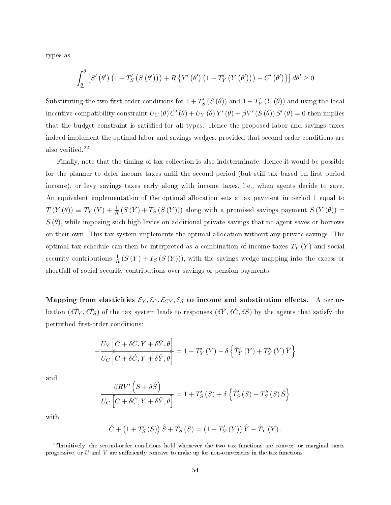types as

$$
\int_{\underline{\theta}}^{\theta} \left[ S' \left( \theta' \right) \left( 1 + T'_S \left( S \left( \theta' \right) \right) \right) + R \left\{ Y' \left( \theta' \right) \left( 1 - T'_Y \left( Y \left( \theta' \right) \right) \right) - C' \left( \theta' \right) \right\} \right] d\theta' \ge 0
$$

Substituting the two first-order conditions for  $1+T_S'\left(S\left(\theta\right)\right)$  and  $1-T_Y'\left(Y\left(\theta\right)\right)$  and using the local incentive compatibility constraint  $U_C(\theta) C'(\theta) + U_Y(\theta) Y'(\theta) + \beta V' (S(\theta)) S'(\theta) = 0$  then implies that the budget constraint is satisfied for all types. Hence the proposed labor and savings taxes indeed implement the optimal labor and savings wedges, provided that second order conditions are also verified.<sup>[22](#page-1-0)</sup>

Finally, note that the timing of tax collection is also indeterminate. Hence it would be possible for the planner to defer income taxes until the second period (but still tax based on first period income), or levy savings taxes early along with income taxes, i.e., when agents decide to save. An equivalent implementation of the optimal allocation sets a tax payment in period 1 equal to  $T(Y(\theta)) \equiv T_Y(Y) + \frac{1}{R} (S(Y) + T_S(S(Y)))$  along with a promised savings payment  $S(Y(\theta)) =$  $S(\theta)$ , while imposing such high levies on additional private savings that no agent saves or borrows on their own. This tax system implements the optimal allocation without any private savings. The optimal tax schedule can then be interpreted as a combination of income taxes  $T_Y(Y)$  and social security contributions  $\frac{1}{R} (S(Y) + T_S (S(Y))),$  with the savings wedge mapping into the excess or shortfall of social security contributions over savings or pension payments.

Mapping from elasticities  $\mathcal{E}_Y, \mathcal{E}_C, \mathcal{E}_{CY}, \mathcal{E}_S$  to income and substitution effects. A perturbation  $(\delta \hat T_Y, \delta \hat T_S)$  of the tax system leads to responses  $(\delta \hat Y, \delta \hat C, \delta \hat S)$  by the agents that satisfy the perturbed first-order conditions:

$$
-\frac{U_{Y}\left[C+\delta\hat{C},Y+\delta\hat{Y},\theta\right]}{U_{C}\left[C+\delta\hat{C},Y+\delta\hat{Y},\theta\right]} = 1 - T'_{Y}\left(Y\right) - \delta\left\{\hat{T}'_{Y}\left(Y\right) + T''_{Y}\left(Y\right)\hat{Y}\right\}
$$

and

$$
\frac{\beta RV'\left(S+\delta\hat{S}\right)}{U_C\left[C+\delta\hat{C},Y+\delta\hat{Y},\theta\right]} = 1 + T'_S(S) + \delta\left\{\hat{T}'_S(S) + T''_S(S)\hat{S}\right\}
$$

with

$$
\hat{C} + (1 + T'_{S}(S)) \hat{S} + \hat{T}_{S}(S) = (1 - T'_{Y}(Y)) \hat{Y} - \hat{T}_{Y}(Y).
$$

 $^{22}$ Intuitively, the second-order conditions hold whenever the two tax functions are convex, or marginal taxes progressive, or  $U$  and  $V$  are sufficiently concave to make up for non-convexities in the tax functions.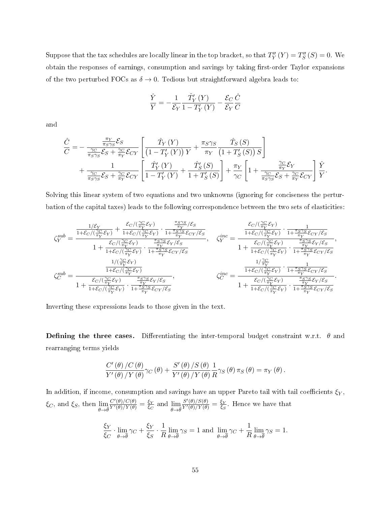Suppose that the tax schedules are locally linear in the top bracket, so that  $T''_Y(Y) = T''_S(S) = 0$ . We obtain the responses of earnings, consumption and savings by taking first-order Taylor expansions of the two perturbed FOCs as  $\delta \rightarrow 0$ . Tedious but straightforward algebra leads to:

$$
\frac{\hat{Y}}{Y} = -\frac{1}{\mathcal{E}_Y} \frac{\hat{T}'_Y(Y)}{1 - T'_Y(Y)} - \frac{\mathcal{E}_C}{\mathcal{E}_Y} \frac{\hat{C}}{C}
$$

and

$$
\frac{\hat{C}}{C} = -\frac{\frac{\pi_Y}{\pi_S \gamma_S} \mathcal{E}_S}{\frac{\gamma_C}{\pi_S \gamma_S} \mathcal{E}_S + \frac{\gamma_C}{\pi_Y} \mathcal{E}_{CY}} \left[ \frac{\hat{T}_Y(Y)}{\left(1 - T'_Y(Y)\right)Y} + \frac{\pi_S \gamma_S}{\pi_Y} \frac{\hat{T}_S(S)}{\left(1 + T'_S(S)\right)S} \right] + \frac{1}{\frac{\gamma_C}{\pi_S \gamma_S} \mathcal{E}_S + \frac{\gamma_C}{\pi_Y} \mathcal{E}_{CY}} \left[ \frac{\hat{T}'_Y(Y)}{1 - T'_Y(Y)} + \frac{\hat{T}'_S(S)}{1 + T'_S(S)} \right] + \frac{\pi_Y}{\gamma_C} \left[ 1 + \frac{\frac{\gamma_C}{\pi_Y} \mathcal{E}_Y}{\frac{\gamma_C}{\pi_S \gamma_S} \mathcal{E}_S + \frac{\gamma_C}{\pi_Y} \mathcal{E}_{CY}} \right] \frac{\hat{Y}}{Y}.
$$

Solving this linear system of two equations and two unknowns (ignoring for conciseness the perturbation of the capital taxes) leads to the following correspondence between the two sets of elasticities:

$$
\zeta_{Y}^{sub}=\frac{\frac{1/\mathcal{E}_{Y}}{1+\mathcal{E}_{C}/(\frac{\gamma_{C}}{\pi_{Y}}\mathcal{E}_{Y})}+\frac{\mathcal{E}_{C}/(\frac{\gamma_{C}}{\pi_{Y}}\mathcal{E}_{Y})}{1+\mathcal{E}_{C}/(\frac{\gamma_{C}}{\pi_{Y}}\mathcal{E}_{Y})}\cdot\frac{\frac{\pi_{S}\gamma_{S}}{1+\pi_{S}\gamma_{S}}\mathcal{E}_{CY}/\mathcal{E}_{S}}{1+\frac{\pi_{S}\gamma_{S}}{1+\mathcal{E}_{C}/(\frac{\gamma_{C}}{\pi_{Y}}\mathcal{E}_{Y})}\cdot\frac{1}{1+\frac{\pi_{S}\gamma_{S}}{\pi_{Y}}\mathcal{E}_{CY}/\mathcal{E}_{S}}}{1+\frac{\mathcal{E}_{C}/(\frac{\gamma_{C}}{\pi_{Y}}\mathcal{E}_{Y})}{1+\mathcal{E}_{C}/(\frac{\gamma_{C}}{\pi_{Y}}\mathcal{E}_{Y})}\cdot\frac{\frac{\pi_{S}\gamma_{S}}{1+\pi_{S}\gamma_{S}}\mathcal{E}_{Y}/\mathcal{E}_{S}}}{1+\frac{\pi_{S}\gamma_{S}}{\pi_{Y}}\mathcal{E}_{CY}/\mathcal{E}_{S}}},\qquad\zeta_{Y}^{inc}=\frac{\frac{1}{\pi_{C}/(\frac{\gamma_{C}}{\pi_{Y}}\mathcal{E}_{Y})}+\frac{1}{1+\frac{\pi_{S}\gamma_{S}}{\pi_{Y}}\mathcal{E}_{CY}/\mathcal{E}_{S}}}{1+\frac{\mathcal{E}_{C}/(\frac{\gamma_{C}}{\pi_{Y}}\mathcal{E}_{Y})}{1+\frac{\pi_{S}\gamma_{S}}{\pi_{Y}}\mathcal{E}_{CY}/\mathcal{E}_{S}}}}{\frac{1}{1+\frac{\mathcal{E}_{C}/(\frac{\gamma_{C}}{\pi_{Y}}\mathcal{E}_{Y})}{1+\mathcal{E}_{C}/(\frac{\gamma_{C}}{\pi_{Y}}\mathcal{E}_{Y})}\cdot\frac{1}{1+\frac{\pi_{S}\gamma_{S}}{\pi_{Y}}\mathcal{E}_{CY}/\mathcal{E}_{S}}}}{\frac{1}{1+\mathcal{E}_{C}/(\frac{\gamma_{C}}{\pi_{Y}}\mathcal{E}_{Y})}\cdot\frac{1}{1+\frac{\pi_{S}\gamma_{S}}{\pi_{Y}}\mathcal{E}_{CY}/\mathcal{E}_{S}}}}.
$$

Inverting these expressions leads to those given in the text.

**Defining the three cases.** Differentiating the inter-temporal budget constraint w.r.t.  $\theta$  and rearranging terms yields

$$
\frac{C'\left(\theta\right)/C\left(\theta\right)}{Y'\left(\theta\right)/Y\left(\theta\right)}\gamma_{C}\left(\theta\right)+\frac{S'\left(\theta\right)/S\left(\theta\right)}{Y'\left(\theta\right)/Y\left(\theta\right)}\frac{1}{R}\gamma_{S}\left(\theta\right)\pi_{S}\left(\theta\right)=\pi_{Y}\left(\theta\right).
$$

In addition, if income, consumption and savings have an upper Pareto tail with tail coefficients  $\xi_Y$ ,  $\xi_C$ , and  $\xi_S$ , then  $\lim_{\theta \to \bar{\theta}}$  $\frac{C'(\theta)/C(\theta)}{Y'(\theta)/Y(\theta)} = \frac{\xi_Y}{\xi_C}$  $rac{\xi Y}{\xi C}$  and  $\lim_{\theta \to \bar{\theta}}$  $\frac{S'(\theta)/S(\theta)}{Y'(\theta)/Y(\theta)} = \frac{\xi_Y}{\xi_S}$  $\frac{\xi_Y}{\xi_S}$ . Hence we have that

$$
\frac{\xi_Y}{\xi_C}\cdot \lim_{\theta\to\overline{\theta}}\gamma_C+\frac{\xi_Y}{\xi_S}\cdot \frac{1}{R}\lim_{\theta\to\overline{\theta}}\gamma_S=1\text{ and }\lim_{\theta\to\overline{\theta}}\gamma_C+\frac{1}{R}\lim_{\theta\to\overline{\theta}}\gamma_S=1.
$$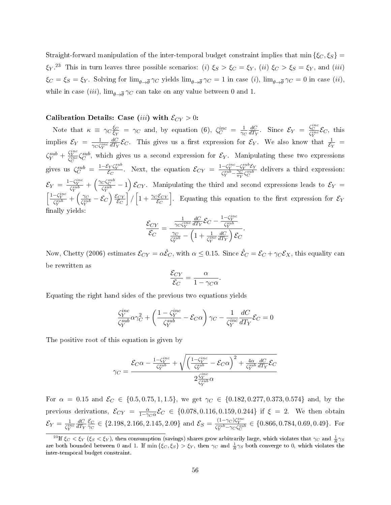Straight-forward manipulation of the inter-temporal budget constraint implies that min  $\{\xi_C, \xi_S\}$  =  $\xi_Y$ .<sup>[23](#page-1-0)</sup> This in turn leaves three possible scenarios: (i)  $\xi_S > \xi_C = \xi_Y$ , (ii)  $\xi_C > \xi_S = \xi_Y$ , and (iii)  $\xi_C = \xi_S = \xi_Y$ . Solving for  $\lim_{\theta \to \overline{\theta}} \gamma_C$  yields  $\lim_{\theta \to \overline{\theta}} \gamma_C = 1$  in case  $(i)$ ,  $\lim_{\theta \to \overline{\theta}} \gamma_C = 0$  in case  $(ii)$ , while in case  $(iii)$ ,  $\lim_{\theta\to\overline{\theta}}\gamma_C$  can take on any value between 0 and 1.

#### Calibration Details: Case (iii) with  $\mathcal{E}_{CY} > 0$ :

Note that  $\kappa \equiv \gamma_C \frac{\xi_C}{\xi_V}$  $\frac{\xi_C}{\xi_Y} = \gamma_C$  and, by equation [\(6\)](#page-25-0),  $\zeta_C^{inc} = \frac{1}{\gamma_C}$  $\overline{\gamma_C}$  $dC$  $\frac{dC}{dT_Y}$ . Since  $\mathcal{E}_Y = \frac{\zeta_C^{inc}}{\zeta_Y^{inc}} \mathcal{E}_C$ , this implies  $\mathcal{E}_Y = \frac{1}{\gamma \alpha \zeta}$  $\overline{\gamma_C\zeta_Y^{inc}}$  $dC$  $\frac{dC}{dT_Y}$   $\mathcal{E}_C$ . This gives us a first expression for  $\mathcal{E}_Y$ . We also know that  $\frac{1}{\mathcal{E}_Y}$  =  $\zeta_Y^{sub} + \frac{\zeta_Y^{inc}}{\zeta_C^{inc}} \zeta_Y^{sub}$ , which gives us a second expression for  $\mathcal{E}_Y$ . Manipulating these two expressions gives us  $\zeta_C^{sub} = \frac{1-\mathcal{E}_Y\zeta_Y^{sub}}{\mathcal{E}_C}$ . Next, the equation  $\mathcal{E}_{CY} = \frac{1-\zeta_Y^{inc}-\zeta_Y^{sub}\mathcal{E}_Y}{\zeta_Y^{sub}-\frac{\gamma_C}{2}\zeta_Y^{sub}}$  $\frac{\sum_{Y} \sum_{Y} C_{Y}}{\zeta_{Y}^{sub} - \frac{\gamma_{C}}{\pi_{Y}} \zeta_{C}^{sub}}$  delivers a third expression:  $\mathcal{E}_Y = \frac{1-\zeta_Y^{inc}}{\zeta_Y^{sub}} + \left(\frac{\gamma_C \zeta_C^{sub}}{\zeta_Y^{sub}} - 1\right) \mathcal{E}_{CY}$ . Manipulating the third and second expressions leads to  $\mathcal{E}_Y =$  $\left[\frac{1-\zeta_Y^{inc}}{\zeta_Y^{sub}}+\left(\frac{\gamma_C}{\zeta_Y^{su}}\right)\right]$  $\frac{\gamma_C}{\zeta_Y^{sub}} - \mathcal{E}_C\Big) \, \frac{\mathcal{E}_{CY}}{\mathcal{E}_C}$  $\overline{\mathcal{E}_C}$  $\Big]/\Big[1+\frac{\gamma_{C}\mathcal{E}_{CY}}{\mathcal{E}_{C}}\Big]$ . Equating this equation to the first expression for  $\mathcal{E}_Y$ finally yields:

$$
\frac{\mathcal{E}_{CY}}{\mathcal{E}_C} = \frac{\frac{1}{\gamma_C \zeta_Y^{inc}} \frac{dC}{dT_Y} \mathcal{E}_C - \frac{1 - \zeta_Y^{inc}}{\zeta_Y^{sub}}}{\frac{\gamma_C}{\zeta_Y^{sub}} - \left(1 + \frac{1}{\zeta_Y^{inc}} \frac{dC}{dT_Y}\right) \mathcal{E}_C}.
$$

Now, Chetty (2006) estimates  $\mathcal{E}_{CY} = \alpha \hat{\mathcal{E}}_C$ , with  $\alpha \leq 0.15$ . Since  $\hat{\mathcal{E}}_C = \mathcal{E}_C + \gamma_C \mathcal{E}_X$ , this equality can be rewritten as

$$
\frac{\mathcal{E}_{CY}}{\mathcal{E}_C} = \frac{\alpha}{1 - \gamma_C \alpha}.
$$

Equating the right hand sides of the previous two equations yields

$$
\frac{\zeta_Y^{inc}}{\zeta_Y^{sub}} \alpha \gamma_C^2 + \left( \frac{1 - \zeta_Y^{inc}}{\zeta_Y^{sub}} - \mathcal{E}_C \alpha \right) \gamma_C - \frac{1}{\zeta_Y^{inc}} \frac{dC}{dT_Y} \mathcal{E}_C = 0
$$

The positive root of this equation is given by

$$
\gamma_C = \frac{\mathcal{E}_C \alpha - \frac{1 - \zeta_Y^{inc}}{\zeta_Y^{sub}} + \sqrt{\left(\frac{1 - \zeta_Y^{inc}}{\zeta_Y^{sub}} - \mathcal{E}_C \alpha\right)^2 + \frac{4\alpha}{\zeta_Y^{sub}} \frac{dC}{dT_Y} \mathcal{E}_C}}{2\frac{\zeta_Y^{inc}}{\zeta_Y^{sub}} \alpha}
$$

For  $\alpha = 0.15$  and  $\mathcal{E}_C \in \{0.5, 0.75, 1, 1.5\}$ , we get  $\gamma_C \in \{0.182, 0.277, 0.373, 0.574\}$  and, by the previous derivations,  $\mathcal{E}_{CY} = \frac{\alpha}{1-\gamma_C \alpha} \mathcal{E}_C \in \{0.078, 0.116, 0.159, 0.244\}$  if  $\xi = 2$ . We then obtain  $\mathcal{E}_Y = \frac{1}{\zeta^{ir}}$  $\overline{\zeta_Y^{inc}}$  $dC$  $\overline{dT_Y}$  $\underline{\mathcal{E}}_C$  $\frac{\mathcal{E}_C}{\gamma_C} \in \{2.198, 2.166, 2.145, 2.09\}$  and  $\mathcal{E}_S = \frac{(1-\gamma_C)\zeta_Y^{inc}}{\zeta_Y^{sub} - \gamma_C\zeta_C^{sub}} \in \{0.866, 0.784, 0.69, 0.49\}$ . For

 $^{23}\text{If } \xi_C < \xi_Y \ (\xi_S < \xi_Y), \text{ then consumption (savings)} \text{ shares grow arbitrarily large, which violates that } \gamma_C \text{ and } \frac{1}{R}\gamma_S$ are both bounded between 0 and 1. If  $\min\{\xi_C,\xi_S\} > \xi_Y$ , then  $\gamma_C$  and  $\frac{1}{R}\gamma_S$  both converge to 0, which violates the inter-temporal budget constraint.